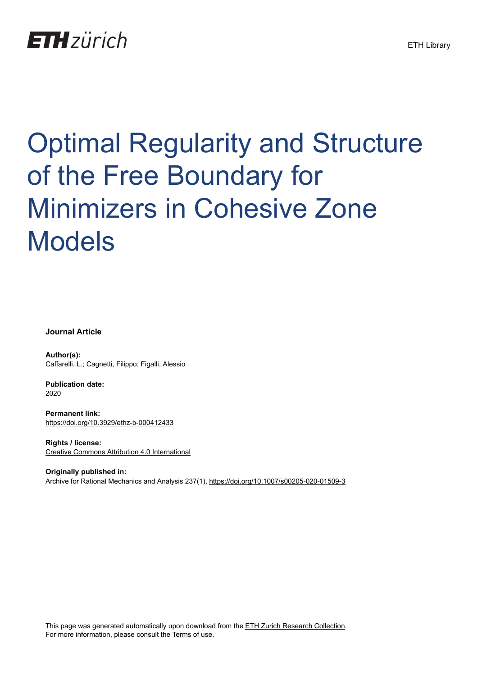## **ETH**zürich

# Optimal Regularity and Structure of the Free Boundary for Minimizers in Cohesive Zone Models

**Journal Article**

**Author(s):** Caffarelli, L.; Cagnetti, Filippo; Figalli, Alessio

**Publication date:** 2020

**Permanent link:** <https://doi.org/10.3929/ethz-b-000412433>

**Rights / license:** [Creative Commons Attribution 4.0 International](http://creativecommons.org/licenses/by/4.0/)

**Originally published in:** Archive for Rational Mechanics and Analysis 237(1), <https://doi.org/10.1007/s00205-020-01509-3>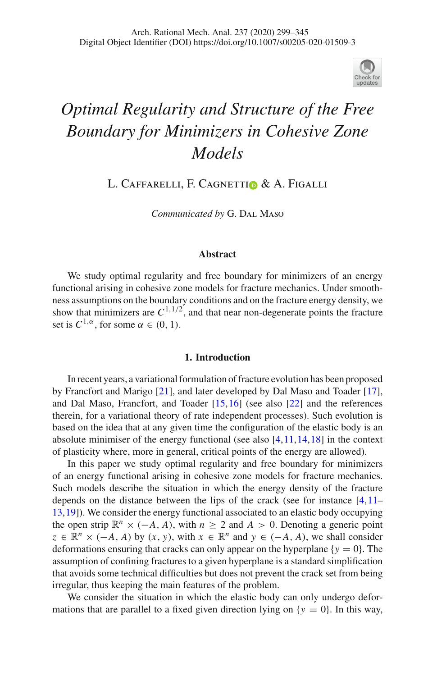

### *Optimal Regularity and Structure of the Free Boundary for Minimizers in Cohesive Zone Models*

L. CAFFARELLI, F. CAGNETTIO & A. FIGALLI

*Communicated by* G. Dal Maso

#### **Abstract**

We study optimal regularity and free boundary for minimizers of an energy functional arising in cohesive zone models for fracture mechanics. Under smoothness assumptions on the boundary conditions and on the fracture energy density, we show that minimizers are  $C^{1,1/2}$ , and that near non-degenerate points the fracture set is  $C^{1,\alpha}$ , for some  $\alpha \in (0, 1)$ .

#### **1. Introduction**

In recent years, a variational formulation of fracture evolution has been proposed by Francfort and Marigo [\[21\]](#page-47-0), and later developed by Dal Maso and Toader [\[17\]](#page-47-1), and Dal Maso, Francfort, and Toader [\[15](#page-46-0)[,16](#page-47-2)] (see also [\[22](#page-47-3)] and the references therein, for a variational theory of rate independent processes). Such evolution is based on the idea that at any given time the configuration of the elastic body is an absolute minimiser of the energy functional (see also  $[4,11,14,18]$  $[4,11,14,18]$  $[4,11,14,18]$  $[4,11,14,18]$  $[4,11,14,18]$  in the context of plasticity where, more in general, critical points of the energy are allowed).

In this paper we study optimal regularity and free boundary for minimizers of an energy functional arising in cohesive zone models for fracture mechanics. Such models describe the situation in which the energy density of the fracture depends on the distance between the lips of the crack (see for instance [\[4](#page-46-1)[,11](#page-46-2)– [13,](#page-46-4)[19\]](#page-47-5)). We consider the energy functional associated to an elastic body occupying the open strip  $\mathbb{R}^n \times (-A, A)$ , with  $n \geq 2$  and  $A > 0$ . Denoting a generic point  $z \in \mathbb{R}^n \times (-A, A)$  by  $(x, y)$ , with  $x \in \mathbb{R}^n$  and  $y \in (-A, A)$ , we shall consider deformations ensuring that cracks can only appear on the hyperplane  ${y = 0}$ . The assumption of confining fractures to a given hyperplane is a standard simplification that avoids some technical difficulties but does not prevent the crack set from being irregular, thus keeping the main features of the problem.

We consider the situation in which the elastic body can only undergo deformations that are parallel to a fixed given direction lying on  $\{y = 0\}$ . In this way,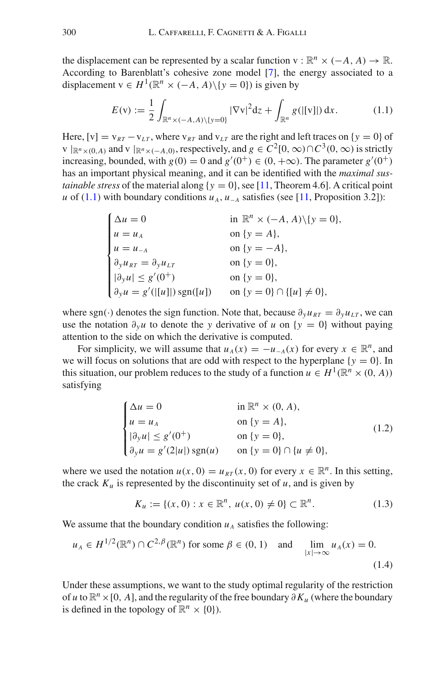the displacement can be represented by a scalar function v :  $\mathbb{R}^n \times (-A, A) \to \mathbb{R}$ . According to Barenblatt's cohesive zone model [\[7\]](#page-46-5), the energy associated to a displacement  $v \in H^1(\mathbb{R}^n \times (-A, A) \setminus \{v = 0\})$  is given by

<span id="page-2-0"></span>
$$
E(v) := \frac{1}{2} \int_{\mathbb{R}^n \times (-A, A) \setminus \{y = 0\}} |\nabla v|^2 dz + \int_{\mathbb{R}^n} g(|[v]|) dx.
$$
 (1.1)

Here,  $[v] = v_{RT} - v_{LT}$ , where  $v_{RT}$  and  $v_{LT}$  are the right and left traces on  $\{v = 0\}$  of *v*  $\|R^n \times (0, A)$  and *v*  $\|R^n \times (-A, 0)$ , respectively, and  $g \in C^2[0, \infty) \cap C^3(0, \infty)$  is strictly increasing, bounded, with *g*(0) = 0 and *g*'(0<sup>+</sup>) ∈ (0, +∞). The parameter *g*'(0<sup>+</sup>) has an important physical meaning, and it can be identified with the *maximal sustainable stress* of the material along  $\{y = 0\}$ , see [\[11](#page-46-2), Theorem 4.6]. A critical point *u* of [\(1.1\)](#page-2-0) with boundary conditions  $u_A$ ,  $u_{-A}$  satisfies (see [\[11,](#page-46-2) Proposition 3.2]):

$$
\begin{cases}\n\Delta u = 0 & \text{in } \mathbb{R}^n \times (-A, A) \setminus \{y = 0\}, \\
u = u_A & \text{on } \{y = A\}, \\
u = u_{-A} & \text{on } \{y = -A\}, \\
\partial_y u_{RT} = \partial_y u_{LT} & \text{on } \{y = 0\}, \\
|\partial_y u| \le g'(0^+) & \text{on } \{y = 0\}, \\
\partial_y u = g'(|[u]|) \operatorname{sgn}([u]) & \text{on } \{y = 0\} \cap \{[u] \ne 0\},\n\end{cases}
$$

where sgn(·) denotes the sign function. Note that, because  $\partial_y u_{RT} = \partial_y u_{LT}$ , we can use the notation  $\partial_y u$  to denote the *y* derivative of *u* on {*y* = 0} without paying attention to the side on which the derivative is computed.

For simplicity, we will assume that  $u_A(x) = -u_{-A}(x)$  for every  $x \in \mathbb{R}^n$ , and we will focus on solutions that are odd with respect to the hyperplane  $\{y = 0\}$ . In this situation, our problem reduces to the study of a function  $u \in H^1(\mathbb{R}^n \times (0, A))$ satisfying

<span id="page-2-1"></span>
$$
\begin{cases}\n\Delta u = 0 & \text{in } \mathbb{R}^n \times (0, A), \\
u = u_A & \text{on } \{y = A\}, \\
|\partial_y u| \le g'(0^+) & \text{on } \{y = 0\}, \\
\partial_y u = g'(2|u|) \operatorname{sgn}(u) & \text{on } \{y = 0\} \cap \{u \ne 0\},\n\end{cases}
$$
\n(1.2)

where we used the notation  $u(x, 0) = u_{RT}(x, 0)$  for every  $x \in \mathbb{R}^n$ . In this setting, the crack  $K_u$  is represented by the discontinuity set of  $u$ , and is given by

<span id="page-2-3"></span>
$$
K_u := \{(x, 0) : x \in \mathbb{R}^n, u(x, 0) \neq 0\} \subset \mathbb{R}^n.
$$
 (1.3)

We assume that the boundary condition  $u_A$  satisfies the following:

<span id="page-2-2"></span>
$$
u_A \in H^{1/2}(\mathbb{R}^n) \cap C^{2,\beta}(\mathbb{R}^n)
$$
 for some  $\beta \in (0, 1)$  and  $\lim_{|x| \to \infty} u_A(x) = 0.$  (1.4)

Under these assumptions, we want to the study optimal regularity of the restriction of *<sup>u</sup>* to <sup>R</sup>*n*×[0, *<sup>A</sup>*], and the regularity of the free boundary <sup>∂</sup>*Ku* (where the boundary is defined in the topology of  $\mathbb{R}^n \times \{0\}$ ).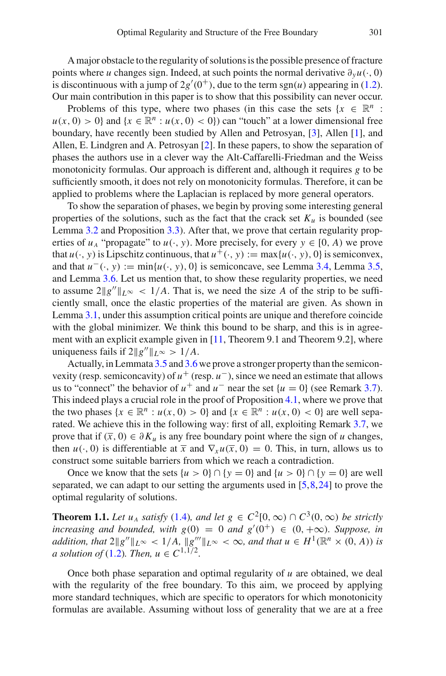A major obstacle to the regularity of solutions is the possible presence of fracture points where *u* changes sign. Indeed, at such points the normal derivative  $\partial_y u(\cdot, 0)$ is discontinuous with a jump of  $2g'(0^+)$ , due to the term sgn $(u)$  appearing in [\(1.2\)](#page-2-1). Our main contribution in this paper is to show that this possibility can never occur.

Problems of this type, where two phases (in this case the sets  $\{x \in \mathbb{R}^n :$  $u(x, 0) > 0$  and  $\{x \in \mathbb{R}^n : u(x, 0) < 0\}$  can "touch" at a lower dimensional free boundary, have recently been studied by Allen and Petrosyan, [\[3](#page-46-6)], Allen [\[1](#page-46-7)], and Allen, E. Lindgren and A. Petrosyan [\[2](#page-46-8)]. In these papers, to show the separation of phases the authors use in a clever way the Alt-Caffarelli-Friedman and the Weiss monotonicity formulas. Our approach is different and, although it requires *g* to be sufficiently smooth, it does not rely on monotonicity formulas. Therefore, it can be applied to problems where the Laplacian is replaced by more general operators.

To show the separation of phases, we begin by proving some interesting general properties of the solutions, such as the fact that the crack set  $K_u$  is bounded (see Lemma [3.2](#page-9-0) and Proposition [3.3\)](#page-9-1). After that, we prove that certain regularity properties of  $u_A$  "propagate" to  $u(\cdot, y)$ . More precisely, for every  $y \in [0, A)$  we prove that  $u(\cdot, y)$  is Lipschitz continuous, that  $u^+(\cdot, y) := \max\{u(\cdot, y), 0\}$  is semiconvex, and that  $u^-(\cdot, y) := \min\{u(\cdot, y), 0\}$  is semiconcave, see Lemma [3.4,](#page-12-0) Lemma [3.5,](#page-14-0) and Lemma [3.6.](#page-15-0) Let us mention that, to show these regularity properties, we need to assume  $2||g''||_{L^{\infty}} < 1/A$ . That is, we need the size A of the strip to be sufficiently small, once the elastic properties of the material are given. As shown in Lemma [3.1,](#page-6-0) under this assumption critical points are unique and therefore coincide with the global minimizer. We think this bound to be sharp, and this is in agree-ment with an explicit example given in [\[11](#page-46-2), Theorem 9.1 and Theorem 9.2], where uniqueness fails if  $2||g''||_{L^{\infty}} > 1/A$ .

Actually, in Lemmata [3.5](#page-14-0) and [3.6](#page-15-0) we prove a stronger property than the semiconvexity (resp. semiconcavity) of  $u^+$  (resp.  $u^-$ ), since we need an estimate that allows us to "connect" the behavior of  $u^+$  and  $u^-$  near the set  $\{u = 0\}$  (see Remark [3.7\)](#page-15-1). This indeed plays a crucial role in the proof of Proposition [4.1,](#page-20-0) where we prove that the two phases  $\{x \in \mathbb{R}^n : u(x, 0) > 0\}$  and  $\{x \in \mathbb{R}^n : u(x, 0) < 0\}$  are well separated. We achieve this in the following way: first of all, exploiting Remark [3.7,](#page-15-1) we prove that if  $(\bar{x}, 0) \in \partial K_u$  is any free boundary point where the sign of *u* changes, then  $u(\cdot, 0)$  is differentiable at  $\overline{x}$  and  $\nabla_x u(\overline{x}, 0) = 0$ . This, in turn, allows us to construct some suitable barriers from which we reach a contradiction.

Once we know that the sets  $\{u > 0\} \cap \{y = 0\}$  and  $\{u > 0\} \cap \{y = 0\}$  are well separated, we can adapt to our setting the arguments used in  $[5,8,24]$  $[5,8,24]$  $[5,8,24]$  $[5,8,24]$  to prove the optimal regularity of solutions.

<span id="page-3-0"></span>**Theorem 1.1.** *Let*  $u_A$  *satisfy* [\(1.4\)](#page-2-2)*, and let*  $g \in C^2[0,\infty) \cap C^3(0,\infty)$  *be strictly increasing and bounded, with*  $g(0) = 0$  *and*  $g'(0^+) \in (0, +\infty)$ *. Suppose, in addition, that*  $2||g''||_{L^{\infty}} < 1/A$ ,  $||g'''||_{L^{\infty}} < \infty$ , and that  $u \in H^{1}(\mathbb{R}^{n} \times (0, A))$  is *a solution of* [\(1.2\)](#page-2-1)*. Then,*  $u \in C^{1,1/2}$ *.* 

Once both phase separation and optimal regularity of *u* are obtained, we deal with the regularity of the free boundary. To this aim, we proceed by applying more standard techniques, which are specific to operators for which monotonicity formulas are available. Assuming without loss of generality that we are at a free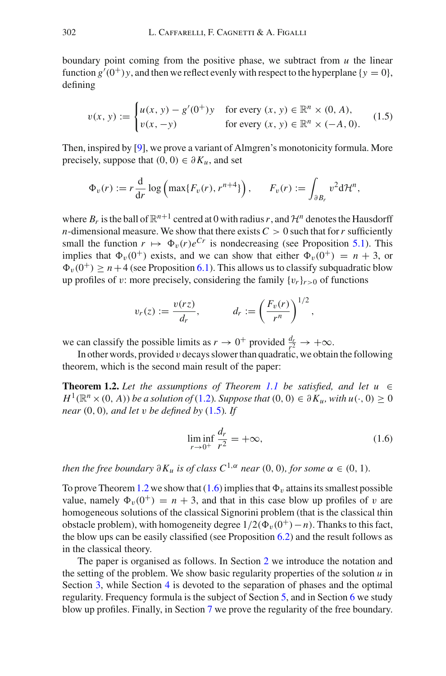boundary point coming from the positive phase, we subtract from *u* the linear function  $g'(0^+)$ *y*, and then we reflect evenly with respect to the hyperplane {*y* = 0}, defining

<span id="page-4-0"></span>
$$
v(x, y) := \begin{cases} u(x, y) - g'(0^+)y & \text{for every } (x, y) \in \mathbb{R}^n \times (0, A), \\ v(x, -y) & \text{for every } (x, y) \in \mathbb{R}^n \times (-A, 0). \end{cases}
$$
(1.5)

Then, inspired by [\[9](#page-46-11)], we prove a variant of Almgren's monotonicity formula. More precisely, suppose that  $(0, 0) \in \partial K_u$ , and set

$$
\Phi_v(r) := r \frac{\mathrm{d}}{\mathrm{d}r} \log \left( \max\{ F_v(r), r^{n+4} \} \right), \qquad F_v(r) := \int_{\partial B_r} v^2 \mathrm{d}r^n,
$$

where  $B_r$  is the ball of  $\mathbb{R}^{n+1}$  centred at 0 with radius r, and  $\mathcal{H}^n$  denotes the Hausdorff *n*-dimensional measure. We show that there exists  $C > 0$  such that for *r* sufficiently small the function  $r \mapsto \Phi_v(r)e^{Cr}$  is nondecreasing (see Proposition [5.1\)](#page-29-0). This implies that  $\Phi_n(0^+)$  exists, and we can show that either  $\Phi_n(0^+) = n + 3$ , or  $\Phi_{\nu}(0^+) \ge n + 4$  (see Proposition [6.1\)](#page-38-0). This allows us to classify subquadratic blow up profiles of v: more precisely, considering the family  $\{v_r\}_{r>0}$  of functions

$$
v_r(z) := \frac{v(rz)}{d_r}, \qquad d_r := \left(\frac{F_v(r)}{r^n}\right)^{1/2},
$$

we can classify the possible limits as  $r \to 0^+$  provided  $\frac{d_r}{r^2} \to +\infty$ .

In other words, provided v decays slower than quadratic, we obtain the following theorem, which is the second main result of the paper:

**Theorem 1.2.** Let the assumptions of Theorem [1.1](#page-3-0) be satisfied, and let  $u \in$  $H^1(\mathbb{R}^n \times (0, A))$  *be a solution of* [\(1.2\)](#page-2-1)*. Suppose that*  $(0, 0) \in \partial K_u$ *, with*  $u(\cdot, 0) \ge 0$ *near* (0, 0)*, and let* v *be defined by* [\(1.5\)](#page-4-0)*. If*

<span id="page-4-2"></span><span id="page-4-1"></span>
$$
\liminf_{r \to 0^+} \frac{d_r}{r^2} = +\infty,\tag{1.6}
$$

*then the free boundary*  $\partial K_u$  *is of class*  $C^{1,\alpha}$  *near* (0, 0)*, for some*  $\alpha \in (0, 1)$ *.* 

To prove Theorem [1.2](#page-4-1) we show that  $(1.6)$  implies that  $\Phi_v$  attains its smallest possible value, namely  $\Phi_{\nu}(0^+) = n + 3$ , and that in this case blow up profiles of v are homogeneous solutions of the classical Signorini problem (that is the classical thin obstacle problem), with homogeneity degree  $1/2(\Phi_{\nu}(0^+)-n)$ . Thanks to this fact, the blow ups can be easily classified (see Proposition [6.2\)](#page-39-0) and the result follows as in the classical theory.

The paper is organised as follows. In Section [2](#page-5-0) we introduce the notation and the setting of the problem. We show basic regularity properties of the solution *u* in Section [3,](#page-6-1) while Section [4](#page-20-1) is devoted to the separation of phases and the optimal regularity. Frequency formula is the subject of Section [5,](#page-28-0) and in Section [6](#page-38-1) we study blow up profiles. Finally, in Section [7](#page-41-0) we prove the regularity of the free boundary.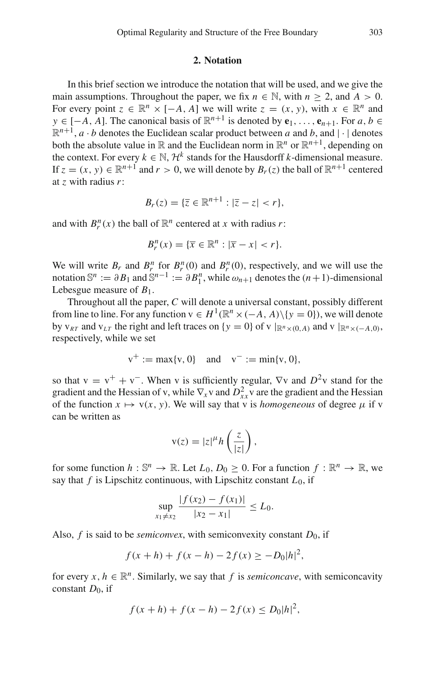#### **2. Notation**

<span id="page-5-0"></span>In this brief section we introduce the notation that will be used, and we give the main assumptions. Throughout the paper, we fix  $n \in \mathbb{N}$ , with  $n \ge 2$ , and  $A > 0$ . For every point  $z \in \mathbb{R}^n \times [-A, A]$  we will write  $z = (x, y)$ , with  $x \in \mathbb{R}^n$  and *y* ∈ [−*A*, *A*]. The canonical basis of  $\mathbb{R}^{n+1}$  is denoted by **e**<sub>1</sub>,..., **e**<sub>*n*+1</sub>. For *a*, *b* ∈  $\mathbb{R}^{n+1}$ , *a* · *b* denotes the Euclidean scalar product between *a* and *b*, and  $|\cdot|$  denotes both the absolute value in  $\mathbb R$  and the Euclidean norm in  $\mathbb R^n$  or  $\mathbb R^{n+1}$ , depending on the context. For every  $k \in \mathbb{N}$ ,  $\mathcal{H}^k$  stands for the Hausdorff *k*-dimensional measure. If  $z = (x, y) \in \mathbb{R}^{n+1}$  and  $r > 0$ , we will denote by  $B_r(z)$  the ball of  $\mathbb{R}^{n+1}$  centered at *z* with radius *r*:

$$
B_r(z) = \{ \overline{z} \in \mathbb{R}^{n+1} : |\overline{z} - z| < r \},\
$$

and with  $B_r^n(x)$  the ball of  $\mathbb{R}^n$  centered at *x* with radius *r*:

$$
B_r^n(x) = \{ \overline{x} \in \mathbb{R}^n : |\overline{x} - x| < r \}.
$$

We will write  $B_r$  and  $B_r^n$  for  $B_r^n(0)$  and  $B_r^n(0)$ , respectively, and we will use the notation  $\mathbb{S}^n := \partial B_1$  and  $\mathbb{S}^{n-1} := \partial B_1^n$ , while  $\omega_{n+1}$  denotes the  $(n+1)$ -dimensional Lebesgue measure of *B*1.

Throughout all the paper, *C* will denote a universal constant, possibly different from line to line. For any function  $v \in H^1(\mathbb{R}^n \times (-A, A) \setminus \{y = 0\})$ , we will denote by v<sub>*RT*</sub> and v<sub>LT</sub> the right and left traces on {*y* = 0} of v |<sub>ℝ</sub><sup>*n*</sup>×(0,*A*) and v |<sub>ℝ</sub><sup>*n*</sup>×(−*A*,0), respectively, while we set

$$
v^+ := max\{v, 0\}
$$
 and  $v^- := min\{v, 0\},$ 

so that  $v = v^+ + v^-$ . When v is sufficiently regular,  $\nabla v$  and  $D^2v$  stand for the gradient and the Hessian of v, while  $\nabla_x$  v and  $D^2_{xx}$  v are the gradient and the Hessian of the function  $x \mapsto v(x, y)$ . We will say that v is *homogeneous* of degree  $\mu$  if v can be written as

$$
v(z) = |z|^{\mu} h\left(\frac{z}{|z|}\right),\,
$$

for some function  $h : \mathbb{S}^n \to \mathbb{R}$ . Let  $L_0, D_0 \geq 0$ . For a function  $f : \mathbb{R}^n \to \mathbb{R}$ , we say that  $f$  is Lipschitz continuous, with Lipschitz constant  $L_0$ , if

$$
\sup_{x_1 \neq x_2} \frac{|f(x_2) - f(x_1)|}{|x_2 - x_1|} \leq L_0.
$$

Also,  $f$  is said to be *semiconvex*, with semiconvexity constant  $D_0$ , if

$$
f(x+h) + f(x-h) - 2f(x) \ge -D_0|h|^2,
$$

for every  $x, h \in \mathbb{R}^n$ . Similarly, we say that f is *semiconcave*, with semiconcavity constant  $D_0$ , if

$$
f(x+h) + f(x-h) - 2f(x) \le D_0|h|^2,
$$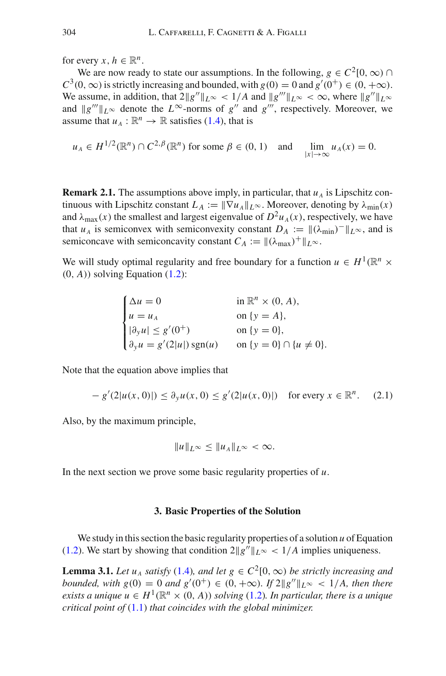for every  $x, h \in \mathbb{R}^n$ .

We are now ready to state our assumptions. In the following,  $g \in C^2[0,\infty)$ *C*<sup>3</sup>(0, ∞) is strictly increasing and bounded, with *g*(0) = 0 and *g*<sup>'</sup>(0<sup>+</sup>) ∈ (0, +∞). We assume, in addition, that  $2||g''||_{L^{\infty}} < 1/A$  and  $||g'''||_{L^{\infty}} < \infty$ , where  $||g''||_{L^{\infty}}$ and  $||g'''||_{L^{\infty}}$  denote the  $L^{\infty}$ -norms of  $g''$  and  $g'''$ , respectively. Moreover, we assume that  $u_A : \mathbb{R}^n \to \mathbb{R}$  satisfies [\(1.4\)](#page-2-2), that is

$$
u_A \in H^{1/2}(\mathbb{R}^n) \cap C^{2,\beta}(\mathbb{R}^n)
$$
 for some  $\beta \in (0, 1)$  and  $\lim_{|x| \to \infty} u_A(x) = 0$ .

<span id="page-6-2"></span>**Remark 2.1.** The assumptions above imply, in particular, that  $u_A$  is Lipschitz continuous with Lipschitz constant  $L_A := ||\nabla u_A||_{L^\infty}$ . Moreover, denoting by  $\lambda_{\min}(x)$ and  $\lambda_{\text{max}}(x)$  the smallest and largest eigenvalue of  $D^2u_A(x)$ , respectively, we have that *u<sub>A</sub>* is semiconvex with semiconvexity constant  $D_A := ||(\lambda_{\min})^-||_{L^{\infty}}$ , and is semiconcave with semiconcavity constant  $C_A := ||(\lambda_{\text{max}})^+||_{L^{\infty}}$ .

We will study optimal regularity and free boundary for a function  $u \in H^1(\mathbb{R}^n \times$  $(0, A)$ ) solving Equation  $(1.2)$ :

$$
\begin{cases}\n\Delta u = 0 & \text{in } \mathbb{R}^n \times (0, A), \\
u = u_A & \text{on } \{y = A\}, \\
|\partial_y u| \le g'(0^+) & \text{on } \{y = 0\}, \\
\partial_y u = g'(2|u|) \operatorname{sgn}(u) & \text{on } \{y = 0\} \cap \{u \ne 0\}.\n\end{cases}
$$

Note that the equation above implies that

<span id="page-6-3"></span>
$$
- g'(2|u(x,0)|) \le \partial_y u(x,0) \le g'(2|u(x,0)|) \quad \text{for every } x \in \mathbb{R}^n. \tag{2.1}
$$

Also, by the maximum principle,

<span id="page-6-0"></span>
$$
||u||_{L^{\infty}} \leq ||u_A||_{L^{\infty}} < \infty.
$$

<span id="page-6-1"></span>In the next section we prove some basic regularity properties of *u*.

#### **3. Basic Properties of the Solution**

We study in this section the basic regularity properties of a solution *u* of Equation [\(1.2\)](#page-2-1). We start by showing that condition  $2||g''||_{L^{\infty}} < 1/A$  implies uniqueness.

**Lemma 3.1.** *Let*  $u_A$  *satisfy* [\(1.4\)](#page-2-2)*, and let*  $g \in C^2[0,\infty)$  *be strictly increasing and bounded, with*  $g(0) = 0$  *and*  $g'(0^+) \in (0, +\infty)$ *. If*  $2||g''||_{L^{\infty}} < 1/A$ *, then there exists a unique*  $u \in H^1(\mathbb{R}^n \times (0, A))$  *solving* [\(1.2\)](#page-2-1)*. In particular, there is a unique critical point of* [\(1.1\)](#page-2-0) *that coincides with the global minimizer.*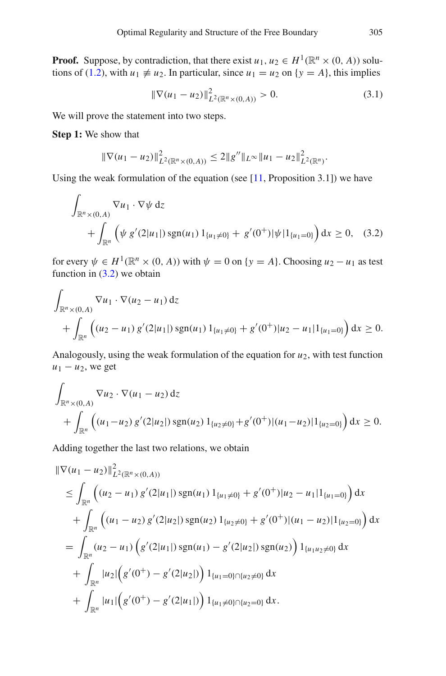**Proof.** Suppose, by contradiction, that there exist  $u_1, u_2 \in H^1(\mathbb{R}^n \times (0, A))$  solu-tions of [\(1.2\)](#page-2-1), with  $u_1 \neq u_2$ . In particular, since  $u_1 = u_2$  on {*y* = *A*}, this implies

<span id="page-7-1"></span>
$$
\|\nabla(u_1 - u_2)\|_{L^2(\mathbb{R}^n \times (0, A))}^2 > 0.
$$
\n(3.1)

We will prove the statement into two steps.

**Step 1:** We show that

$$
\|\nabla(u_1-u_2)\|_{L^2(\mathbb{R}^n\times(0,A))}^2\leq 2\|g''\|_{L^\infty}\|u_1-u_2\|_{L^2(\mathbb{R}^n)}^2.
$$

Using the weak formulation of the equation (see  $[11,$  Proposition 3.1]) we have

<span id="page-7-0"></span>
$$
\int_{\mathbb{R}^n \times (0, A)} \nabla u_1 \cdot \nabla \psi \, dz\n+ \int_{\mathbb{R}^n} \left( \psi g'(2|u_1|) \operatorname{sgn}(u_1) \, 1_{\{u_1 \neq 0\}} + g'(0^+) |\psi| 1_{\{u_1 = 0\}} \right) dx \ge 0, \quad (3.2)
$$

for every  $\psi \in H^1(\mathbb{R}^n \times (0, A))$  with  $\psi = 0$  on  $\{y = A\}$ . Choosing  $u_2 - u_1$  as test function in  $(3.2)$  we obtain

$$
\int_{\mathbb{R}^n \times (0, A)} \nabla u_1 \cdot \nabla (u_2 - u_1) \, dz
$$
\n
$$
+ \int_{\mathbb{R}^n} \left( (u_2 - u_1) g'(2|u_1|) \, \text{sgn}(u_1) \, 1_{\{u_1 \neq 0\}} + g'(0^+) |u_2 - u_1| 1_{\{u_1 = 0\}} \right) dx \ge 0.
$$

Analogously, using the weak formulation of the equation for  $u_2$ , with test function  $u_1 - u_2$ , we get

$$
\int_{\mathbb{R}^n \times (0, A)} \nabla u_2 \cdot \nabla (u_1 - u_2) dz
$$
\n
$$
+ \int_{\mathbb{R}^n} \left( (u_1 - u_2) g'(2|u_2|) \operatorname{sgn}(u_2) 1_{\{u_2 \neq 0\}} + g'(0^+)(u_1 - u_2) |1_{\{u_2 = 0\}} \right) dx \ge 0.
$$

Adding together the last two relations, we obtain

$$
\|\nabla(u_1 - u_2)\|_{L^2(\mathbb{R}^n \times (0, A))}^2
$$
\n
$$
\leq \int_{\mathbb{R}^n} \left( (u_2 - u_1) g'(2|u_1|) \operatorname{sgn}(u_1) 1_{\{u_1 \neq 0\}} + g'(0^+) |u_2 - u_1| 1_{\{u_1 = 0\}} \right) dx
$$
\n
$$
+ \int_{\mathbb{R}^n} \left( (u_1 - u_2) g'(2|u_2|) \operatorname{sgn}(u_2) 1_{\{u_2 \neq 0\}} + g'(0^+) |(u_1 - u_2)| 1_{\{u_2 = 0\}} \right) dx
$$
\n
$$
= \int_{\mathbb{R}^n} (u_2 - u_1) \left( g'(2|u_1|) \operatorname{sgn}(u_1) - g'(2|u_2|) \operatorname{sgn}(u_2) \right) 1_{\{u_1 u_2 \neq 0\}} dx
$$
\n
$$
+ \int_{\mathbb{R}^n} |u_2| \left( g'(0^+) - g'(2|u_2|) \right) 1_{\{u_1 = 0\} \cap \{u_2 \neq 0\}} dx
$$
\n
$$
+ \int_{\mathbb{R}^n} |u_1| \left( g'(0^+) - g'(2|u_1|) \right) 1_{\{u_1 \neq 0\} \cap \{u_2 = 0\}} dx.
$$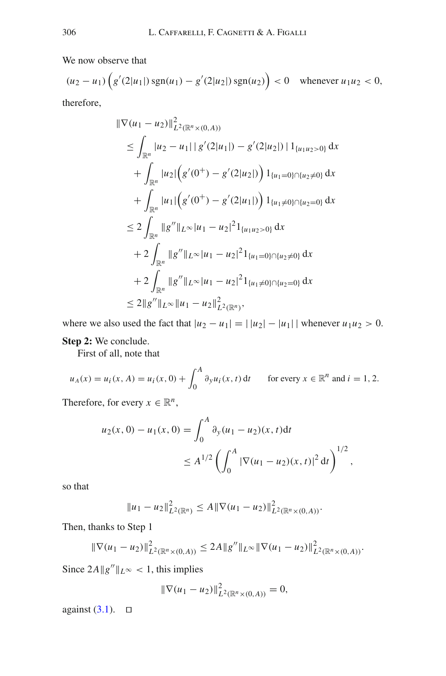We now observe that

$$
(u_2 - u_1) \left( g'(2|u_1|) \operatorname{sgn}(u_1) - g'(2|u_2|) \operatorname{sgn}(u_2) \right) < 0 \quad \text{whenever } u_1 u_2 < 0,
$$
\ntherefore,

$$
\|\nabla(u_1 - u_2)\|_{L^2(\mathbb{R}^n \times (0, A))}^2
$$
\n
$$
\leq \int_{\mathbb{R}^n} |u_2 - u_1| |g'(2|u_1|) - g'(2|u_2|) | 1_{\{u_1 u_2 > 0\}} dx
$$
\n
$$
+ \int_{\mathbb{R}^n} |u_2| (g'(0^+) - g'(2|u_2|)) | 1_{\{u_1 = 0\} \cap \{u_2 \neq 0\}} dx
$$
\n
$$
+ \int_{\mathbb{R}^n} |u_1| (g'(0^+) - g'(2|u_1|)) | 1_{\{u_1 \neq 0\} \cap \{u_2 = 0\}} dx
$$
\n
$$
\leq 2 \int_{\mathbb{R}^n} \|g'' \|_{L^\infty |u_1 - u_2|^2 | 1_{\{u_1 u_2 > 0\}} dx
$$
\n
$$
+ 2 \int_{\mathbb{R}^n} \|g'' \|_{L^\infty |u_1 - u_2|^2 | 1_{\{u_1 = 0\} \cap \{u_2 \neq 0\}} dx
$$
\n
$$
+ 2 \int_{\mathbb{R}^n} \|g'' \|_{L^\infty |u_1 - u_2|^2 | 1_{\{u_1 \neq 0\} \cap \{u_2 = 0\}} dx
$$
\n
$$
\leq 2 \|g'' \|_{L^\infty} \|u_1 - u_2\|_{L^2(\mathbb{R}^n)}^2,
$$

where we also used the fact that  $|u_2 - u_1| = |u_2| - |u_1|$  | whenever  $u_1 u_2 > 0$ . **Step 2:** We conclude.

First of all, note that

 $u_A(x) = u_i(x, A) = u_i(x, 0) + \int_0^A$  $\int_0^\infty \partial_y u_i(x, t) dt$  for every  $x \in \mathbb{R}^n$  and  $i = 1, 2$ .

Therefore, for every  $x \in \mathbb{R}^n$ ,

$$
u_2(x, 0) - u_1(x, 0) = \int_0^A \partial_y (u_1 - u_2)(x, t) dt
$$
  
 
$$
\leq A^{1/2} \left( \int_0^A |\nabla (u_1 - u_2)(x, t)|^2 dt \right)^{1/2},
$$

so that

$$
||u_1 - u_2||_{L^2(\mathbb{R}^n)}^2 \le A ||\nabla(u_1 - u_2)||_{L^2(\mathbb{R}^n \times (0, A))}^2.
$$

Then, thanks to Step 1

$$
\|\nabla(u_1-u_2)\|_{L^2(\mathbb{R}^n\times(0,A))}^2\leq 2A\|g''\|_{L^\infty}\|\nabla(u_1-u_2)\|_{L^2(\mathbb{R}^n\times(0,A))}^2.
$$

Since  $2A||g''||_{L^{\infty}} < 1$ , this implies

$$
\|\nabla(u_1-u_2)\|_{L^2(\mathbb{R}^n\times(0,A))}^2=0,
$$

against  $(3.1)$ .  $\Box$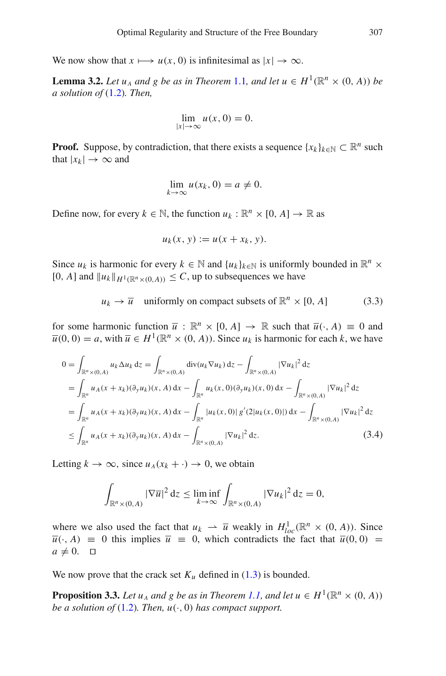We now show that  $x \mapsto u(x, 0)$  is infinitesimal as  $|x| \to \infty$ .

**Lemma 3.2.** *Let*  $u_A$  *and*  $g$  *be as in Theorem* [1.1](#page-3-0)*, and let*  $u \in H^1(\mathbb{R}^n \times (0, A))$  *be a solution of* [\(1.2\)](#page-2-1)*. Then,*

<span id="page-9-0"></span>
$$
\lim_{|x| \to \infty} u(x, 0) = 0.
$$

**Proof.** Suppose, by contradiction, that there exists a sequence  $\{x_k\}_{k\in\mathbb{N}} \subset \mathbb{R}^n$  such that  $|x_k| \to \infty$  and

$$
\lim_{k \to \infty} u(x_k, 0) = a \neq 0.
$$

Define now, for every  $k \in \mathbb{N}$ , the function  $u_k : \mathbb{R}^n \times [0, A] \to \mathbb{R}$  as

$$
u_k(x, y) := u(x + x_k, y).
$$

Since  $u_k$  is harmonic for every  $k \in \mathbb{N}$  and  $\{u_k\}_{k \in \mathbb{N}}$  is uniformly bounded in  $\mathbb{R}^n \times$  $[0, A]$  and  $||u_k||_{H^1(\mathbb{R}^n \times (0, A))} \leq C$ , up to subsequences we have

$$
u_k \to \overline{u}
$$
 uniformly on compact subsets of  $\mathbb{R}^n \times [0, A]$  (3.3)

for some harmonic function  $\overline{u}$  :  $\mathbb{R}^n \times [0, A] \rightarrow \mathbb{R}$  such that  $\overline{u}(\cdot, A) \equiv 0$  and  $\overline{u}(0, 0) = a$ , with  $\overline{u} \in H^1(\mathbb{R}^n \times (0, A))$ . Since  $u_k$  is harmonic for each *k*, we have

$$
0 = \int_{\mathbb{R}^n \times (0, A)} u_k \Delta u_k \, dz = \int_{\mathbb{R}^n \times (0, A)} \operatorname{div}(u_k \nabla u_k) \, dz - \int_{\mathbb{R}^n \times (0, A)} |\nabla u_k|^2 \, dz
$$
  
\n
$$
= \int_{\mathbb{R}^n} u_A(x + x_k)(\partial_y u_k)(x, A) \, dx - \int_{\mathbb{R}^n} u_k(x, 0)(\partial_y u_k)(x, 0) \, dx - \int_{\mathbb{R}^n \times (0, A)} |\nabla u_k|^2 \, dz
$$
  
\n
$$
= \int_{\mathbb{R}^n} u_A(x + x_k)(\partial_y u_k)(x, A) \, dx - \int_{\mathbb{R}^n} |u_k(x, 0)| g'(2|u_k(x, 0)) \, dx - \int_{\mathbb{R}^n \times (0, A)} |\nabla u_k|^2 \, dz
$$
  
\n
$$
\leq \int_{\mathbb{R}^n} u_A(x + x_k)(\partial_y u_k)(x, A) \, dx - \int_{\mathbb{R}^n \times (0, A)} |\nabla u_k|^2 \, dz.
$$
 (3.4)

Letting  $k \to \infty$ , since  $u_A(x_k + \cdot) \to 0$ , we obtain

<span id="page-9-1"></span>
$$
\int_{\mathbb{R}^n \times (0,A)} |\nabla \overline{u}|^2 dz \le \liminf_{k \to \infty} \int_{\mathbb{R}^n \times (0,A)} |\nabla u_k|^2 dz = 0,
$$

where we also used the fact that  $u_k \rightharpoonup \overline{u}$  weakly in  $H_{loc}^1(\mathbb{R}^n \times (0, A))$ . Since  $\overline{u}(\cdot, A) \equiv 0$  this implies  $\overline{u} \equiv 0$ , which contradicts the fact that  $\overline{u}(0, 0) =$  $a \neq 0$ .  $\Box$ 

We now prove that the crack set  $K_u$  defined in  $(1.3)$  is bounded.

**Proposition 3.3.** *Let*  $u_A$  *and g be as in Theorem [1.1,](#page-3-0) and let*  $u \in H^1(\mathbb{R}^n \times (0, A))$ *be a solution of*  $(1.2)$ *. Then,*  $u(\cdot, 0)$  *has compact support.*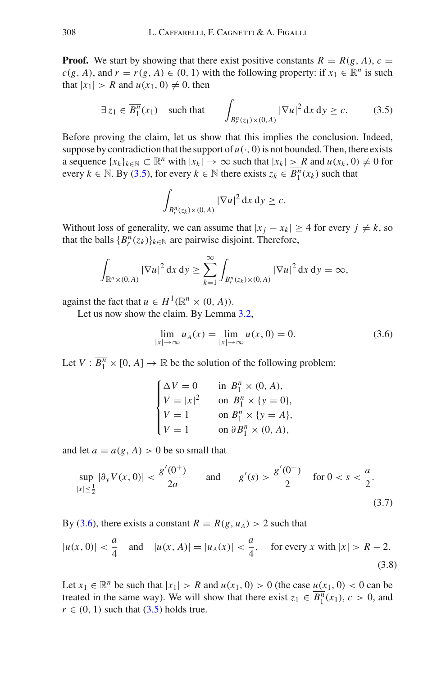**Proof.** We start by showing that there exist positive constants  $R = R(g, A)$ ,  $c =$  $c(g, A)$ , and  $r = r(g, A) \in (0, 1)$  with the following property: if  $x_1 \in \mathbb{R}^n$  is such that  $|x_1| > R$  and  $u(x_1, 0) \neq 0$ , then

<span id="page-10-0"></span>
$$
\exists z_1 \in \overline{B_1^n}(x_1) \quad \text{such that} \quad \int_{B_r^n(z_1) \times (0,A)} |\nabla u|^2 \, \mathrm{d}x \, \mathrm{d}y \ge c. \tag{3.5}
$$

Before proving the claim, let us show that this implies the conclusion. Indeed, suppose by contradiction that the support of  $u(\cdot, 0)$  is not bounded. Then, there exists a sequence  $\{x_k\}_{k\in\mathbb{N}} \subset \mathbb{R}^n$  with  $|x_k| \to \infty$  such that  $|x_k| \geq R$  and  $u(x_k, 0) \neq 0$  for every  $k \in \mathbb{N}$ . By [\(3.5\)](#page-10-0), for every  $k \in \mathbb{N}$  there exists  $z_k \in \overline{B_1^n}(x_k)$  such that

$$
\int_{B_r^n(z_k)\times(0,A)}|\nabla u|^2\,\mathrm{d} x\,\mathrm{d} y\geq c.
$$

Without loss of generality, we can assume that  $|x_j - x_k| \ge 4$  for every  $j \ne k$ , so that the balls  ${B_r^n(z_k)}_{k \in \mathbb{N}}$  are pairwise disjoint. Therefore,

$$
\int_{\mathbb{R}^n \times (0,A)} |\nabla u|^2 dx dy \ge \sum_{k=1}^{\infty} \int_{B_r^n(z_k) \times (0,A)} |\nabla u|^2 dx dy = \infty,
$$

against the fact that  $u \in H^1(\mathbb{R}^n \times (0, A)).$ 

Let us now show the claim. By Lemma [3.2,](#page-9-0)

<span id="page-10-1"></span>
$$
\lim_{|x| \to \infty} u_A(x) = \lim_{|x| \to \infty} u(x, 0) = 0.
$$
 (3.6)

Let  $V : \overline{B_1^n} \times [0, A] \to \mathbb{R}$  be the solution of the following problem:

|                                                                         | in $B_1^n \times (0, A)$ ,          |
|-------------------------------------------------------------------------|-------------------------------------|
| $\begin{cases} \Delta V = 0 \\ V =  x ^2 \\ V = 1 \\ V = 1 \end{cases}$ | on $B_1^n \times \{y = 0\},\$       |
|                                                                         | on $B_1^n \times \{y = A\},\$       |
|                                                                         | on $\partial B_1^n \times (0, A)$ , |

and let  $a = a(g, A) > 0$  be so small that

<span id="page-10-3"></span>
$$
\sup_{|x| \le \frac{1}{2}} |\partial_y V(x, 0)| < \frac{g'(0^+)}{2a} \qquad \text{and} \qquad g'(s) > \frac{g'(0^+)}{2} \quad \text{for } 0 < s < \frac{a}{2}.\tag{3.7}
$$

By [\(3.6\)](#page-10-1), there exists a constant  $R = R(g, u_A) > 2$  such that

<span id="page-10-2"></span>
$$
|u(x,0)| < \frac{a}{4} \quad \text{and} \quad |u(x,A)| = |u_A(x)| < \frac{a}{4}, \quad \text{for every } x \text{ with } |x| > R - 2. \tag{3.8}
$$

Let  $x_1 \in \mathbb{R}^n$  be such that  $|x_1| > R$  and  $u(x_1, 0) > 0$  (the case  $u(x_1, 0) < 0$  can be treated in the same way). We will show that there exist  $z_1 \in \overline{B_1^n}(x_1)$ ,  $c > 0$ , and  $r \in (0, 1)$  such that  $(3.5)$  holds true.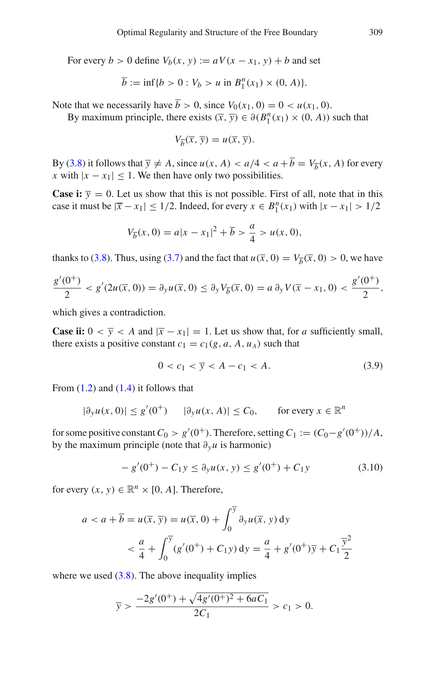For every  $b > 0$  define  $V_b(x, y) := aV(x - x_1, y) + b$  and set

$$
\overline{b} := \inf \{ b > 0 : V_b > u \text{ in } B_1^n(x_1) \times (0, A) \}.
$$

Note that we necessarily have  $\overline{b} > 0$ , since  $V_0(x_1, 0) = 0 < u(x_1, 0)$ .

By maximum principle, there exists  $(\overline{x}, \overline{y}) \in \partial(B_1^n(x_1) \times (0, A))$  such that

$$
V_{\overline{b}}(\overline{x}, \overline{y}) = u(\overline{x}, \overline{y}).
$$

By [\(3.8\)](#page-10-2) it follows that  $\overline{y} \neq A$ , since  $u(x, A) < a/4 < a + b = V_{\overline{b}}(x, A)$  for every *x* with  $|x - x_1| \leq 1$ . We then have only two possibilities.

**Case i:**  $\overline{y} = 0$ . Let us show that this is not possible. First of all, note that in this case it must be  $|\bar{x} - x_1| \le 1/2$ . Indeed, for every  $x \in B_1^n(x_1)$  with  $|x - x_1| > 1/2$ 

$$
V_{\overline{b}}(x,0) = a|x - x_1|^2 + \overline{b} > \frac{a}{4} > u(x,0),
$$

thanks to [\(3.8\)](#page-10-2). Thus, using [\(3.7\)](#page-10-3) and the fact that  $u(\overline{x}, 0) = V_{\overline{b}}(\overline{x}, 0) > 0$ , we have

$$
\frac{g'(0^+)}{2} < g'(2u(\overline{x},0)) = \partial_y u(\overline{x},0) \le \partial_y V_{\overline{b}}(\overline{x},0) = a\,\partial_y V(\overline{x}-x_1,0) < \frac{g'(0^+)}{2},
$$

which gives a contradiction.

**Case ii:**  $0 < \overline{y} < A$  and  $|\overline{x} - x_1| = 1$ . Let us show that, for *a* sufficiently small, there exists a positive constant  $c_1 = c_1(g, a, A, u_A)$  such that

<span id="page-11-0"></span>
$$
0 < c_1 < \overline{y} < A - c_1 < A. \tag{3.9}
$$

From  $(1.2)$  and  $(1.4)$  it follows that

$$
|\partial_y u(x,0)| \le g'(0^+) \qquad |\partial_y u(x,A)| \le C_0, \qquad \text{for every } x \in \mathbb{R}^n
$$

for some positive constant  $C_0 > g'(0^+)$ . Therefore, setting  $C_1 := (C_0 - g'(0^+))/A$ , by the maximum principle (note that ∂*yu* is harmonic)

<span id="page-11-1"></span>
$$
-g'(0^{+}) - C_1 y \le \partial_y u(x, y) \le g'(0^{+}) + C_1 y \tag{3.10}
$$

for every  $(x, y) \in \mathbb{R}^n \times [0, A]$ . Therefore,

$$
a < a + \overline{b} = u(\overline{x}, \overline{y}) = u(\overline{x}, 0) + \int_0^{\overline{y}} \partial_y u(\overline{x}, y) dy
$$
  

$$
< \frac{a}{4} + \int_0^{\overline{y}} (g'(0^+) + C_1 y) dy = \frac{a}{4} + g'(0^+) \overline{y} + C_1 \frac{\overline{y}^2}{2}
$$

where we used  $(3.8)$ . The above inequality implies

$$
\overline{y} > \frac{-2g'(0^+) + \sqrt{4g'(0^+)^2 + 6aC_1}}{2C_1} > c_1 > 0.
$$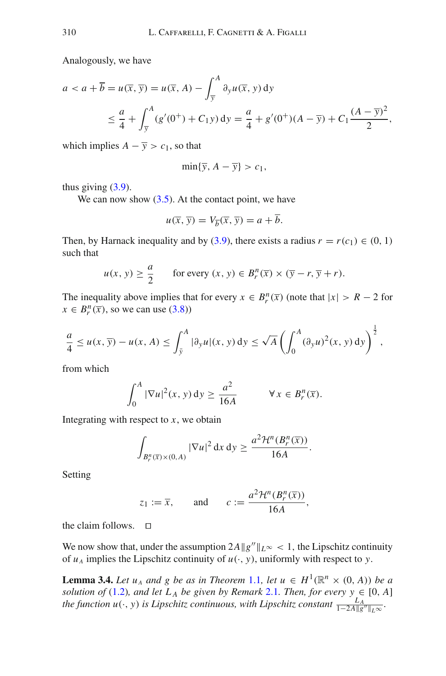Analogously, we have

$$
a < a + \overline{b} = u(\overline{x}, \overline{y}) = u(\overline{x}, A) - \int_{\overline{y}}^{A} \partial_{y} u(\overline{x}, y) dy
$$
  

$$
\leq \frac{a}{4} + \int_{\overline{y}}^{A} (g'(0^{+}) + C_{1}y) dy = \frac{a}{4} + g'(0^{+})(A - \overline{y}) + C_{1} \frac{(A - \overline{y})^{2}}{2},
$$

which implies  $A - \overline{y} > c_1$ , so that

$$
\min\{\overline{y}, A - \overline{y}\} > c_1,
$$

thus giving  $(3.9)$ .

We can now show  $(3.5)$ . At the contact point, we have

$$
u(\overline{x}, \overline{y}) = V_{\overline{b}}(\overline{x}, \overline{y}) = a + \overline{b}.
$$

Then, by Harnack inequality and by [\(3.9\)](#page-11-0), there exists a radius  $r = r(c_1) \in (0, 1)$ such that

$$
u(x, y) \ge \frac{a}{2}
$$
 for every  $(x, y) \in B_r^n(\overline{x}) \times (\overline{y} - r, \overline{y} + r)$ .

The inequality above implies that for every  $x \in B_r^n(\overline{x})$  (note that  $|x| > R - 2$  for  $x \in B_r^n(\overline{x})$ , so we can use [\(3.8\)](#page-10-2))

$$
\frac{a}{4} \le u(x, \overline{y}) - u(x, A) \le \int_{\overline{y}}^{A} |\partial_y u|(x, y) dy \le \sqrt{A} \left( \int_{0}^{A} (\partial_y u)^2(x, y) dy \right)^{\frac{1}{2}},
$$

from which

$$
\int_0^A |\nabla u|^2(x, y) dy \ge \frac{a^2}{16A} \qquad \forall x \in B_r^n(\overline{x}).
$$

Integrating with respect to  $x$ , we obtain

$$
\int_{B_r^n(\overline{x})\times(0,A)} |\nabla u|^2 dx dy \geq \frac{a^2 \mathcal{H}^n(B_r^n(\overline{x}))}{16A}.
$$

Setting

$$
z_1 := \overline{x}
$$
, and  $c := \frac{a^2 \mathcal{H}^n(B_r^n(\overline{x}))}{16A}$ ,

the claim follows.  $\Box$ 

<span id="page-12-0"></span>We now show that, under the assumption  $2A||g''||_{L^{\infty}} < 1$ , the Lipschitz continuity of  $u_A$  implies the Lipschitz continuity of  $u(\cdot, y)$ , uniformly with respect to *y*.

**Lemma 3.4.** *Let*  $u_A$  *and*  $g$  *be as in Theorem* [1.1](#page-3-0)*, let*  $u \in H^1(\mathbb{R}^n \times (0, A))$  *be a solution of* [\(1.2\)](#page-2-1)*, and let*  $L_A$  *be given by Remark* [2.1](#page-6-2)*. Then, for every*  $y \in [0, A]$ *the function u*( $\cdot$ , *y*) *is Lipschitz continuous, with Lipschitz constant*  $\frac{L_A}{1-2A\|g''\|_{L^\infty}}$ .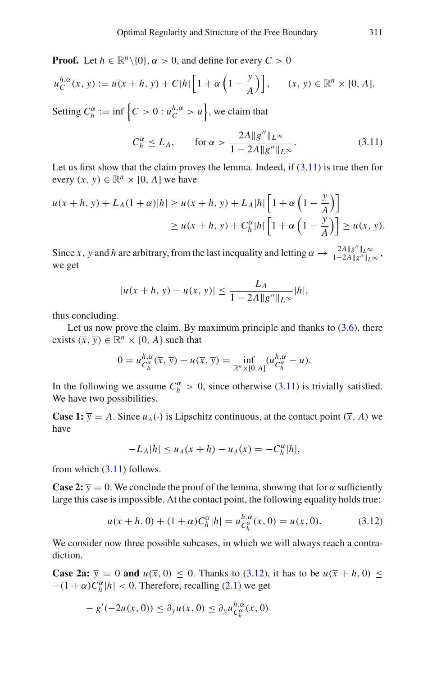**Proof.** Let  $h \in \mathbb{R}^n \setminus \{0\}$ ,  $\alpha > 0$ , and define for every  $C > 0$ 

$$
u_C^{h,\alpha}(x, y) := u(x + h, y) + C|h| \left[ 1 + \alpha \left( 1 - \frac{y}{A} \right) \right], \quad (x, y) \in \mathbb{R}^n \times [0, A].
$$
  
Setting  $C_h^{\alpha} := \inf \left\{ C > 0 : u_C^{h,\alpha} > u \right\}$ , we claim that

<span id="page-13-0"></span>
$$
C_h^{\alpha} \le L_A, \qquad \text{for } \alpha > \frac{2A \|g''\|_{L^{\infty}}}{1 - 2A \|g''\|_{L^{\infty}}}.
$$
 (3.11)

Let us first show that the claim proves the lemma. Indeed, if  $(3.11)$  is true then for every  $(x, y) \in \mathbb{R}^n \times [0, A]$  we have

$$
u(x+h, y) + L_A(1+\alpha)|h| \ge u(x+h, y) + L_A|h|\left[1+\alpha\left(1-\frac{y}{A}\right)\right]
$$
  

$$
\ge u(x+h, y) + C_h^{\alpha}|h|\left[1+\alpha\left(1-\frac{y}{A}\right)\right] \ge u(x, y).
$$

Since *x*, *y* and *h* are arbitrary, from the last inequality and letting  $\alpha \to \frac{2A||g''||_{L^{\infty}}}{1-2A||g''||_{L^{\infty}}}$ , we get

$$
|u(x+h, y) - u(x, y)| \le \frac{L_A}{1 - 2A \|g''\|_{L^\infty}} |h|,
$$

thus concluding.

Let us now prove the claim. By maximum principle and thanks to  $(3.6)$ , there exists  $(\overline{x}, \overline{y}) \in \mathbb{R}^n \times \{0, A\}$  such that

$$
0 = u_{C_h^{\alpha}}^{h,\alpha}(\overline{x},\overline{y}) - u(\overline{x},\overline{y}) = \inf_{\mathbb{R}^n \times [0,A]} (u_{C_h^{\alpha}}^{h,\alpha} - u).
$$

In the following we assume  $C_h^{\alpha} > 0$ , since otherwise [\(3.11\)](#page-13-0) is trivially satisfied. We have two possibilities.

**Case 1:**  $\overline{y} = A$ . Since  $u_A(\cdot)$  is Lipschitz continuous, at the contact point  $(\overline{x}, A)$  we have

$$
-L_A|h| \le u_A(\overline{x} + h) - u_A(\overline{x}) = -C_h^{\alpha}|h|,
$$

from which  $(3.11)$  follows.

**Case 2:**  $\overline{y} = 0$ . We conclude the proof of the lemma, showing that for  $\alpha$  sufficiently large this case is impossible. At the contact point, the following equality holds true:

<span id="page-13-1"></span>
$$
u(\overline{x} + h, 0) + (1 + \alpha)C_h^{\alpha} |h| = u_{C_h^{\alpha}}^{h, \alpha}(\overline{x}, 0) = u(\overline{x}, 0).
$$
 (3.12)

We consider now three possible subcases, in which we will always reach a contradiction.

**Case 2a:**  $\overline{y} = 0$  and  $u(\overline{x}, 0) \le 0$ . Thanks to [\(3.12\)](#page-13-1), it has to be  $u(\overline{x} + h, 0) \le$  $-(1 + \alpha)C_h^{\alpha} |h| < 0$ . Therefore, recalling [\(2.1\)](#page-6-3) we get

$$
-g'(-2u(\overline{x},0)) \leq \partial_y u(\overline{x},0) \leq \partial_y u_{C_h^{\alpha}}^{h,\alpha}(\overline{x},0)
$$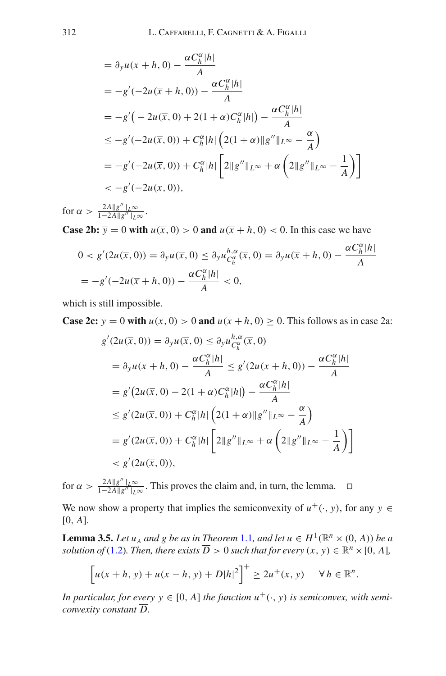$$
= \partial_y u(\overline{x} + h, 0) - \frac{\alpha C_h^{\alpha} |h|}{A}
$$
  
\n
$$
= -g'(-2u(\overline{x} + h, 0)) - \frac{\alpha C_h^{\alpha} |h|}{A}
$$
  
\n
$$
= -g'(-2u(\overline{x}, 0) + 2(1 + \alpha)C_h^{\alpha} |h|) - \frac{\alpha C_h^{\alpha} |h|}{A}
$$
  
\n
$$
\leq -g'(-2u(\overline{x}, 0)) + C_h^{\alpha} |h| \left(2(1 + \alpha) \|g''\|_{L^{\infty}} - \frac{\alpha}{A}\right)
$$
  
\n
$$
= -g'(-2u(\overline{x}, 0)) + C_h^{\alpha} |h| \left[2\|g''\|_{L^{\infty}} + \alpha \left(2\|g''\|_{L^{\infty}} - \frac{1}{A}\right)\right]
$$
  
\n
$$
< -g'(-2u(\overline{x}, 0)),
$$

for  $\alpha > \frac{2A \|g''\|_{L^{\infty}}}{1-2A\|g''\|_{L^{\infty}}}.$ 

**Case 2b:**  $\overline{y} = 0$  with  $u(\overline{x}, 0) > 0$  and  $u(\overline{x} + h, 0) < 0$ . In this case we have

$$
0 < g'(2u(\overline{x}, 0)) = \partial_y u(\overline{x}, 0) \le \partial_y u_{C_h^{\alpha}}^{h, \alpha}(\overline{x}, 0) = \partial_y u(\overline{x} + h, 0) - \frac{\alpha C_h^{\alpha} |h|}{A}
$$
\n
$$
= -g'(-2u(\overline{x} + h, 0)) - \frac{\alpha C_h^{\alpha} |h|}{A} < 0,
$$

which is still impossible.

**Case 2c:**  $\overline{y} = 0$  with  $u(\overline{x}, 0) > 0$  and  $u(\overline{x} + h, 0) \ge 0$ . This follows as in case 2a:

$$
g'(2u(\overline{x}, 0)) = \partial_y u(\overline{x}, 0) \le \partial_y u_{C_h^{\alpha}}^{h, \alpha}(\overline{x}, 0)
$$
  
\n
$$
= \partial_y u(\overline{x} + h, 0) - \frac{\alpha C_h^{\alpha} |h|}{A} \le g'(2u(\overline{x} + h, 0)) - \frac{\alpha C_h^{\alpha} |h|}{A}
$$
  
\n
$$
= g'(2u(\overline{x}, 0) - 2(1 + \alpha) C_h^{\alpha} |h|) - \frac{\alpha C_h^{\alpha} |h|}{A}
$$
  
\n
$$
\le g'(2u(\overline{x}, 0)) + C_h^{\alpha} |h| \left( 2(1 + \alpha) \|g''\|_{L^{\infty}} - \frac{\alpha}{A} \right)
$$
  
\n
$$
= g'(2u(\overline{x}, 0)) + C_h^{\alpha} |h| \left[ 2 \|g''\|_{L^{\infty}} + \alpha \left( 2 \|g''\|_{L^{\infty}} - \frac{1}{A} \right) \right]
$$
  
\n
$$
< g'(2u(\overline{x}, 0)),
$$

for  $\alpha > \frac{2A||g''||_{L^{\infty}}}{1-2A||g''||_{L^{\infty}}}$ . This proves the claim and, in turn, the lemma.  $\square$ 

<span id="page-14-0"></span>We now show a property that implies the semiconvexity of  $u^+(\cdot, y)$ , for any  $y \in$ [0, *A*].

**Lemma 3.5.** *Let*  $u_A$  *and g be as in Theorem* [1.1](#page-3-0)*, and let*  $u \in H^1(\mathbb{R}^n \times (0, A))$  *be a solution of* [\(1.2\)](#page-2-1)*. Then, there exists*  $\overline{D} > 0$  *such that for every*  $(x, y) \in \mathbb{R}^n \times [0, A]$ *,* 

$$
\[u(x+h, y) + u(x-h, y) + \overline{D}|h|^2\]^{+} \geq 2u^{+}(x, y) \quad \forall h \in \mathbb{R}^{n}.
$$

*In particular, for every*  $y \in [0, A]$  *the function*  $u^+(\cdot, y)$  *is semiconvex, with semiconvexity constant D.*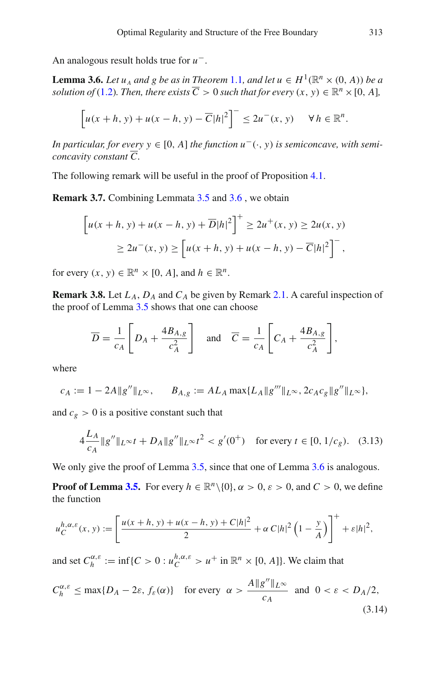An analogous result holds true for *u*−.

**Lemma 3.6.** *Let*  $u_A$  *and g be as in Theorem* [1.1](#page-3-0)*, and let*  $u \in H^1(\mathbb{R}^n \times (0, A))$  *be a solution of* [\(1.2\)](#page-2-1)*. Then, there exists*  $\overline{C} > 0$  *such that for every*  $(x, y) \in \mathbb{R}^n \times [0, A]$ *,* 

<span id="page-15-0"></span>
$$
\[u(x+h, y) + u(x-h, y) - \overline{C}|h|^2\]^{-} \leq 2u^{-}(x, y) \quad \forall h \in \mathbb{R}^n.
$$

*In particular, for every y* ∈ [0, A] *the function*  $u^-$ ( $\cdot$ , *y*) *is semiconcave, with semiconcavity constant C.*

<span id="page-15-1"></span>The following remark will be useful in the proof of Proposition [4.1.](#page-20-0)

**Remark 3.7.** Combining Lemmata [3.5](#page-14-0) and [3.6](#page-15-0), we obtain

$$
\[u(x+h, y) + u(x-h, y) + \overline{D}|h|^2\]^{+} \ge 2u^{+}(x, y) \ge 2u(x, y)
$$
  
 
$$
\ge 2u^{-}(x, y) \ge \left[u(x+h, y) + u(x-h, y) - \overline{C}|h|^2\right]^{-},
$$

for every  $(x, y) \in \mathbb{R}^n \times [0, A]$ , and  $h \in \mathbb{R}^n$ .

<span id="page-15-2"></span>**Remark 3.8.** Let  $L_A$ ,  $D_A$  and  $C_A$  be given by Remark [2.1.](#page-6-2) A careful inspection of the proof of Lemma [3.5](#page-14-0) shows that one can choose

$$
\overline{D} = \frac{1}{c_A} \left[ D_A + \frac{4B_{A,g}}{c_A^2} \right] \quad \text{and} \quad \overline{C} = \frac{1}{c_A} \left[ C_A + \frac{4B_{A,g}}{c_A^2} \right],
$$

where

$$
c_A := 1 - 2A \|g''\|_{L^{\infty}}, \qquad B_{A,g} := AL_A \max\{L_A \|g''' \|_{L^{\infty}}, 2c_A c_g \|g'' \|_{L^{\infty}}\},
$$

and  $c_g > 0$  is a positive constant such that

<span id="page-15-4"></span>
$$
4\frac{L_A}{c_A} \|g''\|_{L^\infty} t + D_A \|g''\|_{L^\infty} t^2 < g'(0^+) \quad \text{for every } t \in [0, 1/c_g). \tag{3.13}
$$

We only give the proof of Lemma [3.5,](#page-14-0) since that one of Lemma [3.6](#page-15-0) is analogous.

**Proof of Lemma [3.5.](#page-14-0)** For every  $h \in \mathbb{R}^n \setminus \{0\}$ ,  $\alpha > 0$ ,  $\varepsilon > 0$ , and  $C > 0$ , we define the function

$$
u_C^{h,\alpha,\varepsilon}(x,y) := \left[\frac{u(x+h,y) + u(x-h,y) + C|h|^2}{2} + \alpha C|h|^2 \left(1 - \frac{y}{A}\right)\right]^+ + \varepsilon|h|^2,
$$

and set  $C_h^{\alpha, \varepsilon} := \inf \{ C > 0 : u_C^{h, \alpha, \varepsilon} > u^+ \text{ in } \mathbb{R}^n \times [0, A] \}.$  We claim that

<span id="page-15-3"></span>
$$
C_h^{\alpha,\varepsilon} \le \max\{D_A - 2\varepsilon, f_\varepsilon(\alpha)\} \quad \text{for every} \quad \alpha > \frac{A\|g''\|_{L^\infty}}{c_A} \quad \text{and} \quad 0 < \varepsilon < D_A/2,\tag{3.14}
$$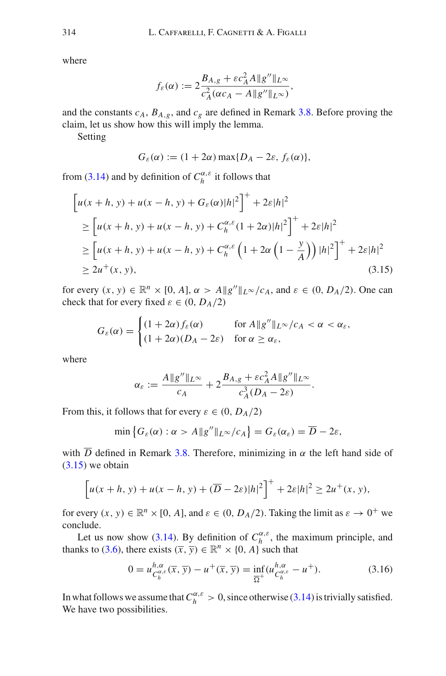where

$$
f_{\varepsilon}(\alpha) := 2 \frac{B_{A,g} + \varepsilon c_A^2 A \|g''\|_{L^{\infty}}}{c_A^2 (\alpha c_A - A \|g''\|_{L^{\infty}})},
$$

and the constants  $c_A$ ,  $B_{A,g}$ , and  $c_g$  are defined in Remark [3.8.](#page-15-2) Before proving the claim, let us show how this will imply the lemma.

Setting

<span id="page-16-0"></span>
$$
G_{\varepsilon}(\alpha) := (1 + 2\alpha) \max\{D_A - 2\varepsilon, f_{\varepsilon}(\alpha)\},\
$$

from [\(3.14\)](#page-15-3) and by definition of  $C_h^{\alpha,\varepsilon}$  it follows that

$$
\begin{aligned} & \left[ u(x+h, y) + u(x-h, y) + G_{\varepsilon}(\alpha) |h|^2 \right]^+ + 2\varepsilon |h|^2 \\ & \ge \left[ u(x+h, y) + u(x-h, y) + C_h^{\alpha, \varepsilon} (1 + 2\alpha) |h|^2 \right]^+ + 2\varepsilon |h|^2 \\ & \ge \left[ u(x+h, y) + u(x-h, y) + C_h^{\alpha, \varepsilon} \left( 1 + 2\alpha \left( 1 - \frac{y}{A} \right) \right) |h|^2 \right]^+ + 2\varepsilon |h|^2 \\ & \ge 2u^+(x, y), \end{aligned} \tag{3.15}
$$

for every  $(x, y) \in \mathbb{R}^n \times [0, A], \alpha > A \|g''\|_{L^\infty}/c_A$ , and  $\varepsilon \in (0, D_A/2)$ . One can check that for every fixed  $\varepsilon \in (0, D_A/2)$ 

$$
G_{\varepsilon}(\alpha) = \begin{cases} (1+2\alpha) f_{\varepsilon}(\alpha) & \text{for } A \|g''\|_{L^{\infty}}/c_A < \alpha < \alpha_{\varepsilon}, \\ (1+2\alpha)(D_A - 2\varepsilon) & \text{for } \alpha \ge \alpha_{\varepsilon}, \end{cases}
$$

where

$$
\alpha_{\varepsilon} := \frac{A \|g''\|_{L^{\infty}}}{c_A} + 2 \frac{B_{A,g} + \varepsilon c_A^2 A \|g''\|_{L^{\infty}}}{c_A^3 (D_A - 2\varepsilon)}.
$$

From this, it follows that for every  $\varepsilon \in (0, D_A/2)$ 

$$
\min \left\{ G_{\varepsilon}(\alpha) : \alpha > A \| g'' \|_{L^{\infty}} / c_A \right\} = G_{\varepsilon}(\alpha_{\varepsilon}) = \overline{D} - 2\varepsilon,
$$

with  $\overline{D}$  defined in Remark [3.8.](#page-15-2) Therefore, minimizing in  $\alpha$  the left hand side of  $(3.15)$  we obtain

$$
\[u(x+h, y) + u(x-h, y) + (\overline{D} - 2\varepsilon)|h|^2\]^{+} + 2\varepsilon|h|^2 \ge 2u^{+}(x, y),
$$

for every  $(x, y) \in \mathbb{R}^n \times [0, A]$ , and  $\varepsilon \in (0, D_A/2)$ . Taking the limit as  $\varepsilon \to 0^+$  we conclude.

Let us now show [\(3.14\)](#page-15-3). By definition of  $C_h^{\alpha,\varepsilon}$ , the maximum principle, and thanks to [\(3.6\)](#page-10-1), there exists  $(\overline{x}, \overline{y}) \in \mathbb{R}^n \times \{0, A\}$  such that

$$
0 = u_{C_h^{\alpha,\varepsilon}}^{h,\alpha}(\overline{x}, \overline{y}) - u^+(\overline{x}, \overline{y}) = \inf_{\overline{\Omega}^+} (u_{C_h^{\alpha,\varepsilon}}^{h,\alpha} - u^+). \tag{3.16}
$$

In what follows we assume that  $C_h^{\alpha,\varepsilon} > 0$ , since otherwise [\(3.14\)](#page-15-3) is trivially satisfied. We have two possibilities.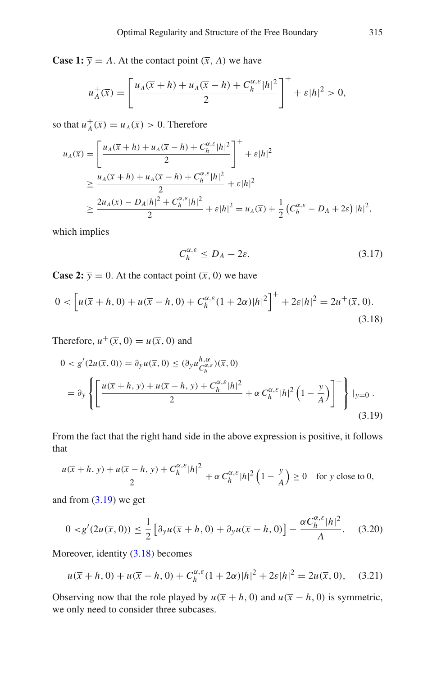**Case 1:**  $\overline{y} = A$ . At the contact point  $(\overline{x}, A)$  we have

$$
u_A^+(\overline{x}) = \left[\frac{u_A(\overline{x}+h) + u_A(\overline{x}-h) + C_h^{\alpha,\varepsilon}|h|^2}{2}\right]^+ + \varepsilon|h|^2 > 0,
$$

so that  $u_A^+(\overline{x}) = u_A(\overline{x}) > 0$ . Therefore

$$
u_{A}(\overline{x}) = \left[ \frac{u_{A}(\overline{x} + h) + u_{A}(\overline{x} - h) + C_{h}^{\alpha,\varepsilon} |h|^{2}}{2} \right]^{+} + \varepsilon |h|^{2}
$$
  
\n
$$
\geq \frac{u_{A}(\overline{x} + h) + u_{A}(\overline{x} - h) + C_{h}^{\alpha,\varepsilon} |h|^{2}}{2} + \varepsilon |h|^{2}
$$
  
\n
$$
\geq \frac{2u_{A}(\overline{x}) - D_{A} |h|^{2} + C_{h}^{\alpha,\varepsilon} |h|^{2}}{2} + \varepsilon |h|^{2} = u_{A}(\overline{x}) + \frac{1}{2} \left( C_{h}^{\alpha,\varepsilon} - D_{A} + 2\varepsilon \right) |h|^{2},
$$

which implies

<span id="page-17-4"></span><span id="page-17-0"></span>
$$
C_h^{\alpha,\varepsilon} \le D_A - 2\varepsilon. \tag{3.17}
$$

**Case 2:**  $\overline{y} = 0$ . At the contact point  $(\overline{x}, 0)$  we have

<span id="page-17-1"></span>
$$
0 < \left[ u(\overline{x} + h, 0) + u(\overline{x} - h, 0) + C_h^{\alpha, \varepsilon} (1 + 2\alpha) |h|^2 \right]^+ + 2\varepsilon |h|^2 = 2u^+(\overline{x}, 0). \tag{3.18}
$$

Therefore,  $u^+(\overline{x}, 0) = u(\overline{x}, 0)$  and

$$
0 < g'(2u(\overline{x}, 0)) = \partial_y u(\overline{x}, 0) \leq (\partial_y u_{C_h^{\alpha,\varepsilon}}^{h,\alpha})(\overline{x}, 0)
$$
\n
$$
= \partial_y \left\{ \left[ \frac{u(\overline{x} + h, y) + u(\overline{x} - h, y) + C_h^{\alpha,\varepsilon} |h|^2}{2} + \alpha C_h^{\alpha,\varepsilon} |h|^2 \left( 1 - \frac{y}{A} \right) \right]^{+} \right\} \big|_{y=0} \tag{3.19}
$$

From the fact that the right hand side in the above expression is positive, it follows that

$$
\frac{u(\overline{x}+h, y)+u(\overline{x}-h, y)+C_h^{\alpha,\varepsilon}|h|^2}{2}+\alpha C_h^{\alpha,\varepsilon}|h|^2\left(1-\frac{y}{A}\right)\geq 0 \text{ for } y \text{ close to } 0,
$$

and from [\(3.19\)](#page-17-0) we get

<span id="page-17-2"></span>
$$
0 < g'(2u(\overline{x}, 0)) \le \frac{1}{2} \left[ \partial_y u(\overline{x} + h, 0) + \partial_y u(\overline{x} - h, 0) \right] - \frac{\alpha C_h^{\alpha, \varepsilon} |h|^2}{A}.
$$
 (3.20)

Moreover, identity [\(3.18\)](#page-17-1) becomes

<span id="page-17-3"></span>
$$
u(\overline{x} + h, 0) + u(\overline{x} - h, 0) + C_h^{\alpha, \varepsilon} (1 + 2\alpha) |h|^2 + 2\varepsilon |h|^2 = 2u(\overline{x}, 0), \quad (3.21)
$$

Observing now that the role played by  $u(\overline{x} + h, 0)$  and  $u(\overline{x} - h, 0)$  is symmetric, we only need to consider three subcases.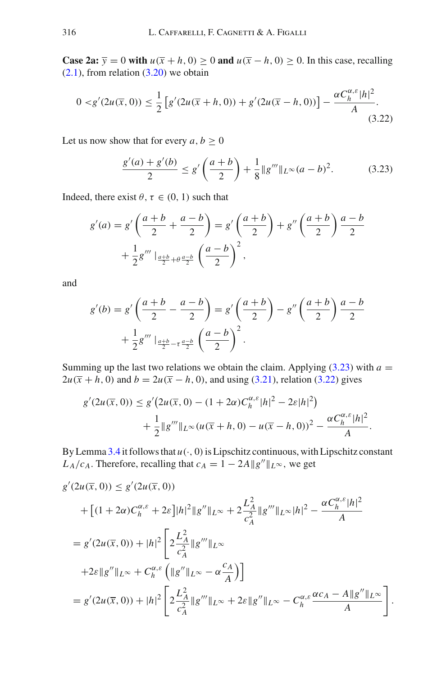**Case 2a:**  $\overline{y} = 0$  with  $u(\overline{x} + h, 0) \ge 0$  and  $u(\overline{x} - h, 0) \ge 0$ . In this case, recalling  $(2.1)$ , from relation  $(3.20)$  we obtain

$$
0 < g'(2u(\overline{x}, 0)) \le \frac{1}{2} \left[ g'(2u(\overline{x} + h, 0)) + g'(2u(\overline{x} - h, 0)) \right] - \frac{\alpha C_h^{\alpha, \varepsilon} |h|^2}{A} . \tag{3.22}
$$

Let us now show that for every  $a, b \geq 0$ 

<span id="page-18-1"></span><span id="page-18-0"></span>
$$
\frac{g'(a) + g'(b)}{2} \le g'\left(\frac{a+b}{2}\right) + \frac{1}{8}||g'''||_{L^{\infty}}(a-b)^2.
$$
 (3.23)

Indeed, there exist  $\theta$ ,  $\tau \in (0, 1)$  such that

$$
g'(a) = g'\left(\frac{a+b}{2} + \frac{a-b}{2}\right) = g'\left(\frac{a+b}{2}\right) + g''\left(\frac{a+b}{2}\right)\frac{a-b}{2} + \frac{1}{2}g''' \Big|_{\frac{a+b}{2} + \theta \frac{a-b}{2}} \left(\frac{a-b}{2}\right)^2,
$$

and

$$
g'(b) = g'\left(\frac{a+b}{2} - \frac{a-b}{2}\right) = g'\left(\frac{a+b}{2}\right) - g''\left(\frac{a+b}{2}\right)\frac{a-b}{2} + \frac{1}{2}g''' \Big|_{\frac{a+b}{2} - t\frac{a-b}{2}} \left(\frac{a-b}{2}\right)^2.
$$

Summing up the last two relations we obtain the claim. Applying  $(3.23)$  with  $a =$  $2u(\bar{x} + h, 0)$  and  $b = 2u(\bar{x} - h, 0)$ , and using [\(3.21\)](#page-17-3), relation [\(3.22\)](#page-18-1) gives

$$
g'(2u(\overline{x},0)) \le g'(2u(\overline{x},0) - (1+2\alpha)C_h^{\alpha,\varepsilon}|h|^2 - 2\varepsilon|h|^2) + \frac{1}{2}||g'''||_{L^{\infty}}(u(\overline{x}+h,0) - u(\overline{x}-h,0))^2 - \frac{\alpha C_h^{\alpha,\varepsilon}|h|^2}{A}.
$$

By Lemma [3.4](#page-12-0) it follows that  $u(\cdot, 0)$  is Lipschitz continuous, with Lipschitz constant  $L_A/c_A$ . Therefore, recalling that  $c_A = 1 - 2A||g''||_{L^{\infty}}$ , we get

$$
g'(2u(\overline{x}, 0)) \le g'(2u(\overline{x}, 0))
$$
  
+ 
$$
[(1 + 2\alpha)C_h^{\alpha,\varepsilon} + 2\varepsilon] |h|^2 ||g''||_{L^{\infty}} + 2\frac{L_A^2}{c_A^2} ||g'''||_{L^{\infty}} |h|^2 - \frac{\alpha C_h^{\alpha,\varepsilon} |h|^2}{A}
$$
  
= 
$$
g'(2u(\overline{x}, 0)) + |h|^2 \left[ 2\frac{L_A^2}{c_A^2} ||g'''||_{L^{\infty}}
$$
  
+ 
$$
2\varepsilon ||g''||_{L^{\infty}} + C_h^{\alpha,\varepsilon} \left( ||g''||_{L^{\infty}} - \alpha \frac{c_A}{A} \right) \right]
$$
  
= 
$$
g'(2u(\overline{x}, 0)) + |h|^2 \left[ 2\frac{L_A^2}{c_A^2} ||g'''||_{L^{\infty}} + 2\varepsilon ||g''||_{L^{\infty}} - C_h^{\alpha,\varepsilon} \frac{\alpha c_A - A ||g''||_{L^{\infty}}}{A} \right].
$$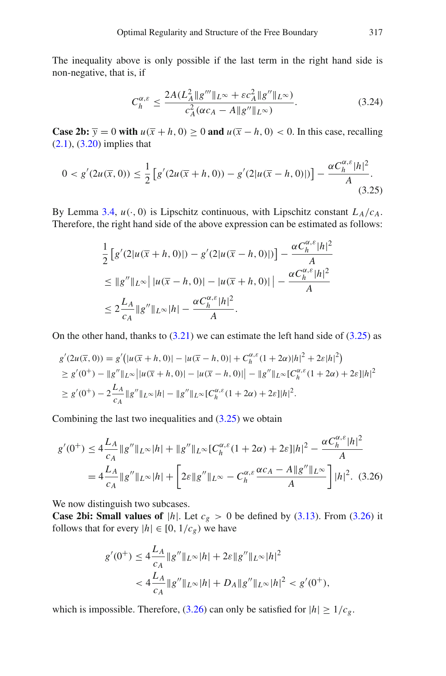The inequality above is only possible if the last term in the right hand side is non-negative, that is, if

<span id="page-19-2"></span><span id="page-19-0"></span>
$$
C_h^{\alpha,\varepsilon} \le \frac{2A(L_A^2 \|g''' \|_{L^\infty} + \varepsilon c_A^2 \|g'' \|_{L^\infty})}{c_A^2 (\alpha c_A - A \|g'' \|_{L^\infty})}.
$$
\n(3.24)

**Case 2b:**  $\overline{y} = 0$  with  $u(\overline{x} + h, 0) \ge 0$  and  $u(\overline{x} - h, 0) < 0$ . In this case, recalling  $(2.1)$ ,  $(3.20)$  implies that

$$
0 < g'(2u(\overline{x}, 0)) \le \frac{1}{2} \left[ g'(2u(\overline{x} + h, 0)) - g'(2|u(\overline{x} - h, 0)|) \right] - \frac{\alpha C_h^{\alpha, \varepsilon} |h|^2}{A}.
$$
\n(3.25)

By Lemma [3.4,](#page-12-0)  $u(\cdot, 0)$  is Lipschitz continuous, with Lipschitz constant  $L_A/c_A$ . Therefore, the right hand side of the above expression can be estimated as follows:

$$
\frac{1}{2} \left[ g'(2|u(\overline{x}+h,0)|) - g'(2|u(\overline{x}-h,0)|) \right] - \frac{\alpha C_h^{\alpha,\varepsilon} |h|^2}{A}
$$
\n
$$
\leq ||g''||_{L^{\infty}} \left| |u(\overline{x}-h,0)| - |u(\overline{x}+h,0)| \right| - \frac{\alpha C_h^{\alpha,\varepsilon} |h|^2}{A}
$$
\n
$$
\leq 2 \frac{L_A}{c_A} ||g''||_{L^{\infty}} |h| - \frac{\alpha C_h^{\alpha,\varepsilon} |h|^2}{A}.
$$

On the other hand, thanks to  $(3.21)$  we can estimate the left hand side of  $(3.25)$  as

$$
g'(2u(\overline{x},0)) = g'(|u(\overline{x}+h,0)| - |u(\overline{x}-h,0)| + C_h^{\alpha,\varepsilon}(1+2\alpha)|h|^2 + 2\varepsilon|h|^2)
$$
  
\n
$$
\geq g'(0^+) - ||g''||_{L^{\infty}}||u(\overline{x}+h,0)| - |u(\overline{x}-h,0)| - ||g''||_{L^{\infty}}[C_h^{\alpha,\varepsilon}(1+2\alpha) + 2\varepsilon]|h|^2
$$
  
\n
$$
\geq g'(0^+) - 2\frac{L_A}{c_A}||g''||_{L^{\infty}}|h| - ||g''||_{L^{\infty}}[C_h^{\alpha,\varepsilon}(1+2\alpha) + 2\varepsilon]|h|^2.
$$

Combining the last two inequalities and  $(3.25)$  we obtain

$$
g'(0^+) \le 4\frac{L_A}{c_A} \|g''\|_{L^\infty} |h| + \|g''\|_{L^\infty} [C_h^{\alpha,\varepsilon}(1+2\alpha) + 2\varepsilon] |h|^2 - \frac{\alpha C_h^{\alpha,\varepsilon} |h|^2}{A}
$$
  
=  $4\frac{L_A}{c_A} \|g''\|_{L^\infty} |h| + \left[2\varepsilon \|g''\|_{L^\infty} - C_h^{\alpha,\varepsilon} \frac{\alpha c_A - A \|g''\|_{L^\infty}}{A}\right] |h|^2.$  (3.26)

We now distinguish two subcases.

**Case 2bi: Small values of |h|.** Let  $c_g > 0$  be defined by [\(3.13\)](#page-15-4). From [\(3.26\)](#page-19-1) it follows that for every  $|h| ∈ [0, 1/c_g)$  we have

<span id="page-19-1"></span>
$$
g'(0^+) \le 4 \frac{L_A}{c_A} \|g''\|_{L^\infty} |h| + 2\varepsilon \|g''\|_{L^\infty} |h|^2
$$
  

$$
< 4 \frac{L_A}{c_A} \|g''\|_{L^\infty} |h| + D_A \|g''\|_{L^\infty} |h|^2 < g'(0^+),
$$

which is impossible. Therefore,  $(3.26)$  can only be satisfied for  $|h| \geq 1/c_g$ .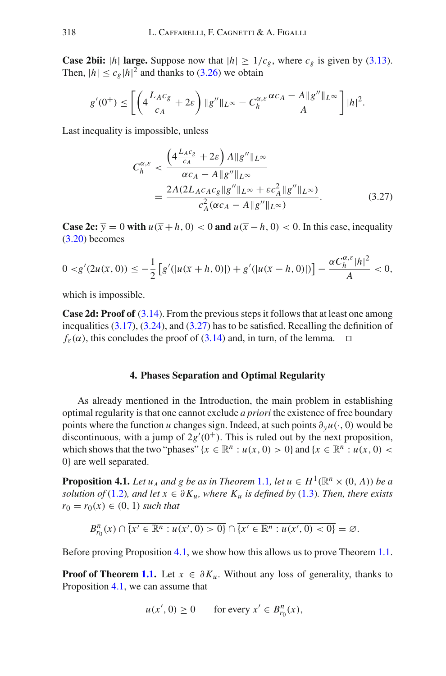**Case 2bii:** |*h*| **large.** Suppose now that  $|h| \ge 1/c_g$ , where  $c_g$  is given by [\(3.13\)](#page-15-4). Then,  $|h| \leq c_g |h|^2$  and thanks to [\(3.26\)](#page-19-1) we obtain

$$
g'(0^+) \le \left[ \left( 4\frac{L_A c_g}{c_A} + 2\varepsilon \right) \|g''\|_{L^\infty} - C_h^{\alpha,\varepsilon} \frac{\alpha c_A - A \|g''\|_{L^\infty}}{A} \right] |h|^2.
$$

Last inequality is impossible, unless

<span id="page-20-2"></span>
$$
C_h^{\alpha,\varepsilon} < \frac{\left(4\frac{L_{AC_g}}{c_A} + 2\varepsilon\right)A\|g''\|_{L^\infty}}{\alpha c_A - A\|g''\|_{L^\infty}} \\
= \frac{2A(2L_{AC_A C_g} \|g''\|_{L^\infty} + \varepsilon c_A^2 \|g''\|_{L^\infty})}{c_A^2(\alpha c_A - A\|g''\|_{L^\infty})}.\tag{3.27}
$$

**Case 2c:**  $\overline{y} = 0$  with  $u(\overline{x} + h, 0) < 0$  and  $u(\overline{x} - h, 0) < 0$ . In this case, inequality [\(3.20\)](#page-17-2) becomes

$$
0 < g'(2u(\overline{x}, 0)) \le -\frac{1}{2} \left[ g'(|u(\overline{x}+h, 0)|) + g'(|u(\overline{x}-h, 0)|) \right] - \frac{\alpha C_h^{\alpha, \varepsilon} |h|^2}{A} < 0,
$$

which is impossible.

**Case 2d: Proof of** [\(3.14\)](#page-15-3). From the previous steps it follows that at least one among inequalities  $(3.17)$ ,  $(3.24)$ , and  $(3.27)$  has to be satisfied. Recalling the definition of  $f_{\varepsilon}(\alpha)$ , this concludes the proof of [\(3.14\)](#page-15-3) and, in turn, of the lemma.  $\square$ 

#### <span id="page-20-0"></span>**4. Phases Separation and Optimal Regularity**

<span id="page-20-1"></span>As already mentioned in the Introduction, the main problem in establishing optimal regularity is that one cannot exclude *a priori* the existence of free boundary points where the function *u* changes sign. Indeed, at such points  $\partial_y u(\cdot, 0)$  would be discontinuous, with a jump of  $2g'(0^+)$ . This is ruled out by the next proposition, which shows that the two "phases" { $x \in \mathbb{R}^n : u(x, 0) > 0$ } and { $x \in \mathbb{R}^n : u(x, 0) <$ 0} are well separated.

**Proposition 4.1.** *Let*  $u_A$  *and g be as in Theorem* [1.1](#page-3-0), *let*  $u \in H^1(\mathbb{R}^n \times (0, A))$  *be a solution of* [\(1.2\)](#page-2-1)*, and let*  $x \in \partial K_u$ *, where*  $K_u$  *is defined by* [\(1.3\)](#page-2-3)*. Then, there exists*  $r_0 = r_0(x) \in (0, 1)$  *such that* 

$$
B_{r_0}^n(x) \cap \overline{\{x' \in \mathbb{R}^n : u(x',0) > 0\}} \cap \overline{\{x' \in \mathbb{R}^n : u(x',0) < 0\}} = \varnothing.
$$

Before proving Proposition [4.1,](#page-20-0) we show how this allows us to prove Theorem [1.1.](#page-3-0)

**Proof of Theorem [1.1.](#page-3-0)** Let  $x \in \partial K_u$ . Without any loss of generality, thanks to Proposition [4.1,](#page-20-0) we can assume that

$$
u(x', 0) \ge 0 \qquad \text{for every } x' \in B_{r_0}^n(x),
$$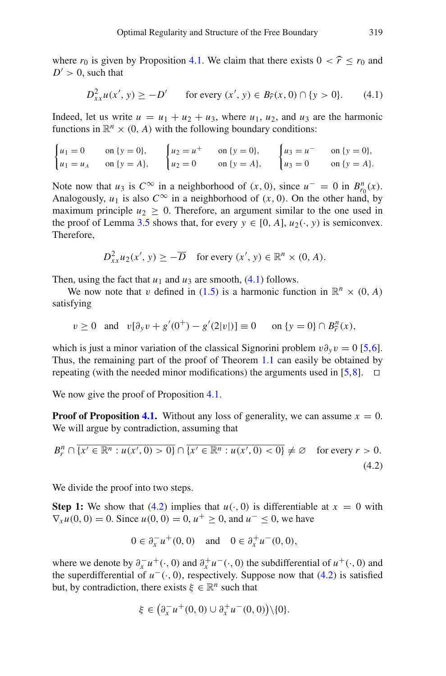where  $r_0$  is given by Proposition [4.1.](#page-20-0) We claim that there exists  $0 < \hat{r} \le r_0$  and  $D' > 0$ , such that

<span id="page-21-0"></span>
$$
D_{xx}^2 u(x', y) \ge -D' \qquad \text{for every } (x', y) \in B_{\widehat{r}}(x, 0) \cap \{y > 0\}. \tag{4.1}
$$

Indeed, let us write  $u = u_1 + u_2 + u_3$ , where  $u_1, u_2$ , and  $u_3$  are the harmonic functions in  $\mathbb{R}^n \times (0, A)$  with the following boundary conditions:

$$
\begin{cases} u_1 = 0 & \text{on } \{y = 0\}, \\ u_1 = u_A & \text{on } \{y = A\}, \end{cases} \qquad \begin{cases} u_2 = u^+ & \text{on } \{y = 0\}, \\ u_2 = 0 & \text{on } \{y = A\}, \end{cases} \qquad \begin{cases} u_3 = u^- & \text{on } \{y = 0\}, \\ u_3 = 0 & \text{on } \{y = A\}. \end{cases}
$$

Note now that *u*<sub>3</sub> is  $C^{\infty}$  in a neighborhood of  $(x, 0)$ , since  $u^{-} = 0$  in  $B_{r_0}^n(x)$ . Analogously,  $u_1$  is also  $C^{\infty}$  in a neighborhood of  $(x, 0)$ . On the other hand, by maximum principle  $u_2 > 0$ . Therefore, an argument similar to the one used in the proof of Lemma [3.5](#page-14-0) shows that, for every  $y \in [0, A]$ ,  $u_2(\cdot, y)$  is semiconvex. Therefore,

$$
D_{xx}^2 u_2(x', y) \ge -\overline{D} \quad \text{for every } (x', y) \in \mathbb{R}^n \times (0, A).
$$

Then, using the fact that  $u_1$  and  $u_3$  are smooth, [\(4.1\)](#page-21-0) follows.

We now note that v defined in [\(1.5\)](#page-4-0) is a harmonic function in  $\mathbb{R}^n \times (0, A)$ satisfying

$$
v \ge 0
$$
 and  $v[\partial_y v + g'(0^+) - g'(2|v|)] \equiv 0$  on  $\{y = 0\} \cap B_{\hat{r}}^n(x)$ ,

which is just a minor variation of the classical Signorini problem  $v\partial_\gamma v = 0$  [\[5](#page-46-9),[6\]](#page-46-12). Thus, the remaining part of the proof of Theorem [1.1](#page-3-0) can easily be obtained by repeating (with the needed minor modifications) the arguments used in [\[5](#page-46-9)[,8](#page-46-10)].  $\Box$ 

We now give the proof of Proposition [4.1.](#page-20-0)

**Proof of Proposition [4.1.](#page-20-0)** Without any loss of generality, we can assume  $x = 0$ . We will argue by contradiction, assuming that

<span id="page-21-1"></span>
$$
B_r^n \cap \overline{\{x' \in \mathbb{R}^n : u(x', 0) > 0\}} \cap \overline{\{x' \in \mathbb{R}^n : u(x', 0) < 0\}} \neq \emptyset \quad \text{for every } r > 0. \tag{4.2}
$$

We divide the proof into two steps.

**Step 1:** We show that [\(4.2\)](#page-21-1) implies that  $u(\cdot, 0)$  is differentiable at  $x = 0$  with  $\nabla_x u(0, 0) = 0$ . Since  $u(0, 0) = 0$ ,  $u^+ \ge 0$ , and  $u^- \le 0$ , we have

$$
0 \in \partial_x^{-} u^{+}(0,0)
$$
 and  $0 \in \partial_x^{+} u^{-}(0,0)$ ,

where we denote by  $\partial_x^+ u^+ (\cdot, 0)$  and  $\partial_x^+ u^- (\cdot, 0)$  the subdifferential of  $u^+ (\cdot, 0)$  and the superdifferential of  $u^-(\cdot, 0)$ , respectively. Suppose now that [\(4.2\)](#page-21-1) is satisfied but, by contradiction, there exists  $\xi \in \mathbb{R}^n$  such that

$$
\xi \in (\partial_x^{-} u^{+}(0,0) \cup \partial_x^{+} u^{-}(0,0)) \setminus \{0\}.
$$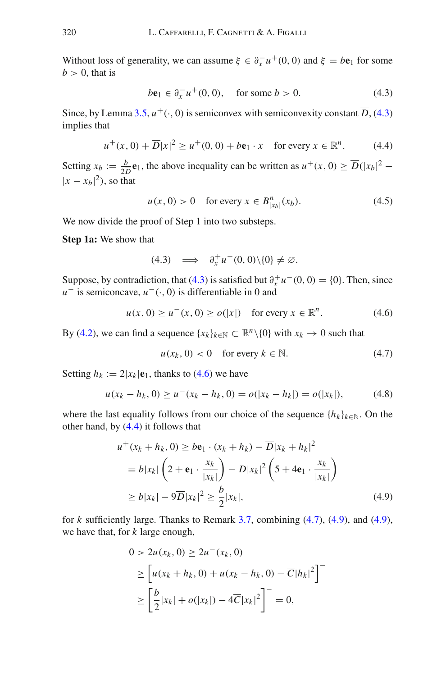Without loss of generality, we can assume  $\xi \in \partial_x^{-} u^{+}(0, 0)$  and  $\xi = b\mathbf{e}_1$  for some  $b > 0$ , that is

<span id="page-22-0"></span>
$$
b\mathbf{e}_1 \in \partial_x^{-} u^{+}(0,0), \quad \text{for some } b > 0. \tag{4.3}
$$

Since, by Lemma [3.5,](#page-14-0)  $u^+(\cdot, 0)$  is semiconvex with semiconvexity constant  $\overline{D}$ , [\(4.3\)](#page-22-0) implies that

<span id="page-22-2"></span>
$$
u^+(x,0) + \overline{D}|x|^2 \ge u^+(0,0) + b\mathbf{e}_1 \cdot x \quad \text{for every } x \in \mathbb{R}^n. \tag{4.4}
$$

Setting  $x_b := \frac{b}{2D} \mathbf{e}_1$ , the above inequality can be written as  $u^+(x, 0) \ge \overline{D}(|x_b|^2 - 1)$  $|x - x_b|^2$ ), so that

<span id="page-22-5"></span>
$$
u(x, 0) > 0
$$
 for every  $x \in B_{|x_b|}^n(x_b)$ . (4.5)

We now divide the proof of Step 1 into two substeps.

**Step 1a:** We show that

$$
(4.3) \quad \Longrightarrow \quad \partial_x^+ u^-(0,0) \setminus \{0\} \neq \varnothing.
$$

Suppose, by contradiction, that [\(4.3\)](#page-22-0) is satisfied but  $\partial_x^+ u^-(0,0) = \{0\}$ . Then, since *u*<sup>−</sup> is semiconcave, *u*<sup>−</sup>(·, 0) is differentiable in 0 and

<span id="page-22-1"></span>
$$
u(x, 0) \ge u^-(x, 0) \ge o(|x|) \quad \text{for every } x \in \mathbb{R}^n. \tag{4.6}
$$

By [\(4.2\)](#page-21-1), we can find a sequence  $\{x_k\}_{k\in\mathbb{N}} \subset \mathbb{R}^n \setminus \{0\}$  with  $x_k \to 0$  such that

<span id="page-22-3"></span>
$$
u(x_k, 0) < 0 \quad \text{for every } k \in \mathbb{N}.\tag{4.7}
$$

Setting  $h_k := 2|x_k| \mathbf{e}_1$ , thanks to [\(4.6\)](#page-22-1) we have

$$
u(x_k - h_k, 0) \ge u^-(x_k - h_k, 0) = o(|x_k - h_k|) = o(|x_k|), \tag{4.8}
$$

where the last equality follows from our choice of the sequence  ${h_k}_{k \in \mathbb{N}}$ . On the other hand, by [\(4.4\)](#page-22-2) it follows that

$$
u^+(x_k + h_k, 0) \ge b\mathbf{e}_1 \cdot (x_k + h_k) - \overline{D}|x_k + h_k|^2
$$
  
=  $b|x_k|\left(2 + \mathbf{e}_1 \cdot \frac{x_k}{|x_k|}\right) - \overline{D}|x_k|^2 \left(5 + 4\mathbf{e}_1 \cdot \frac{x_k}{|x_k|}\right)$   
 $\ge b|x_k| - 9\overline{D}|x_k|^2 \ge \frac{b}{2}|x_k|,$  (4.9)

for *k* sufficiently large. Thanks to Remark [3.7,](#page-15-1) combining [\(4.7\)](#page-22-3), [\(4.9\)](#page-22-4), and [\(4.9\)](#page-22-4), we have that, for *k* large enough,

<span id="page-22-4"></span>
$$
0 > 2u(x_k, 0) \ge 2u^{-}(x_k, 0)
$$
  
\n
$$
\ge \left[ u(x_k + h_k, 0) + u(x_k - h_k, 0) - \overline{C}|h_k|^2 \right]^{-1}
$$
  
\n
$$
\ge \left[ \frac{b}{2}|x_k| + o(|x_k|) - 4\overline{C}|x_k|^2 \right]^{-1} = 0,
$$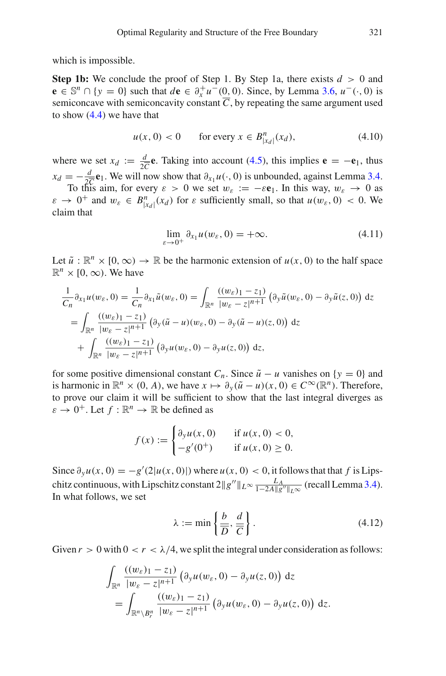which is impossible.

**Step 1b:** We conclude the proof of Step 1. By Step 1a, there exists  $d > 0$  and **e** ∈ S<sup>*n*</sup> ∩ {*y* = 0} such that *d***e** ∈  $\partial_x^+ u^-(0, 0)$ . Since, by Lemma [3.6,](#page-15-0)  $u^-(\cdot, 0)$  is semiconcave with semiconcavity constant  $\overline{C}$ , by repeating the same argument used to show  $(4.4)$  we have that

<span id="page-23-0"></span>
$$
u(x, 0) < 0
$$
 for every  $x \in B_{|x_d|}^n(x_d)$ , (4.10)

where we set  $x_d := \frac{d}{2C}$ **e**. Taking into account [\(4.5\)](#page-22-5), this implies **e** = −**e**<sub>1</sub>, thus  $x_d = -\frac{d}{2\overline{C}}$ **e**<sub>1</sub>. We will now show that  $\partial_{x_1} u(\cdot, 0)$  is unbounded, against Lemma [3.4.](#page-12-0)

To this aim, for every  $\varepsilon > 0$  we set  $w_{\varepsilon} := -\varepsilon \mathbf{e}_1$ . In this way,  $w_{\varepsilon} \to 0$  as  $\varepsilon \to 0^+$  and  $w_{\varepsilon} \in B_{|x_d|}^n(x_d)$  for  $\varepsilon$  sufficiently small, so that  $u(w_{\varepsilon}, 0) < 0$ . We claim that

<span id="page-23-2"></span>
$$
\lim_{\varepsilon \to 0^+} \partial_{x_1} u(w_{\varepsilon}, 0) = +\infty. \tag{4.11}
$$

Let  $\tilde{u}: \mathbb{R}^n \times [0, \infty) \to \mathbb{R}$  be the harmonic extension of  $u(x, 0)$  to the half space  $\mathbb{R}^n \times [0, \infty)$ . We have

$$
\frac{1}{C_n} \partial_{x_1} u(w_{\varepsilon}, 0) = \frac{1}{C_n} \partial_{x_1} \tilde{u}(w_{\varepsilon}, 0) = \int_{\mathbb{R}^n} \frac{((w_{\varepsilon})_1 - z_1)}{|w_{\varepsilon} - z|^{n+1}} \left( \partial_y \tilde{u}(w_{\varepsilon}, 0) - \partial_y \tilde{u}(z, 0) \right) dz
$$
  
\n
$$
= \int_{\mathbb{R}^n} \frac{((w_{\varepsilon})_1 - z_1)}{|w_{\varepsilon} - z|^{n+1}} \left( \partial_y (\tilde{u} - u)(w_{\varepsilon}, 0) - \partial_y (\tilde{u} - u)(z, 0) \right) dz
$$
  
\n
$$
+ \int_{\mathbb{R}^n} \frac{((w_{\varepsilon})_1 - z_1)}{|w_{\varepsilon} - z|^{n+1}} \left( \partial_y u(w_{\varepsilon}, 0) - \partial_y u(z, 0) \right) dz,
$$

for some positive dimensional constant *C<sub>n</sub>*. Since  $\tilde{u} - u$  vanishes on {*y* = 0} and is harmonic in  $\mathbb{R}^n \times (0, A)$ , we have  $x \mapsto \partial_y(\tilde{u} - u)(x, 0) \in C^\infty(\mathbb{R}^n)$ . Therefore, to prove our claim it will be sufficient to show that the last integral diverges as  $\varepsilon \to 0^+$ . Let  $f : \mathbb{R}^n \to \mathbb{R}$  be defined as

$$
f(x) := \begin{cases} \frac{\partial_y u(x,0)}{\partial_y (0^+)} & \text{if } u(x,0) < 0, \\ -g'(0^+) & \text{if } u(x,0) \ge 0. \end{cases}
$$

Since  $\partial_y u(x, 0) = -g'(2|u(x, 0)|)$  where  $u(x, 0) < 0$ , it follows that that *f* is Lipschitz continuous, with Lipschitz constant  $2||g''||_{L^{\infty}} \frac{L_A}{1-2A||g''||_{L^{\infty}}}$  (recall Lemma [3.4\)](#page-12-0). In what follows, we set

<span id="page-23-1"></span>
$$
\lambda := \min\left\{\frac{b}{\overline{D}}, \frac{d}{\overline{C}}\right\}.
$$
\n(4.12)

Given  $r > 0$  with  $0 < r < \lambda/4$ , we split the integral under consideration as follows:

$$
\int_{\mathbb{R}^n} \frac{\left((w_{\varepsilon})_1 - z_1\right)}{|w_{\varepsilon} - z|^{n+1}} \left(\partial_y u(w_{\varepsilon}, 0) - \partial_y u(z, 0)\right) dz
$$
\n
$$
= \int_{\mathbb{R}^n \setminus B_r^n} \frac{\left((w_{\varepsilon})_1 - z_1\right)}{|w_{\varepsilon} - z|^{n+1}} \left(\partial_y u(w_{\varepsilon}, 0) - \partial_y u(z, 0)\right) dz.
$$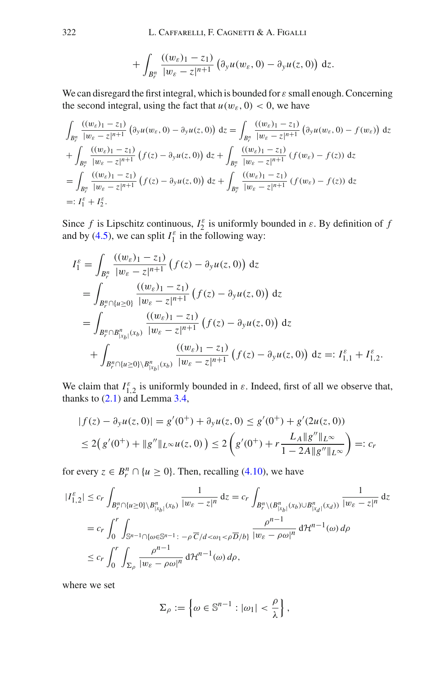$$
+\int_{B_r^n}\frac{((w_{\varepsilon})_1-z_1)}{|w_{\varepsilon}-z|^{n+1}}\left(\partial_y u(w_{\varepsilon},0)-\partial_y u(z,0)\right)\,\mathrm{d}z.
$$

We can disregard the first integral, which is bounded for  $\varepsilon$  small enough. Concerning the second integral, using the fact that  $u(w_{\varepsilon}, 0) < 0$ , we have

$$
\int_{B_r^n} \frac{((w_{\varepsilon})_1 - z_1)}{|w_{\varepsilon} - z|^{n+1}} \left( \partial_y u(w_{\varepsilon}, 0) - \partial_y u(z, 0) \right) dz = \int_{B_r^n} \frac{((w_{\varepsilon})_1 - z_1)}{|w_{\varepsilon} - z|^{n+1}} \left( \partial_y u(w_{\varepsilon}, 0) - f(w_{\varepsilon}) \right) dz \n+ \int_{B_r^n} \frac{((w_{\varepsilon})_1 - z_1)}{|w_{\varepsilon} - z|^{n+1}} \left( f(z) - \partial_y u(z, 0) \right) dz + \int_{B_r^n} \frac{((w_{\varepsilon})_1 - z_1)}{|w_{\varepsilon} - z|^{n+1}} \left( f(w_{\varepsilon}) - f(z) \right) dz \n= \int_{B_r^n} \frac{((w_{\varepsilon})_1 - z_1)}{|w_{\varepsilon} - z|^{n+1}} \left( f(z) - \partial_y u(z, 0) \right) dz + \int_{B_r^n} \frac{((w_{\varepsilon})_1 - z_1)}{|w_{\varepsilon} - z|^{n+1}} \left( f(w_{\varepsilon}) - f(z) \right) dz \n=: I_1^{\varepsilon} + I_2^{\varepsilon}.
$$

Since *f* is Lipschitz continuous,  $I_2^{\varepsilon}$  is uniformly bounded in  $\varepsilon$ . By definition of *f* and by [\(4.5\)](#page-22-5), we can split  $I_1^{\varepsilon}$  in the following way:

$$
I_1^{\varepsilon} = \int_{B_r^n} \frac{((w_{\varepsilon})_1 - z_1)}{|w_{\varepsilon} - z|^{n+1}} (f(z) - \partial_y u(z, 0)) dz
$$
  
\n
$$
= \int_{B_r^n \cap \{u \ge 0\}} \frac{((w_{\varepsilon})_1 - z_1)}{|w_{\varepsilon} - z|^{n+1}} (f(z) - \partial_y u(z, 0)) dz
$$
  
\n
$$
= \int_{B_r^n \cap B_{|x_b|}^n(x_b)} \frac{((w_{\varepsilon})_1 - z_1)}{|w_{\varepsilon} - z|^{n+1}} (f(z) - \partial_y u(z, 0)) dz
$$
  
\n
$$
+ \int_{B_r^n \cap \{u \ge 0\} \setminus B_{|x_b|}^n(x_b)} \frac{((w_{\varepsilon})_1 - z_1)}{|w_{\varepsilon} - z|^{n+1}} (f(z) - \partial_y u(z, 0)) dz =: I_{1,1}^{\varepsilon} + I_{1,2}^{\varepsilon}.
$$

We claim that  $I_{1,2}^{\varepsilon}$  is uniformly bounded in  $\varepsilon$ . Indeed, first of all we observe that, thanks to  $(2.1)$  and Lemma [3.4,](#page-12-0)

$$
|f(z) - \partial_y u(z, 0)| = g'(0^+) + \partial_y u(z, 0) \le g'(0^+) + g'(2u(z, 0))
$$
  

$$
\le 2(g'(0^+) + ||g''||_{L^{\infty}} u(z, 0)) \le 2(g'(0^+) + r \frac{L_A ||g''||_{L^{\infty}}}{1 - 2A ||g''||_{L^{\infty}}}) =: c_r
$$

for every  $z \in B_r^n \cap \{u \ge 0\}$ . Then, recalling [\(4.10\)](#page-23-0), we have

$$
|I_{1,2}^{\varepsilon}| \leq c_r \int_{B_r^n \cap \{u \geq 0\} \setminus B_{|x_b|}^n(x_b)} \frac{1}{|w_{\varepsilon} - z|^n} dz = c_r \int_{B_r^n \setminus (B_{|x_b|}^n(x_b) \cup B_{|x_d|}^n(x_d))} \frac{1}{|w_{\varepsilon} - z|^n} dz
$$
  

$$
= c_r \int_0^r \int_{\mathbb{S}^{n-1} \cap \{\omega \in \mathbb{S}^{n-1} : -\rho \overline{c}/d < \omega_1 < \rho \overline{D}/b\}} \frac{\rho^{n-1}}{|w_{\varepsilon} - \rho \omega|^n} d\mathcal{H}^{n-1}(\omega) d\rho
$$
  

$$
\leq c_r \int_0^r \int_{\Sigma_\rho} \frac{\rho^{n-1}}{|w_{\varepsilon} - \rho \omega|^n} d\mathcal{H}^{n-1}(\omega) d\rho,
$$

where we set

$$
\Sigma_{\rho} := \left\{ \omega \in \mathbb{S}^{n-1} : |\omega_1| < \frac{\rho}{\lambda} \right\},\
$$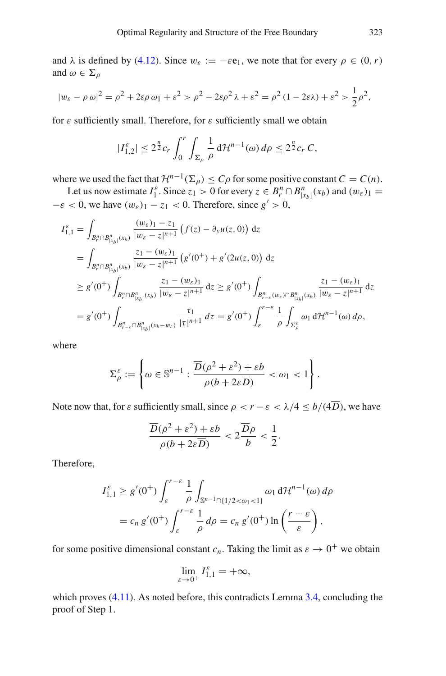and  $\lambda$  is defined by [\(4.12\)](#page-23-1). Since  $w_{\varepsilon} := -\varepsilon \mathbf{e}_1$ , we note that for every  $\rho \in (0, r)$ and  $\omega \in \Sigma_{\rho}$ 

$$
|w_{\varepsilon} - \rho \omega|^2 = \rho^2 + 2\varepsilon\rho \omega_1 + \varepsilon^2 > \rho^2 - 2\varepsilon\rho^2 \lambda + \varepsilon^2 = \rho^2 (1 - 2\varepsilon\lambda) + \varepsilon^2 > \frac{1}{2}\rho^2,
$$

for  $\varepsilon$  sufficiently small. Therefore, for  $\varepsilon$  sufficiently small we obtain

$$
|I_{1,2}^{\varepsilon}| \leq 2^{\frac{n}{2}} c_r \int_0^r \int_{\Sigma_\rho} \frac{1}{\rho} d\mathcal{H}^{n-1}(\omega) d\rho \leq 2^{\frac{n}{2}} c_r C,
$$

where we used the fact that  $\mathcal{H}^{n-1}(\Sigma_\rho) \leq C\rho$  for some positive constant  $C = C(n)$ .

Let us now estimate  $I_1^{\varepsilon}$ . Since  $z_1 > 0$  for every  $z \in B_r^n \cap B_{|x_b|}^n(x_b)$  and  $(w_{\varepsilon})_1 =$  $-\varepsilon < 0$ , we have  $(w_{\varepsilon})_1 - z_1 < 0$ . Therefore, since  $g' > 0$ ,

$$
I_{1,1}^{\varepsilon} = \int_{B_{r}^{n} \cap B_{|x_{b}|}^{n}(x_{b})} \frac{(w_{\varepsilon})_{1} - z_{1}}{|w_{\varepsilon} - z|^{n+1}} \left( f(z) - \partial_{y} u(z, 0) \right) dz
$$
  
\n
$$
= \int_{B_{r}^{n} \cap B_{|x_{b}|}^{n}(x_{b})} \frac{z_{1} - (w_{\varepsilon})_{1}}{|w_{\varepsilon} - z|^{n+1}} \left( g'(0^{+}) + g'(2u(z, 0)) \right) dz
$$
  
\n
$$
\geq g'(0^{+}) \int_{B_{r}^{n} \cap B_{|x_{b}|}^{n}(x_{b})} \frac{z_{1} - (w_{\varepsilon})_{1}}{|w_{\varepsilon} - z|^{n+1}} dz \geq g'(0^{+}) \int_{B_{r-\varepsilon}^{n}(w_{\varepsilon}) \cap B_{|x_{b}|}^{n}(x_{b})} \frac{z_{1} - (w_{\varepsilon})_{1}}{|w_{\varepsilon} - z|^{n+1}} dz
$$
  
\n
$$
= g'(0^{+}) \int_{B_{r-\varepsilon}^{n} \cap B_{|x_{b}|}^{n}(x_{b} - w_{\varepsilon})} \frac{\tau_{1}}{|\tau|^{n+1}} d\tau = g'(0^{+}) \int_{\varepsilon}^{r-\varepsilon} \frac{1}{\rho} \int_{\Sigma_{\rho}^{\varepsilon}} \omega_{1} d\mathcal{H}^{n-1}(\omega) d\rho,
$$

where

$$
\Sigma_{\rho}^{\varepsilon} := \left\{ \omega \in \mathbb{S}^{n-1} : \frac{\overline{D}(\rho^2 + \varepsilon^2) + \varepsilon b}{\rho(b + 2\varepsilon \overline{D})} < \omega_1 < 1 \right\}.
$$

Note now that, for  $\varepsilon$  sufficiently small, since  $\rho < r - \varepsilon < \lambda/4 \le b/(4\overline{D})$ , we have

$$
\frac{\overline{D}(\rho^2 + \varepsilon^2) + \varepsilon b}{\rho(b + 2\varepsilon \overline{D})} < 2\frac{\overline{D}\rho}{b} < \frac{1}{2}.
$$

Therefore,

$$
I_{1,1}^{\varepsilon} \ge g'(0^+) \int_{\varepsilon}^{r-\varepsilon} \frac{1}{\rho} \int_{\mathbb{S}^{n-1} \cap \{1/2 < \omega_1 < 1\}} \omega_1 d\mathcal{H}^{n-1}(\omega) d\rho
$$
  
=  $c_n g'(0^+) \int_{\varepsilon}^{r-\varepsilon} \frac{1}{\rho} d\rho = c_n g'(0^+) \ln \left( \frac{r-\varepsilon}{\varepsilon} \right),$ 

for some positive dimensional constant  $c_n$ . Taking the limit as  $\varepsilon \to 0^+$  we obtain

$$
\lim_{\varepsilon \to 0^+} I_{1,1}^{\varepsilon} = +\infty,
$$

which proves  $(4.11)$ . As noted before, this contradicts Lemma [3.4,](#page-12-0) concluding the proof of Step 1.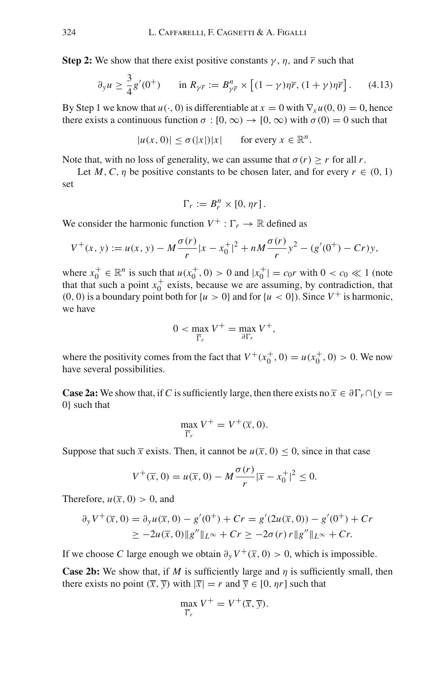**Step 2:** We show that there exist positive constants  $\gamma$ ,  $\eta$ , and  $\overline{r}$  such that

<span id="page-26-0"></span>
$$
\partial_{y} u \ge \frac{3}{4} g'(0^{+}) \qquad \text{in } R_{\gamma \bar{r}} := B_{\gamma \bar{r}}^{n} \times \left[ (1 - \gamma) \eta \bar{r}, (1 + \gamma) \eta \bar{r} \right]. \tag{4.13}
$$

By Step 1 we know that  $u(\cdot, 0)$  is differentiable at  $x = 0$  with  $\nabla_x u(0, 0) = 0$ , hence there exists a continuous function  $\sigma$ : [0,  $\infty$ )  $\rightarrow$  [0,  $\infty$ ) with  $\sigma$ (0) = 0 such that

 $|u(x, 0)| \leq \sigma(|x|)|x|$  for every  $x \in \mathbb{R}^n$ .

Note that, with no loss of generality, we can assume that  $\sigma(r) \geq r$  for all *r*.

Let *M*, *C*, *n* be positive constants to be chosen later, and for every  $r \in (0, 1)$ set

$$
\Gamma_r := B_r^n \times [0, \eta r].
$$

We consider the harmonic function  $V^+ : \Gamma_r \to \mathbb{R}$  defined as

$$
V^+(x, y) := u(x, y) - M \frac{\sigma(r)}{r} |x - x_0^+|^2 + nM \frac{\sigma(r)}{r} y^2 - (g'(0^+) - Cr)y,
$$

where  $x_0^+ \in \mathbb{R}^n$  is such that  $u(x_0^+, 0) > 0$  and  $|x_0^+| = c_0 r$  with  $0 < c_0 \ll 1$  (note that that such a point  $x_0^+$  exists, because we are assuming, by contradiction, that  $(0, 0)$  is a boundary point both for  $\{u > 0\}$  and for  $\{u < 0\}$ ). Since  $V^+$  is harmonic, we have

$$
0 < \max_{\overline{\Gamma}_r} V^+ = \max_{\partial \Gamma_r} V^+,
$$

where the positivity comes from the fact that  $V^+(x_0^+, 0) = u(x_0^+, 0) > 0$ . We now have several possibilities.

**Case 2a:** We show that, if *C* is sufficiently large, then there exists no  $\overline{x} \in \partial \Gamma_r \cap \{y = 0\}$ 0} such that

$$
\max_{\overline{\Gamma}_r} V^+ = V^+(\overline{x}, 0).
$$

Suppose that such  $\bar{x}$  exists. Then, it cannot be  $u(\bar{x}, 0) \le 0$ , since in that case

$$
V^{+}(\overline{x}, 0) = u(\overline{x}, 0) - M \frac{\sigma(r)}{r} |\overline{x} - x_{0}^{+}|^{2} \leq 0.
$$

Therefore,  $u(\overline{x}, 0) > 0$ , and

$$
\partial_y V^+(\overline{x}, 0) = \partial_y u(\overline{x}, 0) - g'(0^+) + Cr = g'(2u(\overline{x}, 0)) - g'(0^+) + Cr
$$
  
\n
$$
\ge -2u(\overline{x}, 0) \|g''\|_{L^\infty} + Cr \ge -2\sigma(r) r \|g''\|_{L^\infty} + Cr.
$$

If we choose *C* large enough we obtain  $\partial_y V^+(\overline{x}, 0) > 0$ , which is impossible.

**Case 2b:** We show that, if *M* is sufficiently large and *n* is sufficiently small, then there exists no point  $(\overline{x}, \overline{y})$  with  $|\overline{x}| = r$  and  $\overline{y} \in [0, \eta r]$  such that

$$
\max_{\overline{\Gamma}_r} V^+ = V^+(\overline{x}, \overline{y}).
$$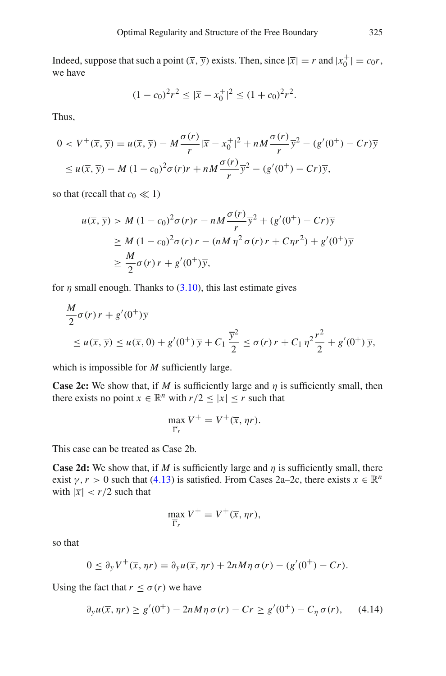Indeed, suppose that such a point  $(\overline{x}, \overline{y})$  exists. Then, since  $|\overline{x}| = r$  and  $|x_0^+| = c_0 r$ , we have

$$
(1 - c_0)^2 r^2 \le |\overline{x} - x_0^+|^2 \le (1 + c_0)^2 r^2.
$$

Thus,

$$
0 < V^+(\overline{x}, \overline{y}) = u(\overline{x}, \overline{y}) - M \frac{\sigma(r)}{r} |\overline{x} - x_0^+|^2 + nM \frac{\sigma(r)}{r} \overline{y}^2 - (g'(0^+) - Cr) \overline{y}
$$
\n
$$
\leq u(\overline{x}, \overline{y}) - M (1 - c_0)^2 \sigma(r) r + nM \frac{\sigma(r)}{r} \overline{y}^2 - (g'(0^+) - Cr) \overline{y},
$$

so that (recall that  $c_0 \ll 1$ )

$$
u(\overline{x}, \overline{y}) > M (1 - c_0)^2 \sigma(r) r - nM \frac{\sigma(r)}{r} \overline{y}^2 + (g'(0^+) - Cr) \overline{y}
$$
  
\n
$$
\geq M (1 - c_0)^2 \sigma(r) r - (nM \eta^2 \sigma(r) r + C \eta r^2) + g'(0^+) \overline{y}
$$
  
\n
$$
\geq \frac{M}{2} \sigma(r) r + g'(0^+) \overline{y},
$$

for  $\eta$  small enough. Thanks to [\(3.10\)](#page-11-1), this last estimate gives

$$
\frac{M}{2}\sigma(r)r + g'(0^+)\overline{y}
$$
\n
$$
\leq u(\overline{x}, \overline{y}) \leq u(\overline{x}, 0) + g'(0^+)\overline{y} + C_1\frac{\overline{y}^2}{2} \leq \sigma(r)r + C_1\eta^2\frac{r^2}{2} + g'(0^+)\overline{y},
$$

which is impossible for *M* sufficiently large.

**Case 2c:** We show that, if *M* is sufficiently large and  $\eta$  is sufficiently small, then there exists no point  $\overline{x} \in \mathbb{R}^n$  with  $r/2 \leq |\overline{x}| \leq r$  such that

$$
\max_{\overline{\Gamma}_r} V^+ = V^+(\overline{x}, \eta r).
$$

This case can be treated as Case 2b.

**Case 2d:** We show that, if *M* is sufficiently large and  $\eta$  is sufficiently small, there exist  $\gamma$ ,  $\overline{r} > 0$  such that [\(4.13\)](#page-26-0) is satisfied. From Cases 2a–2c, there exists  $\overline{x} \in \mathbb{R}^n$ with  $|\overline{x}| < r/2$  such that

$$
\max_{\overline{\Gamma}_r} V^+ = V^+(\overline{x}, \eta r),
$$

so that

$$
0 \leq \partial_y V^+(\overline{x}, \eta r) = \partial_y u(\overline{x}, \eta r) + 2n M \eta \sigma(r) - (g'(0^+) - Cr).
$$

Using the fact that  $r \leq \sigma(r)$  we have

<span id="page-27-0"></span>
$$
\partial_y u(\overline{x}, \eta r) \ge g'(0^+) - 2n M \eta \sigma(r) - Cr \ge g'(0^+) - C_\eta \sigma(r), \qquad (4.14)
$$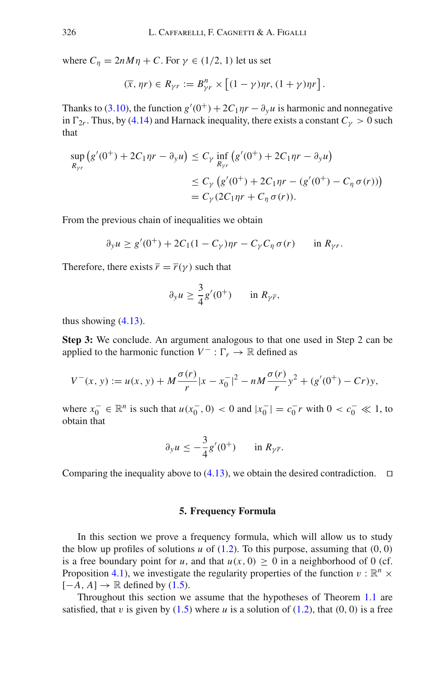where  $C_{\eta} = 2nM\eta + C$ . For  $\gamma \in (1/2, 1)$  let us set

$$
(\overline{x}, \eta r) \in R_{\gamma r} := B_{\gamma r}^{n} \times \left[ (1 - \gamma) \eta r, (1 + \gamma) \eta r \right].
$$

Thanks to [\(3.10\)](#page-11-1), the function  $g'(0^+) + 2C_1\eta r - \partial_y u$  is harmonic and nonnegative in  $\Gamma_{2r}$ . Thus, by [\(4.14\)](#page-27-0) and Harnack inequality, there exists a constant  $C_{\gamma} > 0$  such that

$$
\sup_{R_{\gamma r}} (g'(0^+) + 2C_1 \eta r - \partial_y u) \le C_\gamma \inf_{R_{\gamma r}} (g'(0^+) + 2C_1 \eta r - \partial_y u)
$$
  

$$
\le C_\gamma (g'(0^+) + 2C_1 \eta r - (g'(0^+) - C_\eta \sigma(r)))
$$
  

$$
= C_\gamma (2C_1 \eta r + C_\eta \sigma(r)).
$$

From the previous chain of inequalities we obtain

$$
\partial_y u \ge g'(0^+) + 2C_1(1 - C_\gamma)\eta r - C_\gamma C_\eta \sigma(r) \quad \text{in } R_{\gamma r}.
$$

Therefore, there exists  $\overline{r} = \overline{r}(\gamma)$  such that

$$
\partial_y u \ge \frac{3}{4} g'(0^+) \quad \text{in } R_{\gamma \overline{r}},
$$

thus showing  $(4.13)$ .

**Step 3:** We conclude. An argument analogous to that one used in Step 2 can be applied to the harmonic function  $V^- : \Gamma_r \to \mathbb{R}$  defined as

$$
V^-(x, y) := u(x, y) + M \frac{\sigma(r)}{r} |x - x_0^-|^2 - nM \frac{\sigma(r)}{r} y^2 + (g'(0^+) - Cr)y,
$$

where  $x_0^-$  ∈  $\mathbb{R}^n$  is such that  $u(x_0^-, 0) < 0$  and  $|x_0^-| = c_0^- r$  with  $0 < c_0^- \ll 1$ , to obtain that

$$
\partial_y u \le -\frac{3}{4}g'(0^+) \quad \text{in } R_{\gamma\bar{r}}.
$$

<span id="page-28-0"></span>Comparing the inequality above to  $(4.13)$ , we obtain the desired contradiction.  $\Box$ 

#### **5. Frequency Formula**

In this section we prove a frequency formula, which will allow us to study the blow up profiles of solutions  $u$  of  $(1.2)$ . To this purpose, assuming that  $(0, 0)$ is a free boundary point for *u*, and that  $u(x, 0) \ge 0$  in a neighborhood of 0 (cf. Proposition [4.1\)](#page-20-0), we investigate the regularity properties of the function  $v : \mathbb{R}^n \times$  $[-A, A] \rightarrow \mathbb{R}$  defined by [\(1.5\)](#page-4-0).

Throughout this section we assume that the hypotheses of Theorem [1.1](#page-3-0) are satisfied, that v is given by  $(1.5)$  where u is a solution of  $(1.2)$ , that  $(0, 0)$  is a free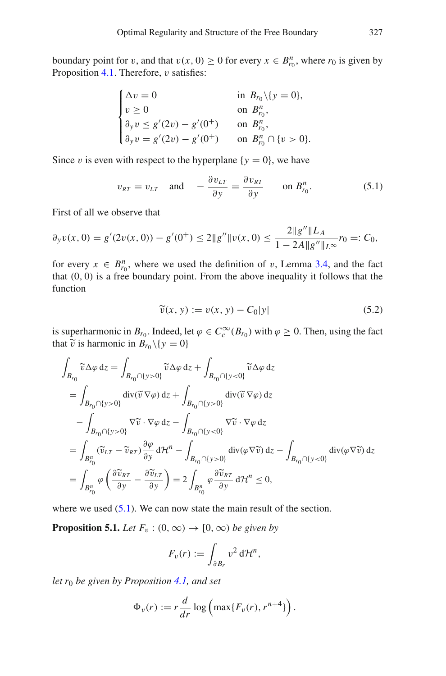boundary point for *v*, and that  $v(x, 0) \ge 0$  for every  $x \in B_{r_0}^n$ , where  $r_0$  is given by Proposition  $4.1$ . Therefore,  $v$  satisfies:

$$
\begin{cases}\n\Delta v = 0 & \text{in } B_{r_0} \setminus \{y = 0\}, \\
v \ge 0 & \text{on } B_{r_0}^n, \\
\partial_y v \le g'(2v) - g'(0^+) & \text{on } B_{r_0}^n, \\
\partial_y v = g'(2v) - g'(0^+) & \text{on } B_{r_0}^n \cap \{v > 0\}.\n\end{cases}
$$

Since v is even with respect to the hyperplane  $\{y = 0\}$ , we have

<span id="page-29-1"></span>
$$
v_{RT} = v_{LT}
$$
 and  $-\frac{\partial v_{LT}}{\partial y} = \frac{\partial v_{RT}}{\partial y}$  on  $B_{r_0}^n$ . (5.1)

First of all we observe that

$$
\partial_y v(x,0) = g'(2v(x,0)) - g'(0^+) \le 2\|g''\|v(x,0) \le \frac{2\|g''\|L_A}{1 - 2A\|g''\|_{L^\infty}} r_0 =: C_0,
$$

for every  $x \in B_{r_0}^n$ , where we used the definition of v, Lemma [3.4,](#page-12-0) and the fact that (0, 0) is a free boundary point. From the above inequality it follows that the function

<span id="page-29-2"></span>
$$
\widetilde{v}(x, y) := v(x, y) - C_0|y| \tag{5.2}
$$

is superharmonic in  $B_{r_0}$ . Indeed, let  $\varphi \in C_c^{\infty}(B_{r_0})$  with  $\varphi \ge 0$ . Then, using the fact that  $\tilde{v}$  is harmonic in  $B_{r_0} \setminus \{y = 0\}$ 

$$
\int_{B_{r_0}} \widetilde{v} \Delta \varphi dz = \int_{B_{r_0} \cap \{y > 0\}} \widetilde{v} \Delta \varphi dz + \int_{B_{r_0} \cap \{y < 0\}} \widetilde{v} \Delta \varphi dz
$$
\n
$$
= \int_{B_{r_0} \cap \{y > 0\}} \operatorname{div}(\widetilde{v} \nabla \varphi) dz + \int_{B_{r_0} \cap \{y > 0\}} \operatorname{div}(\widetilde{v} \nabla \varphi) dz
$$
\n
$$
- \int_{B_{r_0} \cap \{y > 0\}} \nabla \widetilde{v} \cdot \nabla \varphi dz - \int_{B_{r_0} \cap \{y < 0\}} \nabla \widetilde{v} \cdot \nabla \varphi dz
$$
\n
$$
= \int_{B_{r_0}^n} (\widetilde{v}_{LT} - \widetilde{v}_{RT}) \frac{\partial \varphi}{\partial y} d\mathcal{H}^n - \int_{B_{r_0} \cap \{y > 0\}} \operatorname{div}(\varphi \nabla \widetilde{v}) dz - \int_{B_{r_0} \cap \{y < 0\}} \operatorname{div}(\varphi \nabla \widetilde{v}) dz
$$
\n
$$
= \int_{B_{r_0}^n} \varphi \left( \frac{\partial \widetilde{v}_{RT}}{\partial y} - \frac{\partial \widetilde{v}_{LT}}{\partial y} \right) = 2 \int_{B_{r_0}^n} \varphi \frac{\partial \widetilde{v}_{RT}}{\partial y} d\mathcal{H}^n \le 0,
$$

where we used  $(5.1)$ . We can now state the main result of the section.

**Proposition 5.1.** *Let*  $F_v$  :  $(0, \infty) \rightarrow [0, \infty)$  *be given by* 

<span id="page-29-0"></span>
$$
F_v(r) := \int_{\partial B_r} v^2 d\mathcal{H}^n,
$$

*let r*<sup>0</sup> *be given by Proposition [4.1,](#page-20-0) and set*

$$
\Phi_v(r) := r \frac{d}{dr} \log \left( \max\{ F_v(r), r^{n+4} \} \right).
$$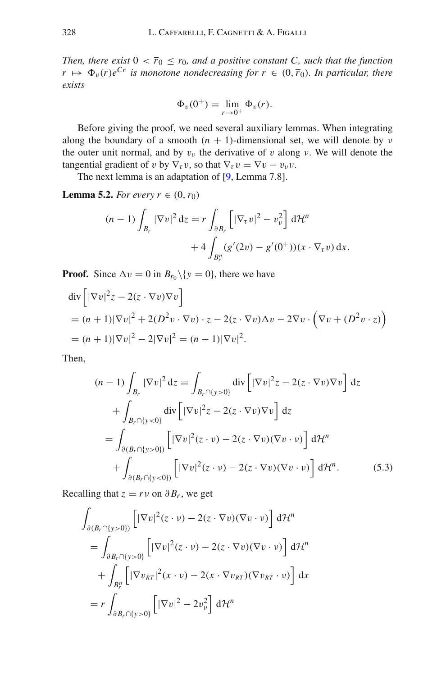*Then, there exist*  $0 < \bar{r}_0 \le r_0$ *, and a positive constant C, such that the function*  $r \mapsto \Phi_v(r)e^{Cr}$  *is monotone nondecreasing for*  $r \in (0, \bar{r}_0)$ *. In particular, there exists*

<span id="page-30-1"></span>
$$
\Phi_v(0^+) = \lim_{r \to 0^+} \Phi_v(r).
$$

Before giving the proof, we need several auxiliary lemmas. When integrating along the boundary of a smooth  $(n + 1)$ -dimensional set, we will denote by  $\nu$ the outer unit normal, and by  $v_y$  the derivative of v along v. We will denote the tangential gradient of v by  $\nabla_\tau v$ , so that  $\nabla_\tau v = \nabla v - v_\nu v$ .

The next lemma is an adaptation of [\[9,](#page-46-11) Lemma 7.8].

**Lemma 5.2.** *For every*  $r \in (0, r_0)$ 

$$
(n-1)\int_{B_r} |\nabla v|^2 dz = r \int_{\partial B_r} \left[ |\nabla_\tau v|^2 - v_v^2 \right] d\mathcal{H}^n
$$

$$
+ 4 \int_{B_r^n} (g'(2v) - g'(0^+))(x \cdot \nabla_\tau v) dx.
$$

**Proof.** Since  $\Delta v = 0$  in  $B_{r_0} \setminus \{y = 0\}$ , there we have

$$
\begin{aligned} \operatorname{div} & \left[ |\nabla v|^2 z - 2(z \cdot \nabla v) \nabla v \right] \\ &= (n+1) |\nabla v|^2 + 2(D^2 v \cdot \nabla v) \cdot z - 2(z \cdot \nabla v) \Delta v - 2 \nabla v \cdot \left( \nabla v + (D^2 v \cdot z) \right) \\ &= (n+1) |\nabla v|^2 - 2|\nabla v|^2 = (n-1) |\nabla v|^2. \end{aligned}
$$

Then,

<span id="page-30-0"></span>
$$
(n-1)\int_{B_r} |\nabla v|^2 dz = \int_{B_r \cap \{y>0\}} \operatorname{div} \left[ |\nabla v|^2 z - 2(z \cdot \nabla v) \nabla v \right] dz
$$
  
+ 
$$
\int_{B_r \cap \{y<0\}} \operatorname{div} \left[ |\nabla v|^2 z - 2(z \cdot \nabla v) \nabla v \right] dz
$$
  
= 
$$
\int_{\partial (B_r \cap \{y>0\})} \left[ |\nabla v|^2 (z \cdot v) - 2(z \cdot \nabla v) (\nabla v \cdot v) \right] d\mathcal{H}^n
$$
  
+ 
$$
\int_{\partial (B_r \cap \{y<0\})} \left[ |\nabla v|^2 (z \cdot v) - 2(z \cdot \nabla v) (\nabla v \cdot v) \right] d\mathcal{H}^n.
$$
(5.3)

Recalling that  $z = rv$  on  $\partial B_r$ , we get

$$
\int_{\partial (B_r \cap \{y>0\})} \left[ |\nabla v|^2 (z \cdot v) - 2(z \cdot \nabla v)(\nabla v \cdot v) \right] d\mathcal{H}^n
$$
\n
$$
= \int_{\partial B_r \cap \{y>0\}} \left[ |\nabla v|^2 (z \cdot v) - 2(z \cdot \nabla v)(\nabla v \cdot v) \right] d\mathcal{H}^n
$$
\n
$$
+ \int_{B_r^n} \left[ |\nabla v_{RT}|^2 (x \cdot v) - 2(x \cdot \nabla v_{RT})(\nabla v_{RT} \cdot v) \right] dx
$$
\n
$$
= r \int_{\partial B_r \cap \{y>0\}} \left[ |\nabla v|^2 - 2v_v^2 \right] d\mathcal{H}^n
$$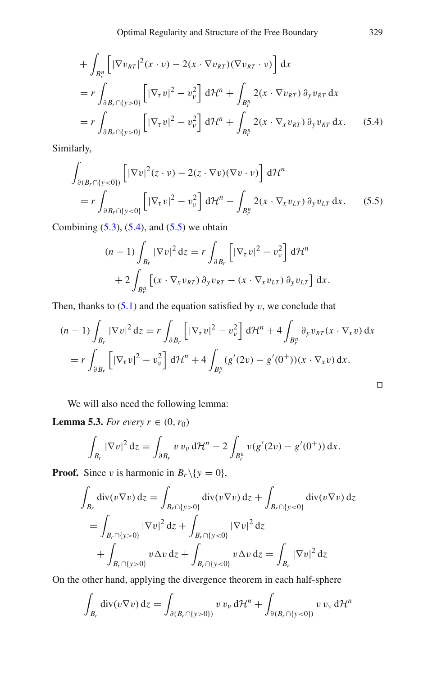$$
+ \int_{B_r^n} \left[ |\nabla v_{RT}|^2 (x \cdot v) - 2(x \cdot \nabla v_{RT}) (\nabla v_{RT} \cdot v) \right] dx
$$
  
\n
$$
= r \int_{\partial B_r \cap \{y > 0\}} \left[ |\nabla_\tau v|^2 - v_v^2 \right] d\mathcal{H}^n + \int_{B_r^n} 2(x \cdot \nabla v_{RT}) \partial_y v_{RT} dx
$$
  
\n
$$
= r \int_{\partial B_r \cap \{y > 0\}} \left[ |\nabla_\tau v|^2 - v_v^2 \right] d\mathcal{H}^n + \int_{B_r^n} 2(x \cdot \nabla_x v_{RT}) \partial_y v_{RT} dx. \quad (5.4)
$$

Similarly,

$$
\int_{\partial (B_r \cap \{y < 0\})} \left[ |\nabla v|^2 (z \cdot v) - 2(z \cdot \nabla v)(\nabla v \cdot v) \right] d\mathcal{H}^n
$$
\n
$$
= r \int_{\partial B_r \cap \{y < 0\}} \left[ |\nabla_\tau v|^2 - v_\nu^2 \right] d\mathcal{H}^n - \int_{B_r^n} 2(x \cdot \nabla_x v_{LT}) \, \partial_y v_{LT} \, dx. \tag{5.5}
$$

Combining  $(5.3)$ ,  $(5.4)$ , and  $(5.5)$  we obtain

<span id="page-31-1"></span><span id="page-31-0"></span>
$$
(n-1)\int_{B_r} |\nabla v|^2 dz = r \int_{\partial B_r} \left[ |\nabla_\tau v|^2 - v_v^2 \right] d\mathcal{H}^n
$$
  
+2\int\_{B\_r^n} \left[ (x \cdot \nabla\_x v\_{RT}) \partial\_y v\_{RT} - (x \cdot \nabla\_x v\_{LT}) \partial\_y v\_{LT} \right] dx.

Then, thanks to  $(5.1)$  and the equation satisfied by v, we conclude that

$$
(n-1)\int_{B_r} |\nabla v|^2 dz = r \int_{\partial B_r} \left[ |\nabla_\tau v|^2 - v_\nu^2 \right] d\mathcal{H}^n + 4 \int_{B_r^n} \partial_y v_{RT}(x \cdot \nabla_x v) dx
$$
  
=  $r \int_{\partial B_r} \left[ |\nabla_\tau v|^2 - v_\nu^2 \right] d\mathcal{H}^n + 4 \int_{B_r^n} (g'(2v) - g'(0^+))(x \cdot \nabla_x v) dx.$ 

We will also need the following lemma:

**Lemma 5.3.** *For every*  $r \in (0, r_0)$ 

<span id="page-31-2"></span>
$$
\int_{B_r} |\nabla v|^2 dz = \int_{\partial B_r} v v_v d\mathcal{H}^n - 2 \int_{B_r^n} v(g'(2v) - g'(0^+)) dx.
$$

**Proof.** Since v is harmonic in  $B_r \setminus \{y = 0\}$ ,

$$
\int_{B_r} \text{div}(v \nabla v) \, dz = \int_{B_r \cap \{y > 0\}} \text{div}(v \nabla v) \, dz + \int_{B_r \cap \{y < 0\}} \text{div}(v \nabla v) \, dz \n= \int_{B_r \cap \{y > 0\}} |\nabla v|^2 \, dz + \int_{B_r \cap \{y < 0\}} |\nabla v|^2 \, dz \n+ \int_{B_r \cap \{y > 0\}} v \Delta v \, dz + \int_{B_r \cap \{y < 0\}} v \Delta v \, dz = \int_{B_r} |\nabla v|^2 \, dz
$$

On the other hand, applying the divergence theorem in each half-sphere

$$
\int_{B_r} \operatorname{div}(v \nabla v) \, \mathrm{d}z = \int_{\partial (B_r \cap \{y > 0\})} v v_{\nu} \, \mathrm{d}t^n + \int_{\partial (B_r \cap \{y < 0\})} v v_{\nu} \, \mathrm{d}t^n
$$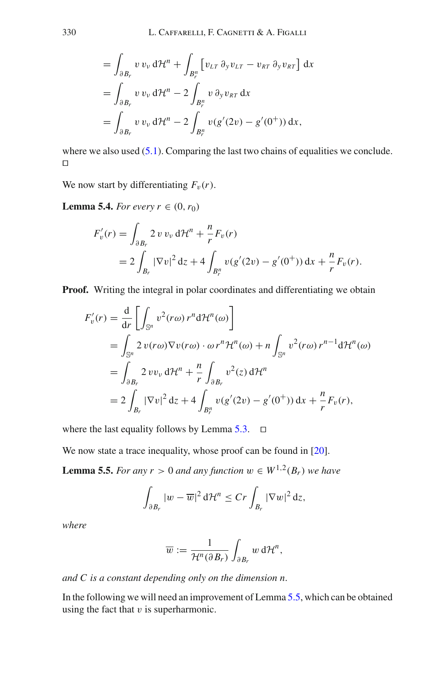$$
= \int_{\partial B_r} v v_{\nu} d\mathcal{H}^n + \int_{B_r^n} \left[ v_{LT} \partial_y v_{LT} - v_{RT} \partial_y v_{RT} \right] dx
$$
  

$$
= \int_{\partial B_r} v v_{\nu} d\mathcal{H}^n - 2 \int_{B_r^n} v \partial_y v_{RT} dx
$$
  

$$
= \int_{\partial B_r} v v_{\nu} d\mathcal{H}^n - 2 \int_{B_r^n} v(g'(2v) - g'(0^+)) dx,
$$

where we also used  $(5.1)$ . Comparing the last two chains of equalities we conclude.  $\Box$ 

<span id="page-32-2"></span>We now start by differentiating  $F_v(r)$ .

**Lemma 5.4.** *For every*  $r \in (0, r_0)$ 

$$
F'_{v}(r) = \int_{\partial B_{r}} 2 v v_{v} d\mathcal{H}^{n} + \frac{n}{r} F_{v}(r)
$$
  
=  $2 \int_{B_{r}} |\nabla v|^{2} dz + 4 \int_{B_{r}^{n}} v(g'(2v) - g'(0^{+})) dx + \frac{n}{r} F_{v}(r).$ 

**Proof.** Writing the integral in polar coordinates and differentiating we obtain

$$
F'_v(r) = \frac{d}{dr} \left[ \int_{\mathbb{S}^n} v^2(r\omega) r^n d\mathcal{H}^n(\omega) \right]
$$
  
= 
$$
\int_{\mathbb{S}^n} 2 v(r\omega) \nabla v(r\omega) \cdot \omega r^n \mathcal{H}^n(\omega) + n \int_{\mathbb{S}^n} v^2(r\omega) r^{n-1} d\mathcal{H}^n(\omega)
$$
  
= 
$$
\int_{\partial B_r} 2 v v_v d\mathcal{H}^n + \frac{n}{r} \int_{\partial B_r} v^2(z) d\mathcal{H}^n
$$
  
= 
$$
2 \int_{B_r} |\nabla v|^2 dz + 4 \int_{B_r^n} v(g'(2v) - g'(0^+)) dx + \frac{n}{r} F_v(r),
$$

where the last equality follows by Lemma  $5.3$ .  $\square$ 

We now state a trace inequality, whose proof can be found in [\[20\]](#page-47-7).

**Lemma 5.5.** *For any r* > 0 *and any function*  $w \in W^{1,2}(B_r)$  *we have* 

$$
\int_{\partial B_r} |w - \overline{w}|^2 d\mathcal{H}^n \le Cr \int_{B_r} |\nabla w|^2 dz,
$$

*where*

<span id="page-32-1"></span><span id="page-32-0"></span>
$$
\overline{w} := \frac{1}{\mathcal{H}^n(\partial B_r)} \int_{\partial B_r} w \, d\mathcal{H}^n,
$$

*and C is a constant depending only on the dimension n.*

In the following we will need an improvement of Lemma [5.5,](#page-32-0) which can be obtained using the fact that  $v$  is superharmonic.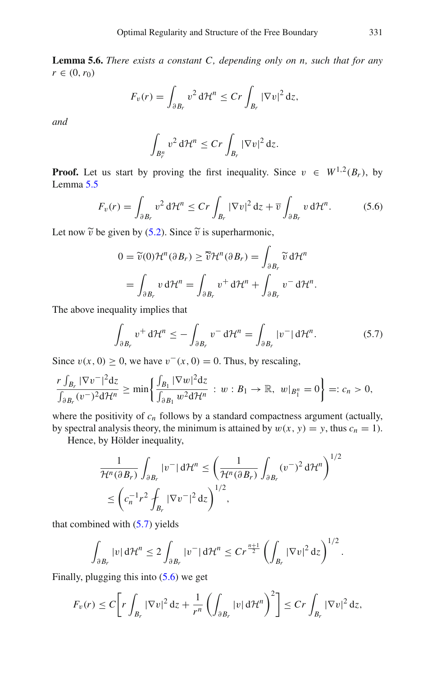**Lemma 5.6.** *There exists a constant C, depending only on n, such that for any*  $r \in (0, r_0)$ 

$$
F_v(r) = \int_{\partial B_r} v^2 d\mathcal{H}^n \leq Cr \int_{B_r} |\nabla v|^2 dz,
$$

*and*

$$
\int_{B_r^n} v^2 d\mathcal{H}^n \leq Cr \int_{B_r} |\nabla v|^2 dz.
$$

**Proof.** Let us start by proving the first inequality. Since  $v \in W^{1,2}(B_r)$ , by Lemma [5.5](#page-32-0)

<span id="page-33-1"></span>
$$
F_v(r) = \int_{\partial B_r} v^2 d\mathcal{H}^n \le Cr \int_{B_r} |\nabla v|^2 dz + \overline{v} \int_{\partial B_r} v d\mathcal{H}^n.
$$
 (5.6)

Let now  $\tilde{v}$  be given by [\(5.2\)](#page-29-2). Since  $\tilde{v}$  is superharmonic,

$$
0 = \widetilde{v}(0) \mathcal{H}^n(\partial B_r) \ge \overline{\widetilde{v}} \mathcal{H}^n(\partial B_r) = \int_{\partial B_r} \widetilde{v} \, d\mathcal{H}^n
$$
  
= 
$$
\int_{\partial B_r} v \, d\mathcal{H}^n = \int_{\partial B_r} v^+ \, d\mathcal{H}^n + \int_{\partial B_r} v^- \, d\mathcal{H}^n.
$$

The above inequality implies that

<span id="page-33-0"></span>
$$
\int_{\partial B_r} v^+ d\mathcal{H}^n \le -\int_{\partial B_r} v^- d\mathcal{H}^n = \int_{\partial B_r} |v^-| d\mathcal{H}^n. \tag{5.7}
$$

Since  $v(x, 0) \ge 0$ , we have  $v^-(x, 0) = 0$ . Thus, by rescaling,

$$
\frac{r\int_{B_r}|\nabla v^-|^2\mathrm{d}z}{\int_{\partial B_r}(v^-)^2\mathrm{d}\mathcal{H}^n}\geq\min\bigg\{\frac{\int_{B_1}|\nabla w|^2\mathrm{d}z}{\int_{\partial B_1}w^2\mathrm{d}\mathcal{H}^n}\,:\,w:B_1\to\mathbb{R},\ w|_{B_1^n}=0\bigg\}=:c_n>0,
$$

where the positivity of  $c_n$  follows by a standard compactness argument (actually, by spectral analysis theory, the minimum is attained by  $w(x, y) = y$ , thus  $c_n = 1$ .

Hence, by Hölder inequality,

$$
\frac{1}{\mathcal{H}^n(\partial B_r)} \int_{\partial B_r} |v^-| \, d\mathcal{H}^n \le \left(\frac{1}{\mathcal{H}^n(\partial B_r)} \int_{\partial B_r} (v^-)^2 \, d\mathcal{H}^n\right)^{1/2} \le \left(c_n^{-1}r^2 \int_{B_r} |\nabla v^-|^2 \, dz\right)^{1/2},
$$

that combined with  $(5.7)$  yields

$$
\int_{\partial B_r} |v| d\mathcal{H}^n \leq 2 \int_{\partial B_r} |v^-| d\mathcal{H}^n \leq Cr^{\frac{n+1}{2}} \left( \int_{B_r} |\nabla v|^2 dz \right)^{1/2}.
$$

Finally, plugging this into [\(5.6\)](#page-33-1) we get

$$
F_v(r) \leq C \bigg[ r \int_{B_r} |\nabla v|^2 \, \mathrm{d} z + \frac{1}{r^n} \left( \int_{\partial B_r} |v| \, \mathrm{d} \mathcal{H}^n \right)^2 \bigg] \leq C r \int_{B_r} |\nabla v|^2 \, \mathrm{d} z,
$$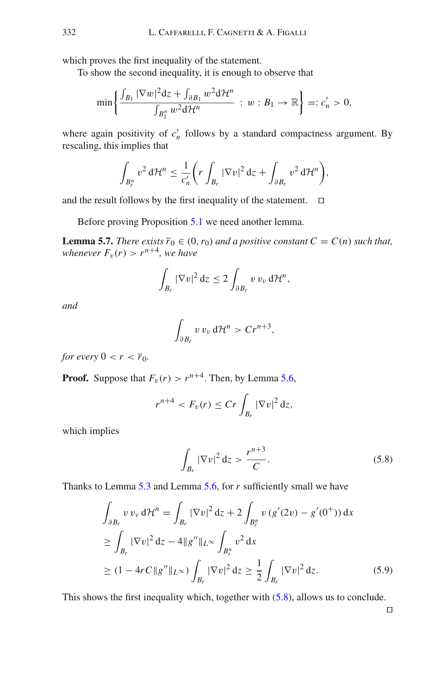which proves the first inequality of the statement.

To show the second inequality, it is enough to observe that

$$
\min\left\{\frac{\int_{B_1}|\nabla w|^2\mathrm{d}z+\int_{\partial B_1}w^2\mathrm{d}\mathcal{H}^n}{\int_{B_1^n}w^2\mathrm{d}\mathcal{H}^n} : w:B_1\to\mathbb{R}\right\}=:c'_n>0,
$$

where again positivity of  $c'_n$  follows by a standard compactness argument. By rescaling, this implies that

$$
\int_{B_r^n} v^2 d\mathcal{H}^n \leq \frac{1}{c'_n} \bigg( r \int_{B_r} |\nabla v|^2 dz + \int_{\partial B_r} v^2 d\mathcal{H}^n \bigg),
$$

and the result follows by the first inequality of the statement.  $\square$ 

Before proving Proposition [5.1](#page-29-0) we need another lemma.

**Lemma 5.7.** *There exists*  $\overline{r}_0 \in (0, r_0)$  *and a positive constant*  $C = C(n)$  *such that, whenever*  $F_v(r) > r^{n+4}$ *, we have* 

<span id="page-34-1"></span>
$$
\int_{B_r} |\nabla v|^2 dz \leq 2 \int_{\partial B_r} v v_v d\mathcal{H}^n,
$$

*and*

$$
\int_{\partial B_r} v\,v_\nu\,\mathrm{d}\mathcal{H}^n > Cr^{n+3},
$$

*for every*  $0 < r < \overline{r}_0$ *.* 

**Proof.** Suppose that  $F_v(r) > r^{n+4}$ . Then, by Lemma [5.6,](#page-32-1)

$$
r^{n+4} < F_v(r) \leq Cr \int_{B_r} |\nabla v|^2 \, \mathrm{d} z,
$$

which implies

<span id="page-34-0"></span>
$$
\int_{B_r} |\nabla v|^2 dz > \frac{r^{n+3}}{C}.\tag{5.8}
$$

Thanks to Lemma [5.3](#page-31-2) and Lemma [5.6,](#page-32-1) for *r* sufficiently small we have

$$
\int_{\partial B_r} v v_{\nu} d\mathcal{H}^n = \int_{B_r} |\nabla v|^2 dz + 2 \int_{B_r^n} v (g'(2v) - g'(0^+)) dx
$$
  
\n
$$
\geq \int_{B_r} |\nabla v|^2 dz - 4||g''||_{L^{\infty}} \int_{B_r^n} v^2 dx
$$
  
\n
$$
\geq (1 - 4rC||g''||_{L^{\infty}}) \int_{B_r} |\nabla v|^2 dz \geq \frac{1}{2} \int_{B_r} |\nabla v|^2 dz.
$$
 (5.9)

This shows the first inequality which, together with [\(5.8\)](#page-34-0), allows us to conclude.

<span id="page-34-2"></span> $\Box$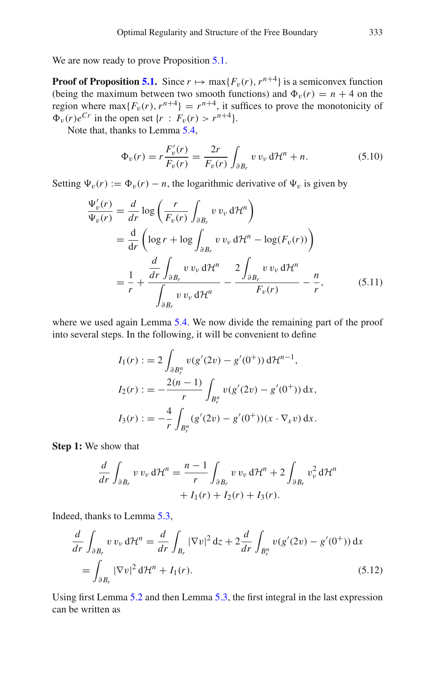We are now ready to prove Proposition [5.1.](#page-29-0)

**Proof of Proposition [5.1.](#page-29-0)** Since  $r \mapsto \max\{F_v(r), r^{n+4}\}\)$  is a semiconvex function (being the maximum between two smooth functions) and  $\Phi_{\nu}(r) = n + 4$  on the region where  $\max\{F_v(r), r^{n+4}\} = r^{n+4}$ , it suffices to prove the monotonicity of  $\Phi_v(r)e^{Cr}$  in the open set  $\{r : F_v(r) > r^{n+4}\}.$ 

Note that, thanks to Lemma [5.4,](#page-32-2)

<span id="page-35-1"></span>
$$
\Phi_v(r) = r \frac{F'_v(r)}{F_v(r)} = \frac{2r}{F_v(r)} \int_{\partial B_r} v v_v d\mathcal{H}^n + n. \tag{5.10}
$$

Setting  $\Psi_v(r) := \Phi_v(r) - n$ , the logarithmic derivative of  $\Psi_v$  is given by

$$
\frac{\Psi'_{v}(r)}{\Psi_{v}(r)} = \frac{d}{dr} \log \left( \frac{r}{F_{v}(r)} \int_{\partial B_{r}} v v_{v} d\mathcal{H}^{n} \right)
$$
\n
$$
= \frac{d}{dr} \left( \log r + \log \int_{\partial B_{r}} v v_{v} d\mathcal{H}^{n} - \log(F_{v}(r)) \right)
$$
\n
$$
= \frac{1}{r} + \frac{\frac{d}{dr} \int_{\partial B_{r}} v v_{v} d\mathcal{H}^{n}}{\int_{\partial B_{r}} v v_{v} d\mathcal{H}^{n}} - \frac{2 \int_{\partial B_{r}} v v_{v} d\mathcal{H}^{n}}{F_{v}(r)} - \frac{n}{r}, \qquad (5.11)
$$

where we used again Lemma [5.4.](#page-32-2) We now divide the remaining part of the proof into several steps. In the following, it will be convenient to define

$$
I_1(r) := 2 \int_{\partial B_r^n} v(g'(2v) - g'(0^+)) d\mathcal{H}^{n-1},
$$
  
\n
$$
I_2(r) := -\frac{2(n-1)}{r} \int_{B_r^n} v(g'(2v) - g'(0^+)) dx,
$$
  
\n
$$
I_3(r) := -\frac{4}{r} \int_{B_r^n} (g'(2v) - g'(0^+))(x \cdot \nabla_x v) dx.
$$

**Step 1:** We show that

<span id="page-35-0"></span>
$$
\frac{d}{dr} \int_{\partial B_r} v v_{\nu} d\mathcal{H}^n = \frac{n-1}{r} \int_{\partial B_r} v v_{\nu} d\mathcal{H}^n + 2 \int_{\partial B_r} v_{\nu}^2 d\mathcal{H}^n
$$

$$
+ I_1(r) + I_2(r) + I_3(r).
$$

Indeed, thanks to Lemma [5.3,](#page-31-2)

$$
\frac{d}{dr}\int_{\partial B_r} v v_\nu \,d\mathcal{H}^n = \frac{d}{dr}\int_{B_r} |\nabla v|^2 \,dz + 2\frac{d}{dr}\int_{B_r^n} v(g'(2v) - g'(0^+)) \,dx
$$
\n
$$
= \int_{\partial B_r} |\nabla v|^2 \,d\mathcal{H}^n + I_1(r). \tag{5.12}
$$

Using first Lemma [5.2](#page-30-1) and then Lemma [5.3,](#page-31-2) the first integral in the last expression can be written as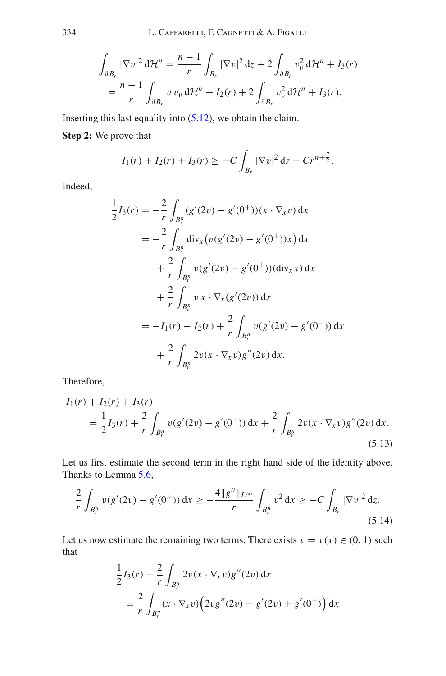$$
\int_{\partial B_r} |\nabla v|^2 d\mathcal{H}^n = \frac{n-1}{r} \int_{B_r} |\nabla v|^2 dz + 2 \int_{\partial B_r} v_v^2 d\mathcal{H}^n + I_3(r)
$$
  
= 
$$
\frac{n-1}{r} \int_{\partial B_r} v v_v d\mathcal{H}^n + I_2(r) + 2 \int_{\partial B_r} v_v^2 d\mathcal{H}^n + I_3(r).
$$

Inserting this last equality into  $(5.12)$ , we obtain the claim.

**Step 2:** We prove that

$$
I_1(r) + I_2(r) + I_3(r) \geq -C \int_{B_r} |\nabla v|^2 dz - Cr^{n+\frac{7}{2}}.
$$

Indeed,

$$
\frac{1}{2}I_3(r) = -\frac{2}{r} \int_{B_r^n} (g'(2v) - g'(0^+))(x \cdot \nabla_x v) dx
$$
  
\n
$$
= -\frac{2}{r} \int_{B_r^n} \text{div}_x \big( v(g'(2v) - g'(0^+))x \big) dx
$$
  
\n
$$
+ \frac{2}{r} \int_{B_r^n} v(g'(2v) - g'(0^+)) (\text{div}_x x) dx
$$
  
\n
$$
+ \frac{2}{r} \int_{B_r^n} v x \cdot \nabla_x (g'(2v)) dx
$$
  
\n
$$
= -I_1(r) - I_2(r) + \frac{2}{r} \int_{B_r^n} v(g'(2v) - g'(0^+)) dx
$$
  
\n
$$
+ \frac{2}{r} \int_{B_r^n} 2v(x \cdot \nabla_x v) g''(2v) dx.
$$

Therefore,

$$
I_1(r) + I_2(r) + I_3(r)
$$
  
=  $\frac{1}{2}I_3(r) + \frac{2}{r} \int_{B_r^n} v(g'(2v) - g'(0^+)) dx + \frac{2}{r} \int_{B_r^n} 2v(x \cdot \nabla_x v)g''(2v) dx.$  (5.13)

Let us first estimate the second term in the right hand side of the identity above. Thanks to Lemma [5.6,](#page-32-1)

$$
\frac{2}{r} \int_{B_r^n} v(g'(2v) - g'(0^+)) dx \ge -\frac{4||g''||_{L^\infty}}{r} \int_{B_r^n} v^2 dx \ge -C \int_{B_r} |\nabla v|^2 dz.
$$
\n(5.14)

Let us now estimate the remaining two terms. There exists  $\tau = \tau(x) \in (0, 1)$  such that

<span id="page-36-0"></span>
$$
\frac{1}{2}I_3(r) + \frac{2}{r} \int_{B_r^n} 2v(x \cdot \nabla_x v)g''(2v) dx
$$
  
=  $\frac{2}{r} \int_{B_r^n} (x \cdot \nabla_x v) (2vg''(2v) - g'(2v) + g'(0^+)) dx$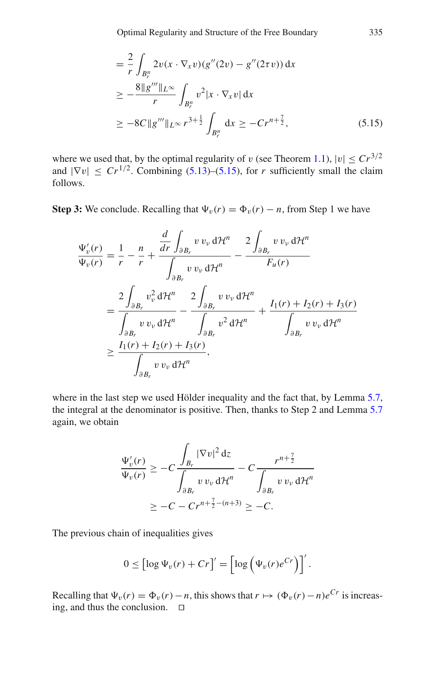<span id="page-37-0"></span>
$$
= \frac{2}{r} \int_{B_r^n} 2v(x \cdot \nabla_x v)(g''(2v) - g''(2\tau v)) dx
$$
  
\n
$$
\geq -\frac{8 \|g''' \|_{L^\infty}}{r} \int_{B_r^n} v^2 |x \cdot \nabla_x v| dx
$$
  
\n
$$
\geq -8C \|g''' \|_{L^\infty} r^{3+\frac{1}{2}} \int_{B_r^n} dx \geq -Cr^{n+\frac{7}{2}}, \tag{5.15}
$$

where we used that, by the optimal regularity of v (see Theorem [1.1\)](#page-3-0),  $|v| < Cr^{3/2}$ and  $|\nabla v| \le Cr^{1/2}$ . Combining [\(5.13\)](#page-36-0)–[\(5.15\)](#page-37-0), for *r* sufficiently small the claim follows.

**Step 3:** We conclude. Recalling that  $\Psi_v(r) = \Phi_v(r) - n$ , from Step 1 we have

$$
\frac{\Psi_{v}'(r)}{\Psi_{v}(r)} = \frac{1}{r} - \frac{n}{r} + \frac{\frac{d}{dr} \int_{\partial B_r} v v_{v} d\mathcal{H}^n}{\int_{\partial B_r} v v_{v} d\mathcal{H}^n} - \frac{2 \int_{\partial B_r} v v_{v} d\mathcal{H}^n}{F_u(r)}
$$
\n
$$
= \frac{2 \int_{\partial B_r} v_{v}^2 d\mathcal{H}^n}{\int_{\partial B_r} v v_{v} d\mathcal{H}^n} - \frac{2 \int_{\partial B_r} v v_{v} d\mathcal{H}^n}{\int_{\partial B_r} v^2 d\mathcal{H}^n} + \frac{I_1(r) + I_2(r) + I_3(r)}{\int_{\partial B_r} v v_{v} d\mathcal{H}^n}
$$
\n
$$
\geq \frac{I_1(r) + I_2(r) + I_3(r)}{\int_{\partial B_r} v v_{v} d\mathcal{H}^n},
$$

where in the last step we used Hölder inequality and the fact that, by Lemma [5.7,](#page-34-1) the integral at the denominator is positive. Then, thanks to Step 2 and Lemma [5.7](#page-34-1) again, we obtain

$$
\frac{\Psi_v'(r)}{\Psi_v(r)} \geq -C \frac{\int_{B_r} |\nabla v|^2 dz}{\int_{\partial B_r} v v_v d\mathcal{H}^n} - C \frac{r^{n+\frac{7}{2}}}{\int_{\partial B_r} v v_v d\mathcal{H}^n}
$$

$$
\geq -C - Cr^{n+\frac{7}{2}-(n+3)} \geq -C.
$$

The previous chain of inequalities gives

$$
0 \leq [\log \Psi_v(r) + Cr]' = [\log (\Psi_v(r)e^{Cr})]'
$$

Recalling that  $\Psi_v(r) = \Phi_v(r) - n$ , this shows that  $r \mapsto (\Phi_v(r) - n)e^{Cr}$  is increasing, and thus the conclusion.  $\square$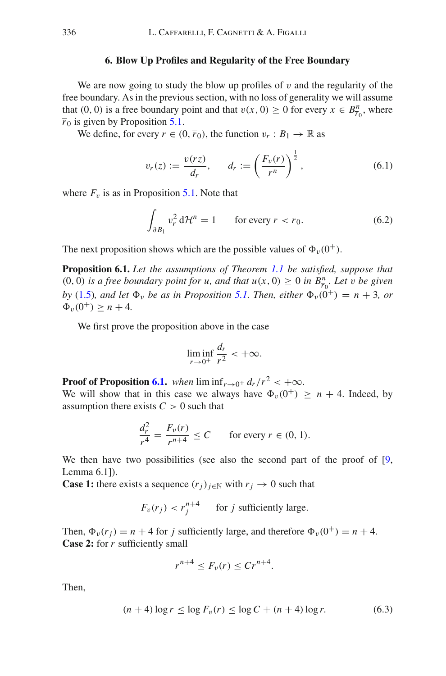#### **6. Blow Up Profiles and Regularity of the Free Boundary**

<span id="page-38-1"></span>We are now going to study the blow up profiles of  $\nu$  and the regularity of the free boundary. As in the previous section, with no loss of generality we will assume that (0, 0) is a free boundary point and that  $v(x, 0) \ge 0$  for every  $x \in B_{\overline{r}_0}^n$ , where  $\overline{r}_0$  is given by Proposition [5.1.](#page-29-0)

We define, for every  $r \in (0, \bar{r}_0)$ , the function  $v_r : B_1 \to \mathbb{R}$  as

<span id="page-38-3"></span>
$$
v_r(z) := \frac{v(rz)}{d_r}, \qquad d_r := \left(\frac{F_v(r)}{r^n}\right)^{\frac{1}{2}}, \tag{6.1}
$$

where  $F_v$  is as in Proposition [5.1.](#page-29-0) Note that

<span id="page-38-4"></span>
$$
\int_{\partial B_1} v_r^2 d\mathcal{H}^n = 1 \qquad \text{for every } r < \overline{r}_0. \tag{6.2}
$$

The next proposition shows which are the possible values of  $\Phi_{\nu}(0^+)$ .

**Proposition 6.1.** *Let the assumptions of Theorem [1.1](#page-3-0) be satisfied, suppose that*  $(0, 0)$  *is a free boundary point for u, and that*  $u(x, 0) \ge 0$  *in*  $B_{\overline{r}_0}^n$ *. Let v be given by* [\(1.5\)](#page-4-0)*, and let*  $\Phi_v$  *be as in Proposition* [5.1.](#page-29-0) *Then, either*  $\Phi_v(0^+) = n + 3$ *, or*  $\Phi_v(0^+) \ge n + 4$ .

We first prove the proposition above in the case

<span id="page-38-0"></span>
$$
\liminf_{r \to 0^+} \frac{d_r}{r^2} < +\infty.
$$

**Proof of Proposition [6.1.](#page-38-0)** *when*  $\liminf_{r\to 0^+} d_r/r^2 < +\infty$ .

We will show that in this case we always have  $\Phi_{\nu}(0^+) \ge n + 4$ . Indeed, by assumption there exists  $C > 0$  such that

$$
\frac{d_r^2}{r^4} = \frac{F_v(r)}{r^{n+4}} \le C \qquad \text{for every } r \in (0, 1).
$$

We then have two possibilities (see also the second part of the proof of [\[9,](#page-46-11) Lemma 6.1]).

**Case 1:** there exists a sequence  $(r_j)_{j \in \mathbb{N}}$  with  $r_j \to 0$  such that

$$
F_v(r_j) < r_j^{n+4} \qquad \text{for } j \text{ sufficiently large.}
$$

Then,  $\Phi_v(r_j) = n + 4$  for *j* sufficiently large, and therefore  $\Phi_v(0^+) = n + 4$ . **Case 2:** for *r* sufficiently small

$$
r^{n+4} \leq F_v(r) \leq Cr^{n+4}.
$$

Then,

<span id="page-38-2"></span>
$$
(n+4)\log r \le \log F_v(r) \le \log C + (n+4)\log r. \tag{6.3}
$$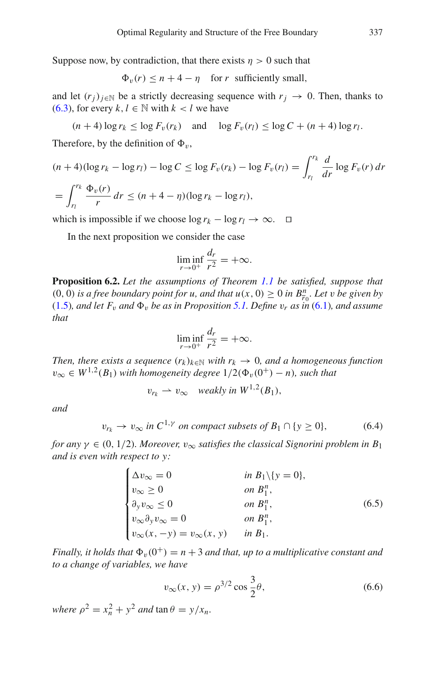Suppose now, by contradiction, that there exists  $\eta > 0$  such that

 $\Phi_{\nu}(r) \leq n + 4 - \eta$  for *r* sufficiently small,

and let  $(r_i)_{i \in \mathbb{N}}$  be a strictly decreasing sequence with  $r_j \to 0$ . Then, thanks to [\(6.3\)](#page-38-2), for every  $k, l \in \mathbb{N}$  with  $k < l$  we have

$$
(n+4)\log r_k \leq \log F_v(r_k) \quad \text{and} \quad \log F_v(r_l) \leq \log C + (n+4)\log r_l.
$$

Therefore, by the definition of  $\Phi_{\nu}$ ,

$$
(n+4)(\log r_k - \log r_l) - \log C \le \log F_v(r_k) - \log F_v(r_l) = \int_{r_l}^{r_k} \frac{d}{dr} \log F_v(r) \, dr
$$
  
= 
$$
\int_{r_l}^{r_k} \frac{\Phi_v(r)}{r} \, dr \le (n+4-\eta)(\log r_k - \log r_l),
$$

which is impossible if we choose  $\log r_k - \log r_l \to \infty$ .  $\Box$ 

In the next proposition we consider the case

$$
\liminf_{r \to 0^+} \frac{d_r}{r^2} = +\infty.
$$

<span id="page-39-0"></span>**Proposition 6.2.** *Let the assumptions of Theorem [1.1](#page-3-0) be satisfied, suppose that* (0, 0) *is a free boundary point for u, and that*  $u(x, 0) \ge 0$  *<i>in B*<sup>n</sup><sub>*r*<sub>0</sub></sub>. Let *v be given by* [\(1.5\)](#page-4-0)*, and let*  $F_v$  *and*  $\Phi_v$  *be as in Proposition* [5.1.](#page-29-0) Define  $v_r$  *as in* [\(6.1\)](#page-38-3)*, and assume that*

$$
\liminf_{r \to 0^+} \frac{d_r}{r^2} = +\infty.
$$

*Then, there exists a sequence*  $(r_k)_{k \in \mathbb{N}}$  *with*  $r_k \to 0$ *, and a homogeneous function*  $v_{\infty}$  ∈  $W^{1,2}(B_1)$  *with homogeneity degree*  $1/2(\Phi_v(0^+)-n)$ *, such that* 

$$
v_{r_k} \rightharpoonup v_{\infty} \quad weakly \ in \ W^{1,2}(B_1),
$$

*and*

<span id="page-39-1"></span>
$$
v_{r_k} \to v_{\infty} \text{ in } C^{1,\gamma} \text{ on compact subsets of } B_1 \cap \{y \ge 0\},\tag{6.4}
$$

*for any*  $\gamma \in (0, 1/2)$ *. Moreover,*  $v_{\infty}$  *satisfies the classical Signorini problem in*  $B_1$ *and is even with respect to y:*

<span id="page-39-2"></span>
$$
\begin{cases}\n\Delta v_{\infty} = 0 & \text{in } B_1 \setminus \{y = 0\}, \\
v_{\infty} \ge 0 & \text{on } B_1^n, \\
\partial_y v_{\infty} \le 0 & \text{on } B_1^n, \\
v_{\infty} \partial_y v_{\infty} = 0 & \text{on } B_1^n, \\
v_{\infty}(x, -y) = v_{\infty}(x, y) & \text{in } B_1.\n\end{cases}
$$
\n(6.5)

*Finally, it holds that*  $\Phi_v(0^+) = n + 3$  *and that, up to a multiplicative constant and to a change of variables, we have*

<span id="page-39-3"></span>
$$
v_{\infty}(x, y) = \rho^{3/2} \cos \frac{3}{2}\theta,
$$
 (6.6)

*where*  $\rho^2 = x_n^2 + y^2$  *and*  $\tan \theta = y/x_n$ .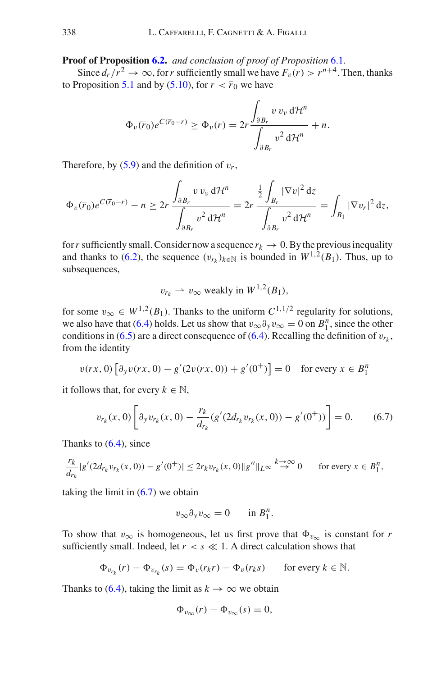**Proof of Proposition [6.2.](#page-39-0)** *and conclusion of proof of Proposition* [6.1.](#page-38-0)

Since  $d_r/r^2 \to \infty$ , for *r* sufficiently small we have  $F_v(r) > r^{n+4}$ . Then, thanks to Proposition [5.1](#page-29-0) and by [\(5.10\)](#page-35-1), for  $r < \overline{r}_0$  we have

$$
\Phi_v(\overline{r}_0)e^{C(\overline{r}_0-r)} \ge \Phi_v(r) = 2r \frac{\int_{\partial B_r} v v_v d\mathcal{H}^n}{\int_{\partial B_r} v^2 d\mathcal{H}^n} + n.
$$

Therefore, by  $(5.9)$  and the definition of  $v_r$ ,

$$
\Phi_v(\overline{r}_0)e^{C(\overline{r}_0-r)} - n \ge 2r \frac{\int_{\partial B_r} v v_v d\mathcal{H}^n}{\int_{\partial B_r} v^2 d\mathcal{H}^n} = 2r \frac{\frac{1}{2}\int_{B_r} |\nabla v|^2 dz}{\int_{\partial B_r} v^2 d\mathcal{H}^n} = \int_{B_1} |\nabla v_r|^2 dz,
$$

for *r* sufficiently small. Consider now a sequence  $r_k \to 0$ . By the previous inequality and thanks to [\(6.2\)](#page-38-4), the sequence  $(v_{r_k})_{k \in \mathbb{N}}$  is bounded in  $W^{1,2}(B_1)$ . Thus, up to subsequences,

$$
v_{r_k} \rightharpoonup v_{\infty}
$$
 weakly in  $W^{1,2}(B_1)$ ,

for some  $v_{\infty} \in W^{1,2}(B_1)$ . Thanks to the uniform  $C^{1,1/2}$  regularity for solutions, we also have that [\(6.4\)](#page-39-1) holds. Let us show that  $v_{\infty} \partial_y v_{\infty} = 0$  on  $B_1^n$ , since the other conditions in  $(6.5)$  are a direct consequence of  $(6.4)$ . Recalling the definition of  $v_{r_k}$ , from the identity

$$
v(rx, 0) \left[ \partial_y v(rx, 0) - g'(2v(rx, 0)) + g'(0^+) \right] = 0 \quad \text{for every } x \in B_1^n
$$

it follows that, for every  $k \in \mathbb{N}$ ,

<span id="page-40-0"></span>
$$
v_{r_k}(x,0)\left[\partial_y v_{r_k}(x,0) - \frac{r_k}{d_{r_k}}(g'(2d_{r_k}v_{r_k}(x,0)) - g'(0^+))\right] = 0. \quad (6.7)
$$

Thanks to  $(6.4)$ , since

$$
\frac{r_k}{d_{r_k}}|g'(2d_{r_k}v_{r_k}(x,0)) - g'(0^+)| \leq 2r_k v_{r_k}(x,0) \|g''\|_{L^\infty} \stackrel{k \to \infty}{\to} 0 \quad \text{for every } x \in B_1^n,
$$

taking the limit in  $(6.7)$  we obtain

$$
v_{\infty} \partial_y v_{\infty} = 0 \quad \text{in } B_1^n.
$$

To show that  $v_{\infty}$  is homogeneous, let us first prove that  $\Phi_{v_{\infty}}$  is constant for *r* sufficiently small. Indeed, let  $r < s \ll 1$ . A direct calculation shows that

$$
\Phi_{v_{r_k}}(r) - \Phi_{v_{r_k}}(s) = \Phi_v(r_k r) - \Phi_v(r_k s) \quad \text{for every } k \in \mathbb{N}.
$$

Thanks to [\(6.4\)](#page-39-1), taking the limit as  $k \to \infty$  we obtain

$$
\Phi_{v_{\infty}}(r) - \Phi_{v_{\infty}}(s) = 0,
$$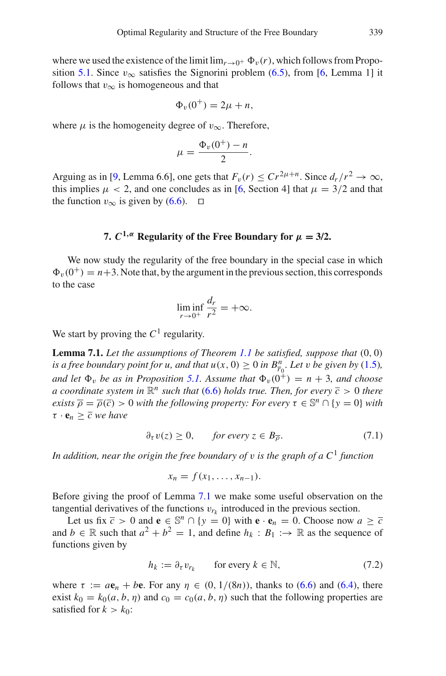where we used the existence of the limit  $\lim_{r\to 0^+} \Phi_v(r)$ , which follows from Propo-sition [5.1.](#page-29-0) Since  $v_{\infty}$  satisfies the Signorini problem [\(6.5\)](#page-39-2), from [\[6,](#page-46-12) Lemma 1] it follows that  $v_{\infty}$  is homogeneous and that

$$
\Phi_v(0^+) = 2\mu + n,
$$

where  $\mu$  is the homogeneity degree of  $v_{\infty}$ . Therefore,

$$
\mu = \frac{\Phi_v(0^+)-n}{2}.
$$

Arguing as in [\[9](#page-46-11), Lemma 6.6], one gets that  $F_v(r) \le Cr^{2\mu+n}$ . Since  $d_r/r^2 \to \infty$ , this implies  $\mu$  < 2, and one concludes as in [\[6,](#page-46-12) Section 4] that  $\mu = 3/2$  and that the function  $v_{\infty}$  is given by [\(6.6\)](#page-39-3). □

#### **7.**  $C^{1,\alpha}$  **Regularity of the Free Boundary for**  $\mu = 3/2$ .

<span id="page-41-0"></span>We now study the regularity of the free boundary in the special case in which  $\Phi_v(0^+) = n+3$ . Note that, by the argument in the previous section, this corresponds to the case

<span id="page-41-1"></span>
$$
\liminf_{r \to 0^+} \frac{d_r}{r^2} = +\infty.
$$

We start by proving the  $C<sup>1</sup>$  regularity.

**Lemma 7.1.** *Let the assumptions of Theorem [1.1](#page-3-0) be satisfied, suppose that* (0, 0) *is a free boundary point for u, and that*  $u(x, 0) \ge 0$  *in*  $B_{\overline{r}_0}^n$ . Let *v be given by* [\(1.5\)](#page-4-0)*, and let*  $\Phi$ <sub>*n</sub> be as in Proposition* [5.1.](#page-29-0) Assume that  $\Phi$ <sub>*v*</sub>(0<sup>+</sup>) = *n* + 3*, and choose*</sub> *a coordinate system in*  $\mathbb{R}^n$  *such that* [\(6.6\)](#page-39-3) *holds true. Then, for every*  $\overline{c} > 0$  *there exists*  $\overline{\rho} = \overline{\rho}(\overline{c}) > 0$  *with the following property: For every*  $\tau \in \mathbb{S}^n \cap \{y = 0\}$  *with*  $\tau \cdot \mathbf{e}_n \geq \overline{c}$  we have

<span id="page-41-3"></span>
$$
\partial_{\tau} v(z) \ge 0, \qquad \text{for every } z \in B_{\overline{\rho}}. \tag{7.1}
$$

*In addition, near the origin the free boundary of* v *is the graph of a C*<sup>1</sup> *function*

$$
x_n = f(x_1, \ldots, x_{n-1}).
$$

Before giving the proof of Lemma [7.1](#page-41-1) we make some useful observation on the tangential derivatives of the functions  $v_{r_k}$  introduced in the previous section.

Let us fix  $\overline{c} > 0$  and  $\mathbf{e} \in \mathbb{S}^n \cap \{y = 0\}$  with  $\mathbf{e} \cdot \mathbf{e}_n = 0$ . Choose now  $a \geq \overline{c}$ and  $b \in \mathbb{R}$  such that  $a^2 + b^2 = 1$ , and define  $h_k : B_1 : \rightarrow \mathbb{R}$  as the sequence of functions given by

<span id="page-41-2"></span>
$$
h_k := \partial_{\tau} v_{r_k} \qquad \text{for every } k \in \mathbb{N}, \tag{7.2}
$$

where  $\tau := a\mathbf{e}_n + b\mathbf{e}$ . For any  $\eta \in (0, 1/(8n))$ , thanks to [\(6.6\)](#page-39-3) and [\(6.4\)](#page-39-1), there exist  $k_0 = k_0(a, b, \eta)$  and  $c_0 = c_0(a, b, \eta)$  such that the following properties are satisfied for  $k > k_0$ :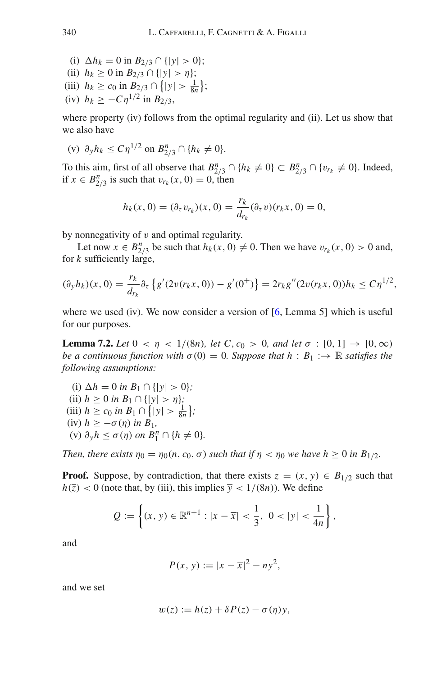(i)  $\Delta h_k = 0$  in  $B_{2/3} \cap \{|y| > 0\};$ (ii) *hk* ≥ 0 in *B*2/<sup>3</sup> ∩ {|*y*| > η}; (iii)  $h_k \ge c_0$  in  $B_{2/3} \cap \{|y| > \frac{1}{8n}\};$ (iv)  $h_k \geq -C\eta^{1/2}$  in  $B_{2/3}$ ,

where property (iv) follows from the optimal regularity and (ii). Let us show that we also have

(v)  $\partial_y h_k \le C \eta^{1/2}$  on  $B_{2/3}^n \cap \{h_k \ne 0\}.$ 

To this aim, first of all observe that  $B_{2/3}^n \cap \{h_k \neq 0\} \subset B_{2/3}^n \cap \{v_{r_k} \neq 0\}$ . Indeed, if *x* ∈ *B*<sup>*n*</sup><sub>2/3</sub> is such that  $v_{r_k}(x, 0) = 0$ , then

$$
h_k(x, 0) = (\partial_\tau v_{r_k})(x, 0) = \frac{r_k}{d_{r_k}} (\partial_\tau v)(r_k x, 0) = 0,
$$

by nonnegativity of  $\nu$  and optimal regularity.

Let now  $x \in B_{2/3}^n$  be such that  $h_k(x, 0) \neq 0$ . Then we have  $v_{r_k}(x, 0) > 0$  and, for *k* sufficiently large,

$$
(\partial_y h_k)(x,0) = \frac{r_k}{d_{r_k}} \partial_\tau \left\{ g'(2v(r_kx,0)) - g'(0^+) \right\} = 2r_k g''(2v(r_kx,0))h_k \le C\eta^{1/2},
$$

<span id="page-42-0"></span>where we used (iv). We now consider a version of  $[6, \text{Lemma 5}]$  $[6, \text{Lemma 5}]$  which is useful for our purposes.

**Lemma 7.2.** *Let*  $0 < \eta < 1/(8n)$ *, let*  $C$ *, c<sub>0</sub> > 0<i>, and let*  $\sigma : [0, 1] \to [0, \infty)$ *be a continuous function with*  $\sigma(0) = 0$ *. Suppose that*  $h : B_1 : \to \mathbb{R}$  *satisfies the following assumptions:*

(i)  $\Delta h = 0$  *in*  $B_1 \cap \{ |y| > 0 \};$ (ii)  $h \geq 0$  *in*  $B_1 \cap \{|y| > \eta\};$ (iii)  $h \ge c_0$  *in*  $B_1 \cap \{|y| > \frac{1}{8n}\};$ (iv)  $h \geq -\sigma(\eta)$  *in*  $B_1$ *,* (v)  $\partial_y h \le \sigma(\eta)$  on  $B_1^n \cap \{h \ne 0\}$ .

*Then, there exists*  $\eta_0 = \eta_0(n, c_0, \sigma)$  *such that if*  $\eta < \eta_0$  *we have h*  $\geq 0$  *in B*<sub>1/2</sub>*.* 

**Proof.** Suppose, by contradiction, that there exists  $\overline{z} = (\overline{x}, \overline{y}) \in B_{1/2}$  such that  $h(\overline{z}) < 0$  (note that, by (iii), this implies  $\overline{y} < 1/(8n)$ ). We define

$$
Q := \left\{ (x, y) \in \mathbb{R}^{n+1} : |x - \overline{x}| < \frac{1}{3}, \ 0 < |y| < \frac{1}{4n} \right\},
$$

and

$$
P(x, y) := |x - \overline{x}|^2 - ny^2,
$$

and we set

$$
w(z) := h(z) + \delta P(z) - \sigma(\eta) y,
$$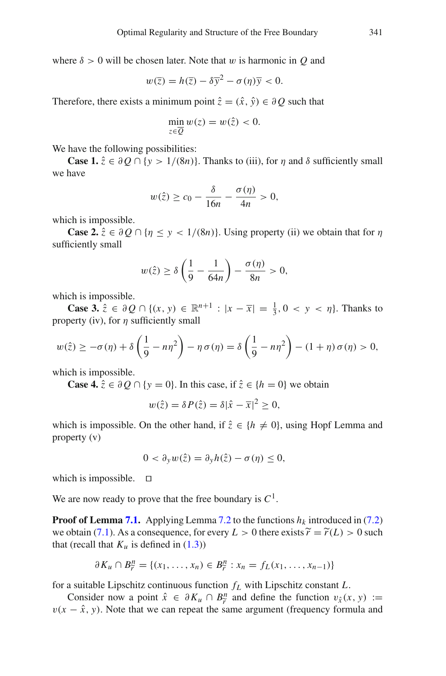where  $\delta > 0$  will be chosen later. Note that w is harmonic in Q and

$$
w(\overline{z}) = h(\overline{z}) - \delta \overline{y}^2 - \sigma(\eta)\overline{y} < 0.
$$

Therefore, there exists a minimum point  $\hat{z} = (\hat{x}, \hat{y}) \in \partial Q$  such that

$$
\min_{z \in \overline{Q}} w(z) = w(\hat{z}) < 0.
$$

We have the following possibilities:

**Case 1.**  $\hat{z} \in \partial O \cap \{y > 1/(8n)\}\$ . Thanks to (iii), for  $\eta$  and  $\delta$  sufficiently small we have

$$
w(\hat{z}) \ge c_0 - \frac{\delta}{16n} - \frac{\sigma(\eta)}{4n} > 0,
$$

which is impossible.

**Case 2.**  $\hat{z} \in \partial Q \cap \{ \eta \leq y \leq 1/(8n) \}$ . Using property (ii) we obtain that for  $\eta$ sufficiently small

$$
w(\hat{z}) \ge \delta \left(\frac{1}{9} - \frac{1}{64n}\right) - \frac{\sigma(\eta)}{8n} > 0,
$$

which is impossible.

**Case 3.**  $\hat{z}$  ∈ ∂ *Q* ∩ {(*x*, *y*) ∈  $\mathbb{R}^{n+1}$  :  $|x - \overline{x}| = \frac{1}{3}$ , 0 < *y* < *n*}. Thanks to property (iv), for  $\eta$  sufficiently small

$$
w(\hat{z}) \geq -\sigma(\eta) + \delta\left(\frac{1}{9} - n\eta^2\right) - \eta \sigma(\eta) = \delta\left(\frac{1}{9} - n\eta^2\right) - (1 + \eta) \sigma(\eta) > 0,
$$

which is impossible.

**Case 4.**  $\hat{z} \in \partial Q \cap \{y = 0\}$ . In this case, if  $\hat{z} \in \{h = 0\}$  we obtain

$$
w(\hat{z}) = \delta P(\hat{z}) = \delta |\hat{x} - \overline{x}|^2 \ge 0,
$$

which is impossible. On the other hand, if  $\hat{z} \in \{h \neq 0\}$ , using Hopf Lemma and property (v)

$$
0 < \partial_y w(\hat{z}) = \partial_y h(\hat{z}) - \sigma(\eta) \leq 0,
$$

which is impossible.  $\square$ 

We are now ready to prove that the free boundary is  $C^1$ .

**Proof of Lemma [7.1.](#page-41-1)** Applying Lemma [7.2](#page-42-0) to the functions  $h_k$  introduced in [\(7.2\)](#page-41-2) we obtain [\(7.1\)](#page-41-3). As a consequence, for every  $L > 0$  there exists  $\widetilde{r} = \widetilde{r}(L) > 0$  such that (recall that  $K_u$  is defined in  $(1.3)$ )

$$
\partial K_u \cap B_{\widetilde{r}}^n = \{ (x_1, \ldots, x_n) \in B_{\widetilde{r}}^n : x_n = f_L(x_1, \ldots, x_{n-1}) \}
$$

for a suitable Lipschitz continuous function *fL* with Lipschitz constant *L*.

Consider now a point  $\hat{x} \in \partial K_u \cap B_r^n$  and define the function  $v_{\hat{x}}(x, y) :=$ <br>  $-\hat{x}$  *v*) Note that we can repeat the same aroument (frequency formula and  $v(x - \hat{x}, y)$ . Note that we can repeat the same argument (frequency formula and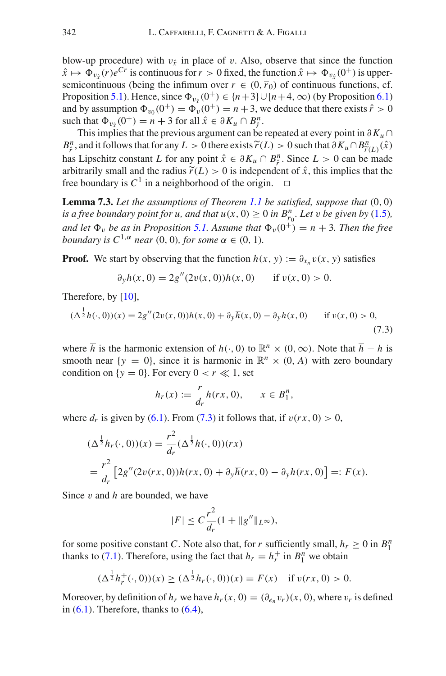blow-up procedure) with  $v<sub>\hat{x}</sub>$  in place of v. Also, observe that since the function  $\hat{x} \mapsto \Phi_{v_{\hat{e}}}(r)e^{Cr}$  is continuous for  $r > 0$  fixed, the function  $\hat{x} \mapsto \Phi_{v_{\hat{e}}}(0^+)$  is uppersemicontinuous (being the infimum over  $r \in (0, \bar{r}_0)$  of continuous functions, cf. Proposition [5.1\)](#page-29-0). Hence, since  $\Phi_{v\zeta}(0^+) \in \{n+3\} \cup [n+4,\infty)$  (by Proposition [6.1\)](#page-38-0) and by assumption  $\Phi_{v_0}(0^+) = \Phi_v(0^+) = n + 3$ , we deduce that there exists  $\hat{r} > 0$ such that  $\Phi_{v_{\hat{x}}}(0^+) = n + 3$  for all  $\hat{x} \in \partial K_u \cap B^n$ .<br>This implies that the provisors examples too he

This implies that the previous argument can be repeated at every point in ∂*Ku* ∩ *B*<sup>n</sup>, and it follows that for any *L* > 0 there exists  $\widetilde{r}(L)$  > 0 such that ∂*Ku*∩*B*<sup>n</sup><sub> $i$ </sub><sup>n</sup>(*x*)  $\hat{x}$  has *L* incohitz constant *L* for any point  $\hat{x} \in \partial K$   $\cap B^n$ . Since *L* > 0 can be mode  $\hat{\mu}$ ; and it follows that for any  $E > 0$  there exists  $r(L) > 0$  such that  $\sigma \kappa_u \cap B_{r(L)}^n(x)$ <br>has Lipschitz constant *L* for any point  $\hat{x} \in \partial K_u \cap B_r^n$ . Since  $L > 0$  can be made arbitrarily small and the radius  $\tilde{r}(L) > 0$  is independent of  $\hat{x}$ , this implies that the free boundary is  $C^1$  in a neighborhood of the origin.  $\Box$ free boundary is  $C^1$  in a neighborhood of the origin.

**Lemma 7.3.** *Let the assumptions of Theorem [1.1](#page-3-0) be satisfied, suppose that* (0, 0) *is a free boundary point for u, and that*  $u(x, 0) \ge 0$  *in*  $B_{\overline{r}_0}^n$ *. Let v be given by* [\(1.5\)](#page-4-0)*, and let*  $\Phi_v$  *be as in Proposition [5.1.](#page-29-0)* Assume that  $\Phi_v(0^+) = n + 3$ . Then the free *boundary is*  $C^{1,\alpha}$  *near* (0, 0)*, for some*  $\alpha \in (0, 1)$ *.* 

**Proof.** We start by observing that the function  $h(x, y) := \partial_{x_n} v(x, y)$  satisfies

$$
\partial_y h(x,0) = 2g''(2v(x,0))h(x,0) \quad \text{if } v(x,0) > 0.
$$

Therefore, by [\[10](#page-46-13)],

<span id="page-44-0"></span>
$$
(\Delta^{\frac{1}{2}}h(\cdot,0))(x) = 2g''(2v(x,0))h(x,0) + \partial_y \overline{h}(x,0) - \partial_y h(x,0) \quad \text{if } v(x,0) > 0,
$$
\n(7.3)

where  $\overline{h}$  is the harmonic extension of  $h(\cdot, 0)$  to  $\mathbb{R}^n \times (0, \infty)$ . Note that  $\overline{h} - h$  is smooth near  $\{y = 0\}$ , since it is harmonic in  $\mathbb{R}^n \times (0, A)$  with zero boundary condition on  $\{y = 0\}$ . For every  $0 < r \ll 1$ , set

$$
h_r(x) := \frac{r}{d_r} h(rx, 0), \qquad x \in B_1^n,
$$

where  $d_r$  is given by [\(6.1\)](#page-38-3). From [\(7.3\)](#page-44-0) it follows that, if  $v(rx, 0) > 0$ ,

$$
\begin{aligned} (\Delta^{\frac{1}{2}} h_r(\cdot, 0))(x) &= \frac{r^2}{d_r} (\Delta^{\frac{1}{2}} h(\cdot, 0))(rx) \\ &= \frac{r^2}{d_r} \left[ 2g''(2v(rx, 0))h(rx, 0) + \partial_y \overline{h}(rx, 0) - \partial_y h(rx, 0) \right] =: F(x). \end{aligned}
$$

Since v and *h* are bounded, we have

$$
|F| \le C \frac{r^2}{d_r} (1 + \|g''\|_{L^\infty}),
$$

for some positive constant *C*. Note also that, for *r* sufficiently small,  $h_r \geq 0$  in  $B_1^n$ thanks to [\(7.1\)](#page-41-3). Therefore, using the fact that  $h_r = h_r^+$  in  $B_1^n$  we obtain

$$
(\Delta^{\frac{1}{2}}h_r^+(\cdot,0))(x) \ge (\Delta^{\frac{1}{2}}h_r(\cdot,0))(x) = F(x) \text{ if } v(rx,0) > 0.
$$

Moreover, by definition of  $h_r$  we have  $h_r(x, 0) = (\partial_{e_n} v_r)(x, 0)$ , where  $v_r$  is defined in  $(6.1)$ . Therefore, thanks to  $(6.4)$ ,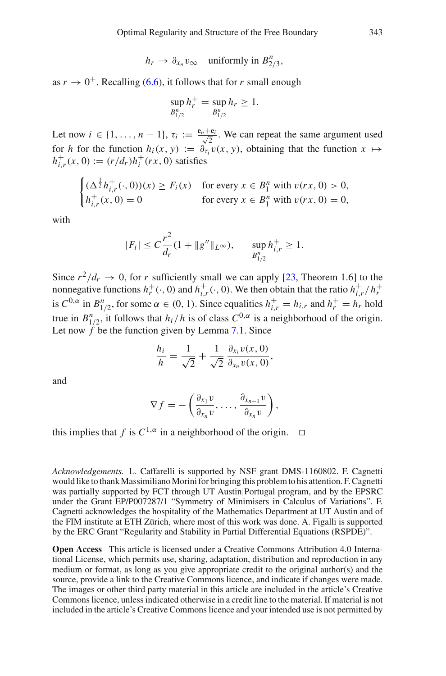$$
h_r \to \partial_{x_n} v_\infty
$$
 uniformly in  $B_{2/3}^n$ ,

as  $r \to 0^+$ . Recalling [\(6.6\)](#page-39-3), it follows that for *r* small enough

$$
\sup_{B_{1/2}^n} h_r^+ = \sup_{B_{1/2}^n} h_r \ge 1.
$$

Let now  $i \in \{1, ..., n-1\}$ ,  $\tau_i := \frac{\mathbf{e}_n + \mathbf{e}_i}{\sqrt{2}}$ . We can repeat the same argument used for *h* for the function  $h_i(x, y) := \partial_{\tau_i} v(x, y)$ , obtaining that the function  $x \mapsto$  $h_{i,r}^+(x, 0) := (r/d_r)h_i^+(rx, 0)$  satisfies

$$
\begin{cases} (\Delta^{\frac{1}{2}} h_{i,r}^+(\cdot,0))(x) \ge F_i(x) & \text{for every } x \in B_1^n \text{ with } v(rx,0) > 0, \\ h_{i,r}^+(x,0) = 0 & \text{for every } x \in B_1^n \text{ with } v(rx,0) = 0, \end{cases}
$$

with

$$
|F_i| \le C \frac{r^2}{d_r} (1 + \|g''\|_{L^{\infty}}), \quad \sup_{B_{1/2}^n} h_{i,r}^+ \ge 1.
$$

Since  $r^2/d_r \to 0$ , for *r* sufficiently small we can apply [\[23,](#page-47-8) Theorem 1.6] to the nonnegative functions  $h_r^+(\cdot, 0)$  and  $h_{i,r}^+(\cdot, 0)$ . We then obtain that the ratio  $h_{i,r}^+/h_r^+$ is  $C^{0,\alpha}$  in  $B_{1/2}^n$ , for some  $\alpha \in (0, 1)$ . Since equalities  $h_{i,r}^+ = h_{i,r}$  and  $h_r^+ = h_r$  hold true in  $B_{1/2}^n$ , it follows that  $h_i/h$  is of class  $C^{0,\alpha}$  is a neighborhood of the origin. Let now  $\hat{f}$  be the function given by Lemma [7.1.](#page-41-1) Since

$$
\frac{h_i}{h} = \frac{1}{\sqrt{2}} + \frac{1}{\sqrt{2}} \frac{\partial_{x_i} v(x, 0)}{\partial_{x_n} v(x, 0)},
$$

and

$$
\nabla f = -\left(\frac{\partial_{x_1} v}{\partial_{x_n} v}, \ldots, \frac{\partial_{x_{n-1}} v}{\partial_{x_n} v}\right),
$$

this implies that *f* is  $C^{1,\alpha}$  in a neighborhood of the origin.  $\Box$ 

*Acknowledgements.* L. Caffarelli is supported by NSF grant DMS-1160802. F. Cagnetti would like to thank Massimiliano Morini for bringing this problem to his attention. F. Cagnetti was partially supported by FCT through UT Austin|Portugal program, and by the EPSRC under the Grant EP/P007287/1 "Symmetry of Minimisers in Calculus of Variations". F. Cagnetti acknowledges the hospitality of the Mathematics Department at UT Austin and of the FIM institute at ETH Zürich, where most of this work was done. A. Figalli is supported by the ERC Grant "Regularity and Stability in Partial Differential Equations (RSPDE)".

**Open Access** This article is licensed under a Creative Commons Attribution 4.0 International License, which permits use, sharing, adaptation, distribution and reproduction in any medium or format, as long as you give appropriate credit to the original author(s) and the source, provide a link to the Creative Commons licence, and indicate if changes were made. The images or other third party material in this article are included in the article's Creative Commons licence, unless indicated otherwise in a credit line to the material. If material is not included in the article's Creative Commons licence and your intended use is not permitted by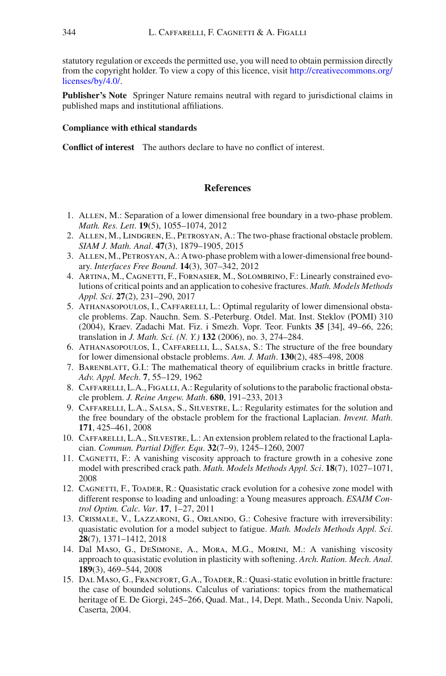statutory regulation or exceeds the permitted use, you will need to obtain permission directly from the copyright holder. To view a copy of this licence, visit [http://creativecommons.org/](http://creativecommons.org/licenses/by/4.0/) [licenses/by/4.0/.](http://creativecommons.org/licenses/by/4.0/)

**Publisher's Note** Springer Nature remains neutral with regard to jurisdictional claims in published maps and institutional affiliations.

#### **Compliance with ethical standards**

**Conflict of interest** The authors declare to have no conflict of interest.

#### **References**

- <span id="page-46-7"></span>1. Allen, M.: Separation of a lower dimensional free boundary in a two-phase problem. *Math. Res. Lett*. **19**(5), 1055–1074, 2012
- <span id="page-46-8"></span>2. Allen, M., Lindgren, E., Petrosyan, A.: The two-phase fractional obstacle problem. *SIAM J. Math. Anal*. **47**(3), 1879–1905, 2015
- <span id="page-46-6"></span>3. Allen, M., Petrosyan, A.: A two-phase problem with a lower-dimensional free boundary. *Interfaces Free Bound*. **14**(3), 307–342, 2012
- <span id="page-46-1"></span>4. Artina, M., Cagnetti, F., Fornasier, M., Solombrino, F.: Linearly constrained evolutions of critical points and an application to cohesive fractures. *Math. Models Methods Appl. Sci*. **27**(2), 231–290, 2017
- <span id="page-46-9"></span>5. Athanasopoulos, I., Caffarelli, L.: Optimal regularity of lower dimensional obstacle problems. Zap. Nauchn. Sem. S.-Peterburg. Otdel. Mat. Inst. Steklov (POMI) 310 (2004), Kraev. Zadachi Mat. Fiz. i Smezh. Vopr. Teor. Funkts **35** [34], 49–66, 226; translation in *J. Math. Sci. (N. Y.)* **132** (2006), no. 3, 274–284.
- <span id="page-46-12"></span>6. Athanasopoulos, I., Caffarelli, L., Salsa, S.: The structure of the free boundary for lower dimensional obstacle problems. *Am. J. Math*. **130**(2), 485–498, 2008
- <span id="page-46-5"></span>7. BARENBLATT, G.I.: The mathematical theory of equilibrium cracks in brittle fracture. *Adv. Appl. Mech*. **7**, 55–129, 1962
- <span id="page-46-10"></span>8. CAFFARELLI, L.A., FIGALLI, A.: Regularity of solutions to the parabolic fractional obstacle problem. *J. Reine Angew. Math*. **680**, 191–233, 2013
- <span id="page-46-11"></span>9. Caffarelli, L.A., Salsa, S., Silvestre, L.: Regularity estimates for the solution and the free boundary of the obstacle problem for the fractional Laplacian. *Invent. Math*. **171**, 425–461, 2008
- <span id="page-46-13"></span>10. Caffarelli, L.A., Silvestre, L.: An extension problem related to the fractional Laplacian. *Commun. Partial Differ. Equ*. **32**(7–9), 1245–1260, 2007
- <span id="page-46-2"></span>11. CAGNETTI, F.: A vanishing viscosity approach to fracture growth in a cohesive zone model with prescribed crack path. *Math. Models Methods Appl. Sci*. **18**(7), 1027–1071, 2008
- 12. CAGNETTI, F., TOADER, R.: Quasistatic crack evolution for a cohesive zone model with different response to loading and unloading: a Young measures approach. *ESAIM Control Optim. Calc. Var*. **17**, 1–27, 2011
- <span id="page-46-4"></span>13. Crismale, V., Lazzaroni, G., Orlando, G.: Cohesive fracture with irreversibility: quasistatic evolution for a model subject to fatigue. *Math. Models Methods Appl. Sci*. **28**(7), 1371–1412, 2018
- <span id="page-46-3"></span>14. Dal Maso, G., DeSimone, A., Mora, M.G., Morini, M.: A vanishing viscosity approach to quasistatic evolution in plasticity with softening. *Arch. Ration. Mech. Anal*. **189**(3), 469–544, 2008
- <span id="page-46-0"></span>15. Dal Maso, G., Francfort, G.A., Toader, R.: Quasi-static evolution in brittle fracture: the case of bounded solutions. Calculus of variations: topics from the mathematical heritage of E. De Giorgi, 245–266, Quad. Mat., 14, Dept. Math., Seconda Univ. Napoli, Caserta, 2004.